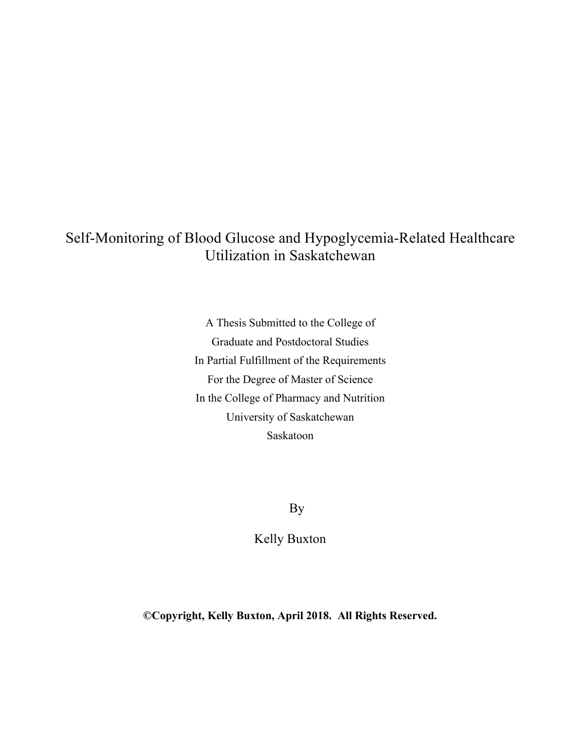# Self-Monitoring of Blood Glucose and Hypoglycemia-Related Healthcare Utilization in Saskatchewan

A Thesis Submitted to the College of Graduate and Postdoctoral Studies In Partial Fulfillment of the Requirements For the Degree of Master of Science In the College of Pharmacy and Nutrition University of Saskatchewan Saskatoon

By

Kelly Buxton

**©Copyright, Kelly Buxton, April 2018. All Rights Reserved.**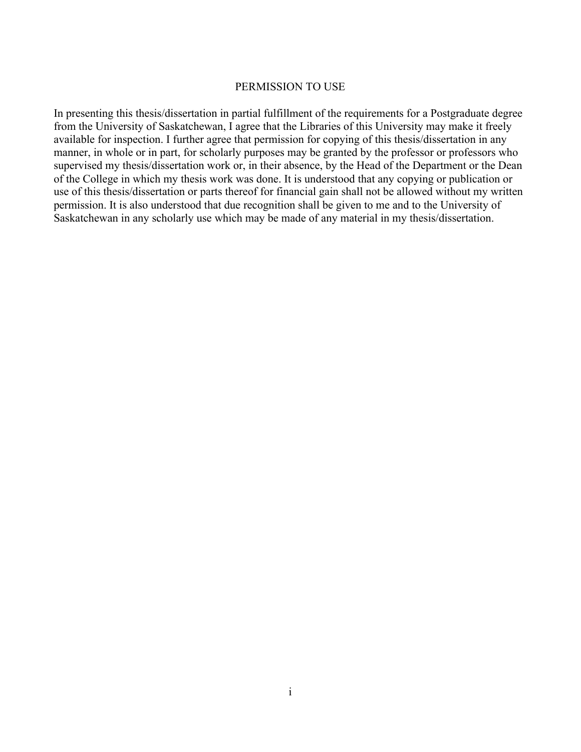### PERMISSION TO USE

In presenting this thesis/dissertation in partial fulfillment of the requirements for a Postgraduate degree from the University of Saskatchewan, I agree that the Libraries of this University may make it freely available for inspection. I further agree that permission for copying of this thesis/dissertation in any manner, in whole or in part, for scholarly purposes may be granted by the professor or professors who supervised my thesis/dissertation work or, in their absence, by the Head of the Department or the Dean of the College in which my thesis work was done. It is understood that any copying or publication or use of this thesis/dissertation or parts thereof for financial gain shall not be allowed without my written permission. It is also understood that due recognition shall be given to me and to the University of Saskatchewan in any scholarly use which may be made of any material in my thesis/dissertation.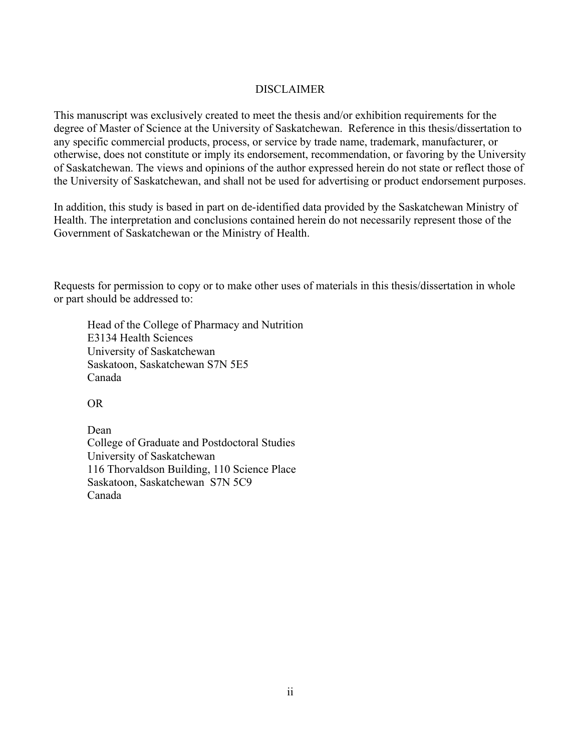## DISCLAIMER

This manuscript was exclusively created to meet the thesis and/or exhibition requirements for the degree of Master of Science at the University of Saskatchewan. Reference in this thesis/dissertation to any specific commercial products, process, or service by trade name, trademark, manufacturer, or otherwise, does not constitute or imply its endorsement, recommendation, or favoring by the University of Saskatchewan. The views and opinions of the author expressed herein do not state or reflect those of the University of Saskatchewan, and shall not be used for advertising or product endorsement purposes.

In addition, this study is based in part on de-identified data provided by the Saskatchewan Ministry of Health. The interpretation and conclusions contained herein do not necessarily represent those of the Government of Saskatchewan or the Ministry of Health.

Requests for permission to copy or to make other uses of materials in this thesis/dissertation in whole or part should be addressed to:

Head of the College of Pharmacy and Nutrition E3134 Health Sciences University of Saskatchewan Saskatoon, Saskatchewan S7N 5E5 Canada

OR

Dean College of Graduate and Postdoctoral Studies University of Saskatchewan 116 Thorvaldson Building, 110 Science Place Saskatoon, Saskatchewan S7N 5C9 Canada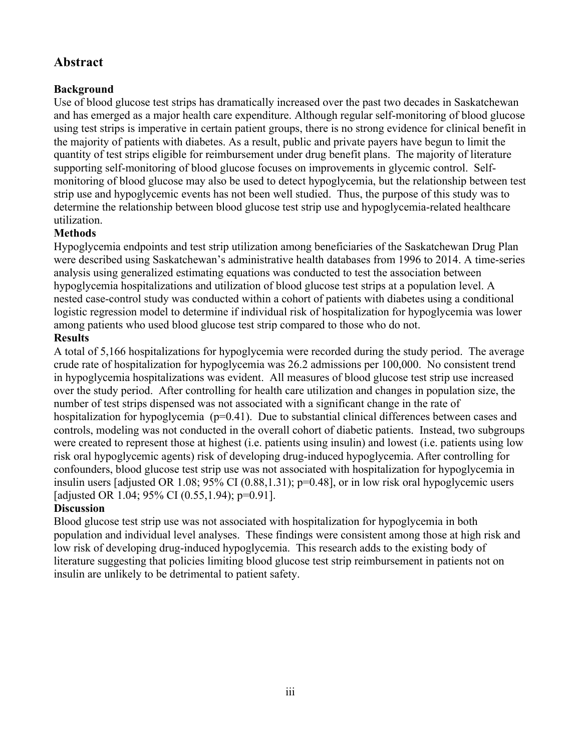# **Abstract**

# **Background**

Use of blood glucose test strips has dramatically increased over the past two decades in Saskatchewan and has emerged as a major health care expenditure. Although regular self-monitoring of blood glucose using test strips is imperative in certain patient groups, there is no strong evidence for clinical benefit in the majority of patients with diabetes. As a result, public and private payers have begun to limit the quantity of test strips eligible for reimbursement under drug benefit plans. The majority of literature supporting self-monitoring of blood glucose focuses on improvements in glycemic control. Selfmonitoring of blood glucose may also be used to detect hypoglycemia, but the relationship between test strip use and hypoglycemic events has not been well studied. Thus, the purpose of this study was to determine the relationship between blood glucose test strip use and hypoglycemia-related healthcare utilization.

## **Methods**

Hypoglycemia endpoints and test strip utilization among beneficiaries of the Saskatchewan Drug Plan were described using Saskatchewan's administrative health databases from 1996 to 2014. A time-series analysis using generalized estimating equations was conducted to test the association between hypoglycemia hospitalizations and utilization of blood glucose test strips at a population level. A nested case-control study was conducted within a cohort of patients with diabetes using a conditional logistic regression model to determine if individual risk of hospitalization for hypoglycemia was lower among patients who used blood glucose test strip compared to those who do not. **Results**

A total of 5,166 hospitalizations for hypoglycemia were recorded during the study period. The average crude rate of hospitalization for hypoglycemia was 26.2 admissions per 100,000. No consistent trend in hypoglycemia hospitalizations was evident. All measures of blood glucose test strip use increased over the study period. After controlling for health care utilization and changes in population size, the number of test strips dispensed was not associated with a significant change in the rate of hospitalization for hypoglycemia (p=0.41). Due to substantial clinical differences between cases and controls, modeling was not conducted in the overall cohort of diabetic patients. Instead, two subgroups were created to represent those at highest (i.e. patients using insulin) and lowest (i.e. patients using low risk oral hypoglycemic agents) risk of developing drug-induced hypoglycemia. After controlling for confounders, blood glucose test strip use was not associated with hospitalization for hypoglycemia in insulin users [adjusted OR 1.08; 95% CI (0.88,1.31); p=0.48], or in low risk oral hypoglycemic users [adjusted OR 1.04; 95% CI (0.55, 1.94); p=0.91].

## **Discussion**

Blood glucose test strip use was not associated with hospitalization for hypoglycemia in both population and individual level analyses. These findings were consistent among those at high risk and low risk of developing drug-induced hypoglycemia. This research adds to the existing body of literature suggesting that policies limiting blood glucose test strip reimbursement in patients not on insulin are unlikely to be detrimental to patient safety.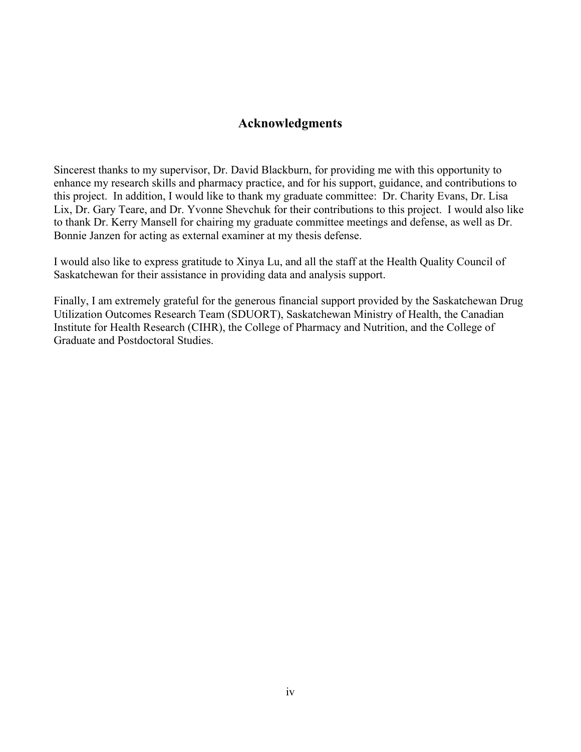# **Acknowledgments**

Sincerest thanks to my supervisor, Dr. David Blackburn, for providing me with this opportunity to enhance my research skills and pharmacy practice, and for his support, guidance, and contributions to this project. In addition, I would like to thank my graduate committee: Dr. Charity Evans, Dr. Lisa Lix, Dr. Gary Teare, and Dr. Yvonne Shevchuk for their contributions to this project. I would also like to thank Dr. Kerry Mansell for chairing my graduate committee meetings and defense, as well as Dr. Bonnie Janzen for acting as external examiner at my thesis defense.

I would also like to express gratitude to Xinya Lu, and all the staff at the Health Quality Council of Saskatchewan for their assistance in providing data and analysis support.

Finally, I am extremely grateful for the generous financial support provided by the Saskatchewan Drug Utilization Outcomes Research Team (SDUORT), Saskatchewan Ministry of Health, the Canadian Institute for Health Research (CIHR), the College of Pharmacy and Nutrition, and the College of Graduate and Postdoctoral Studies.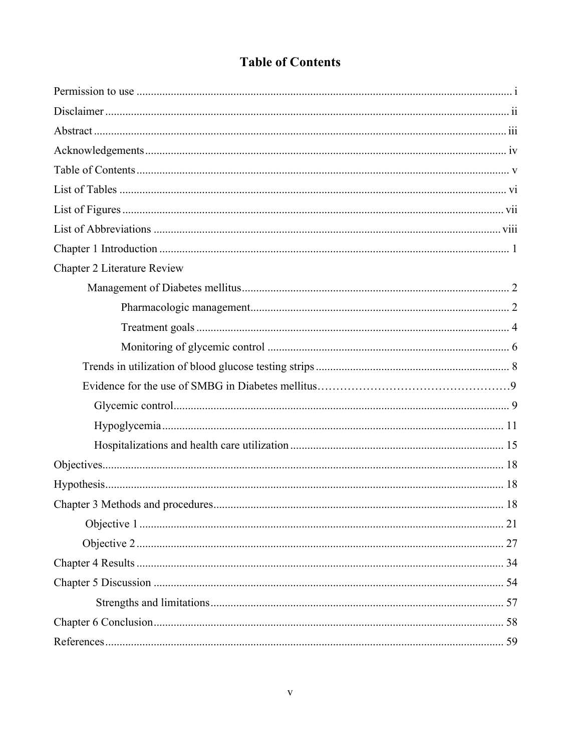| <b>Chapter 2 Literature Review</b> |  |
|------------------------------------|--|
|                                    |  |
|                                    |  |
|                                    |  |
|                                    |  |
|                                    |  |
|                                    |  |
|                                    |  |
|                                    |  |
|                                    |  |
|                                    |  |
|                                    |  |
|                                    |  |
|                                    |  |
|                                    |  |
|                                    |  |
|                                    |  |
|                                    |  |
|                                    |  |
|                                    |  |

# **Table of Contents**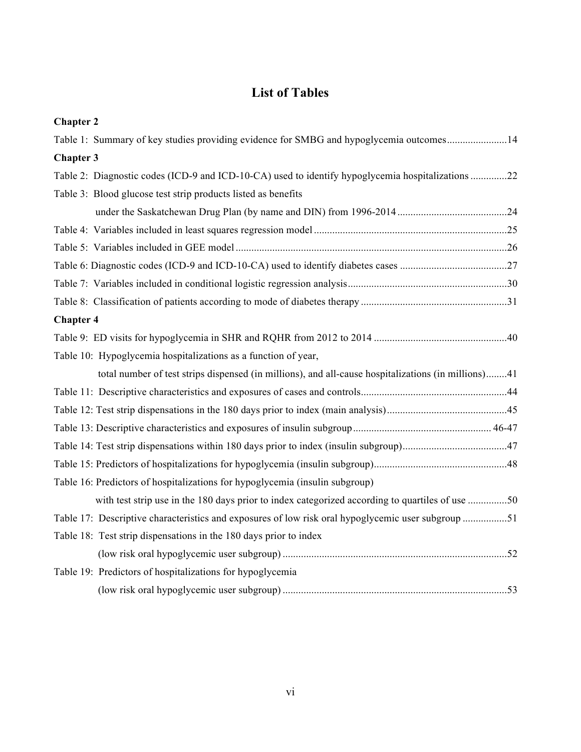# **List of Tables**

| <b>Chapter 2</b>                                                                                    |
|-----------------------------------------------------------------------------------------------------|
| Table 1: Summary of key studies providing evidence for SMBG and hypoglycemia outcomes14             |
| <b>Chapter 3</b>                                                                                    |
| Table 2: Diagnostic codes (ICD-9 and ICD-10-CA) used to identify hypoglycemia hospitalizations 22   |
| Table 3: Blood glucose test strip products listed as benefits                                       |
|                                                                                                     |
|                                                                                                     |
|                                                                                                     |
|                                                                                                     |
|                                                                                                     |
|                                                                                                     |
| <b>Chapter 4</b>                                                                                    |
|                                                                                                     |
| Table 10: Hypoglycemia hospitalizations as a function of year,                                      |
| total number of test strips dispensed (in millions), and all-cause hospitalizations (in millions)41 |
|                                                                                                     |
|                                                                                                     |
|                                                                                                     |
|                                                                                                     |
|                                                                                                     |
| Table 16: Predictors of hospitalizations for hypoglycemia (insulin subgroup)                        |
| with test strip use in the 180 days prior to index categorized according to quartiles of use 50     |
| Table 17: Descriptive characteristics and exposures of low risk oral hypoglycemic user subgroup 51  |
| Table 18: Test strip dispensations in the 180 days prior to index                                   |
|                                                                                                     |
| Table 19: Predictors of hospitalizations for hypoglycemia                                           |
|                                                                                                     |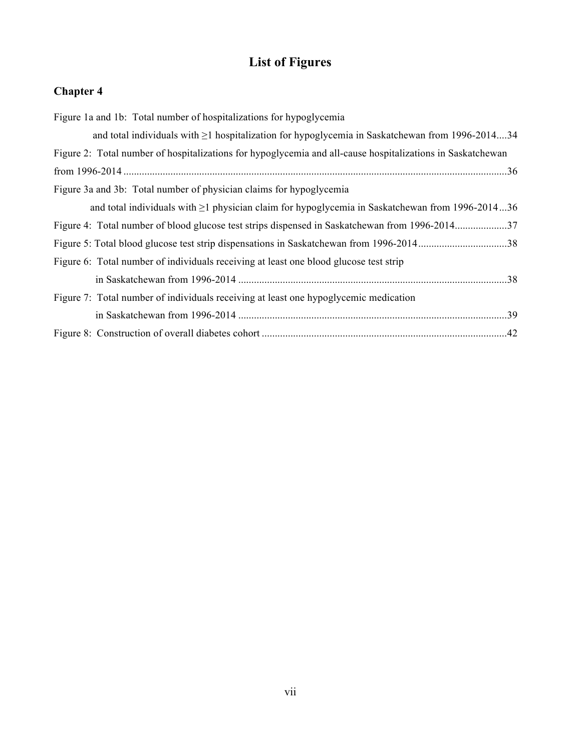# **List of Figures**

# **Chapter 4**

| Figure 1a and 1b: Total number of hospitalizations for hypoglycemia                                        |  |
|------------------------------------------------------------------------------------------------------------|--|
| and total individuals with $\geq 1$ hospitalization for hypoglycemia in Saskatchewan from 1996-201434      |  |
| Figure 2: Total number of hospitalizations for hypoglycemia and all-cause hospitalizations in Saskatchewan |  |
|                                                                                                            |  |
| Figure 3a and 3b: Total number of physician claims for hypoglycemia                                        |  |
| and total individuals with $\geq 1$ physician claim for hypoglycemia in Saskatchewan from 1996-201436      |  |
| Figure 4: Total number of blood glucose test strips dispensed in Saskatchewan from 1996-201437             |  |
|                                                                                                            |  |
| Figure 6: Total number of individuals receiving at least one blood glucose test strip                      |  |
|                                                                                                            |  |
| Figure 7: Total number of individuals receiving at least one hypoglycemic medication                       |  |
|                                                                                                            |  |
|                                                                                                            |  |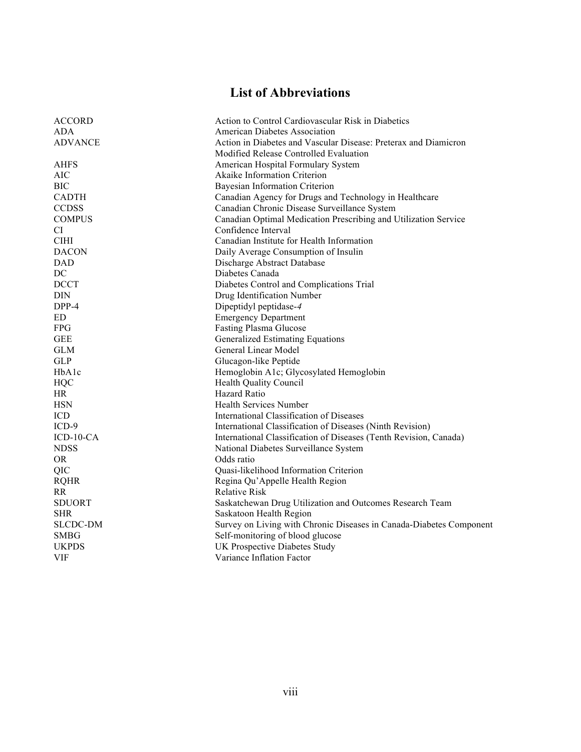# **List of Abbreviations**

| <b>ACCORD</b>   | Action to Control Cardiovascular Risk in Diabetics                  |  |
|-----------------|---------------------------------------------------------------------|--|
| ADA.            | <b>American Diabetes Association</b>                                |  |
| <b>ADVANCE</b>  | Action in Diabetes and Vascular Disease: Preterax and Diamicron     |  |
|                 | Modified Release Controlled Evaluation                              |  |
| <b>AHFS</b>     | American Hospital Formulary System                                  |  |
| AIC             | Akaike Information Criterion                                        |  |
| <b>BIC</b>      | <b>Bayesian Information Criterion</b>                               |  |
| <b>CADTH</b>    | Canadian Agency for Drugs and Technology in Healthcare              |  |
| <b>CCDSS</b>    | Canadian Chronic Disease Surveillance System                        |  |
| <b>COMPUS</b>   | Canadian Optimal Medication Prescribing and Utilization Service     |  |
| СI              | Confidence Interval                                                 |  |
| <b>CIHI</b>     | Canadian Institute for Health Information                           |  |
| <b>DACON</b>    | Daily Average Consumption of Insulin                                |  |
| <b>DAD</b>      | Discharge Abstract Database                                         |  |
| DC              | Diabetes Canada                                                     |  |
| <b>DCCT</b>     | Diabetes Control and Complications Trial                            |  |
| <b>DIN</b>      | Drug Identification Number                                          |  |
| DPP-4           | Dipeptidyl peptidase-4                                              |  |
| ED              | <b>Emergency Department</b>                                         |  |
| <b>FPG</b>      | <b>Fasting Plasma Glucose</b>                                       |  |
| <b>GEE</b>      | <b>Generalized Estimating Equations</b>                             |  |
| <b>GLM</b>      | General Linear Model                                                |  |
| <b>GLP</b>      | Glucagon-like Peptide                                               |  |
| HbAlc           | Hemoglobin A1c; Glycosylated Hemoglobin                             |  |
| <b>HQC</b>      | Health Quality Council                                              |  |
| <b>HR</b>       | Hazard Ratio                                                        |  |
| <b>HSN</b>      | <b>Health Services Number</b>                                       |  |
| ICD             | International Classification of Diseases                            |  |
| $ICD-9$         | International Classification of Diseases (Ninth Revision)           |  |
| $ICD-10-CA$     | International Classification of Diseases (Tenth Revision, Canada)   |  |
| <b>NDSS</b>     | National Diabetes Surveillance System                               |  |
| <b>OR</b>       | Odds ratio                                                          |  |
| QIC             | Quasi-likelihood Information Criterion                              |  |
| <b>RQHR</b>     | Regina Qu'Appelle Health Region                                     |  |
| <b>RR</b>       | <b>Relative Risk</b>                                                |  |
| <b>SDUORT</b>   | Saskatchewan Drug Utilization and Outcomes Research Team            |  |
| <b>SHR</b>      | Saskatoon Health Region                                             |  |
| <b>SLCDC-DM</b> | Survey on Living with Chronic Diseases in Canada-Diabetes Component |  |
| <b>SMBG</b>     | Self-monitoring of blood glucose                                    |  |
| <b>UKPDS</b>    | UK Prospective Diabetes Study                                       |  |
| <b>VIF</b>      | Variance Inflation Factor                                           |  |
|                 |                                                                     |  |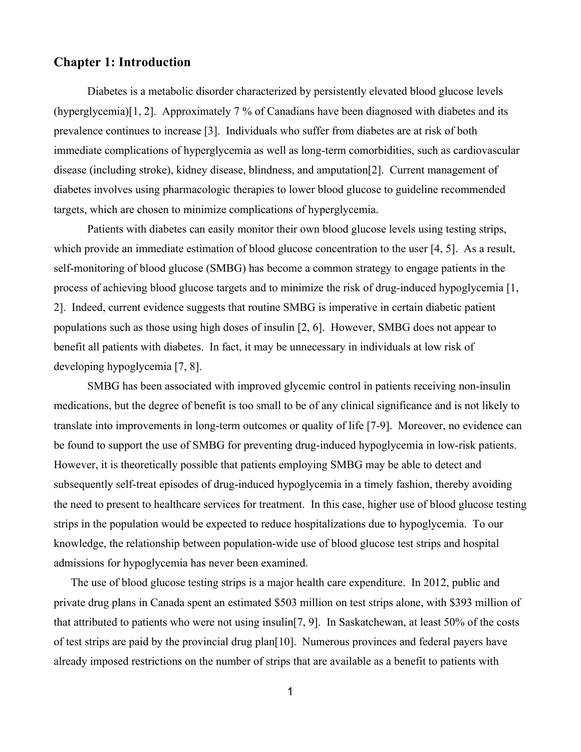## **Chapter 1: Introduction**

Diabetes is a metabolic disorder characterized by persistently elevated blood glucose levels (hyperglycemia)[1, 2]. Approximately 7 % of Canadians have been diagnosed with diabetes and its prevalence continues to increase [3]. Individuals who suffer from diabetes are at risk of both immediate complications of hyperglycemia as well as long-term comorbidities, such as cardiovascular disease (including stroke), kidney disease, blindness, and amputation[2]. Current management of diabetes involves using pharmacologic therapies to lower blood glucose to guideline recommended targets, which are chosen to minimize complications of hyperglycemia.

Patients with diabetes can easily monitor their own blood glucose levels using testing strips, which provide an immediate estimation of blood glucose concentration to the user [4, 5]. As a result, self-monitoring of blood glucose (SMBG) has become a common strategy to engage patients in the process of achieving blood glucose targets and to minimize the risk of drug-induced hypoglycemia [1, 2]. Indeed, current evidence suggests that routine SMBG is imperative in certain diabetic patient populations such as those using high doses of insulin [2, 6]. However, SMBG does not appear to benefit all patients with diabetes. In fact, it may be unnecessary in individuals at low risk of developing hypoglycemia [7, 8].

SMBG has been associated with improved glycemic control in patients receiving non-insulin medications, but the degree of benefit is too small to be of any clinical significance and is not likely to translate into improvements in long-term outcomes or quality of life [7-9]. Moreover, no evidence can be found to support the use of SMBG for preventing drug-induced hypoglycemia in low-risk patients. However, it is theoretically possible that patients employing SMBG may be able to detect and subsequently self-treat episodes of drug-induced hypoglycemia in a timely fashion, thereby avoiding the need to present to healthcare services for treatment. In this case, higher use of blood glucose testing strips in the population would be expected to reduce hospitalizations due to hypoglycemia. To our knowledge, the relationship between population-wide use of blood glucose test strips and hospital admissions for hypoglycemia has never been examined.

The use of blood glucose testing strips is a major health care expenditure. In 2012, public and private drug plans in Canada spent an estimated \$503 million on test strips alone, with \$393 million of that attributed to patients who were not using insulin[7, 9]. In Saskatchewan, at least 50% of the costs of test strips are paid by the provincial drug plan[10]. Numerous provinces and federal payers have already imposed restrictions on the number of strips that are available as a benefit to patients with

1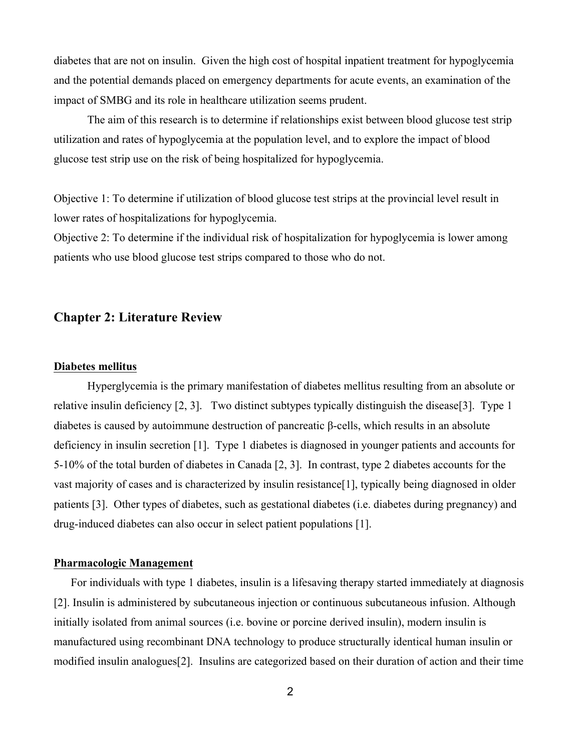diabetes that are not on insulin. Given the high cost of hospital inpatient treatment for hypoglycemia and the potential demands placed on emergency departments for acute events, an examination of the impact of SMBG and its role in healthcare utilization seems prudent.

The aim of this research is to determine if relationships exist between blood glucose test strip utilization and rates of hypoglycemia at the population level, and to explore the impact of blood glucose test strip use on the risk of being hospitalized for hypoglycemia.

Objective 1: To determine if utilization of blood glucose test strips at the provincial level result in lower rates of hospitalizations for hypoglycemia.

Objective 2: To determine if the individual risk of hospitalization for hypoglycemia is lower among patients who use blood glucose test strips compared to those who do not.

# **Chapter 2: Literature Review**

#### **Diabetes mellitus**

Hyperglycemia is the primary manifestation of diabetes mellitus resulting from an absolute or relative insulin deficiency [2, 3]. Two distinct subtypes typically distinguish the disease[3]. Type 1 diabetes is caused by autoimmune destruction of pancreatic β-cells, which results in an absolute deficiency in insulin secretion [1]. Type 1 diabetes is diagnosed in younger patients and accounts for 5-10% of the total burden of diabetes in Canada [2, 3]. In contrast, type 2 diabetes accounts for the vast majority of cases and is characterized by insulin resistance[1], typically being diagnosed in older patients [3]. Other types of diabetes, such as gestational diabetes (i.e. diabetes during pregnancy) and drug-induced diabetes can also occur in select patient populations [1].

### **Pharmacologic Management**

For individuals with type 1 diabetes, insulin is a lifesaving therapy started immediately at diagnosis [2]. Insulin is administered by subcutaneous injection or continuous subcutaneous infusion. Although initially isolated from animal sources (i.e. bovine or porcine derived insulin), modern insulin is manufactured using recombinant DNA technology to produce structurally identical human insulin or modified insulin analogues[2]. Insulins are categorized based on their duration of action and their time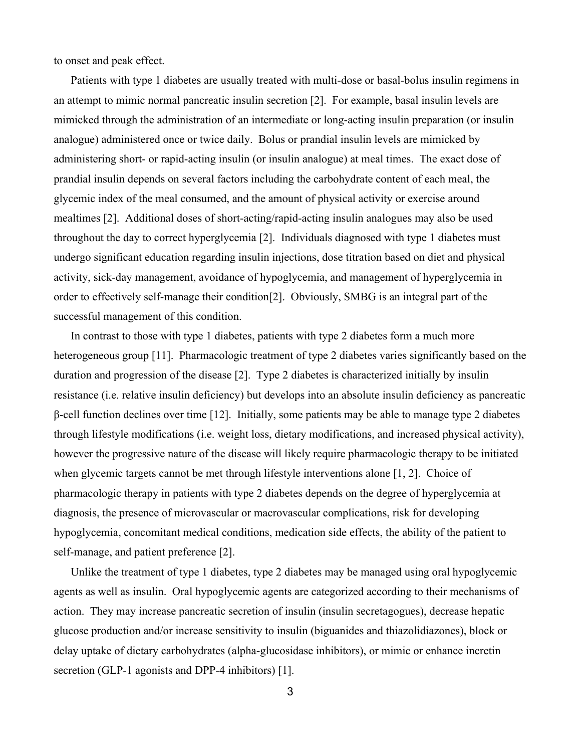to onset and peak effect.

Patients with type 1 diabetes are usually treated with multi-dose or basal-bolus insulin regimens in an attempt to mimic normal pancreatic insulin secretion [2]. For example, basal insulin levels are mimicked through the administration of an intermediate or long-acting insulin preparation (or insulin analogue) administered once or twice daily. Bolus or prandial insulin levels are mimicked by administering short- or rapid-acting insulin (or insulin analogue) at meal times. The exact dose of prandial insulin depends on several factors including the carbohydrate content of each meal, the glycemic index of the meal consumed, and the amount of physical activity or exercise around mealtimes [2]. Additional doses of short-acting/rapid-acting insulin analogues may also be used throughout the day to correct hyperglycemia [2]. Individuals diagnosed with type 1 diabetes must undergo significant education regarding insulin injections, dose titration based on diet and physical activity, sick-day management, avoidance of hypoglycemia, and management of hyperglycemia in order to effectively self-manage their condition[2]. Obviously, SMBG is an integral part of the successful management of this condition.

In contrast to those with type 1 diabetes, patients with type 2 diabetes form a much more heterogeneous group [11]. Pharmacologic treatment of type 2 diabetes varies significantly based on the duration and progression of the disease [2]. Type 2 diabetes is characterized initially by insulin resistance (i.e. relative insulin deficiency) but develops into an absolute insulin deficiency as pancreatic β-cell function declines over time [12]. Initially, some patients may be able to manage type 2 diabetes through lifestyle modifications (i.e. weight loss, dietary modifications, and increased physical activity), however the progressive nature of the disease will likely require pharmacologic therapy to be initiated when glycemic targets cannot be met through lifestyle interventions alone [1, 2]. Choice of pharmacologic therapy in patients with type 2 diabetes depends on the degree of hyperglycemia at diagnosis, the presence of microvascular or macrovascular complications, risk for developing hypoglycemia, concomitant medical conditions, medication side effects, the ability of the patient to self-manage, and patient preference [2].

Unlike the treatment of type 1 diabetes, type 2 diabetes may be managed using oral hypoglycemic agents as well as insulin. Oral hypoglycemic agents are categorized according to their mechanisms of action. They may increase pancreatic secretion of insulin (insulin secretagogues), decrease hepatic glucose production and/or increase sensitivity to insulin (biguanides and thiazolidiazones), block or delay uptake of dietary carbohydrates (alpha-glucosidase inhibitors), or mimic or enhance incretin secretion (GLP-1 agonists and DPP-4 inhibitors) [1].

3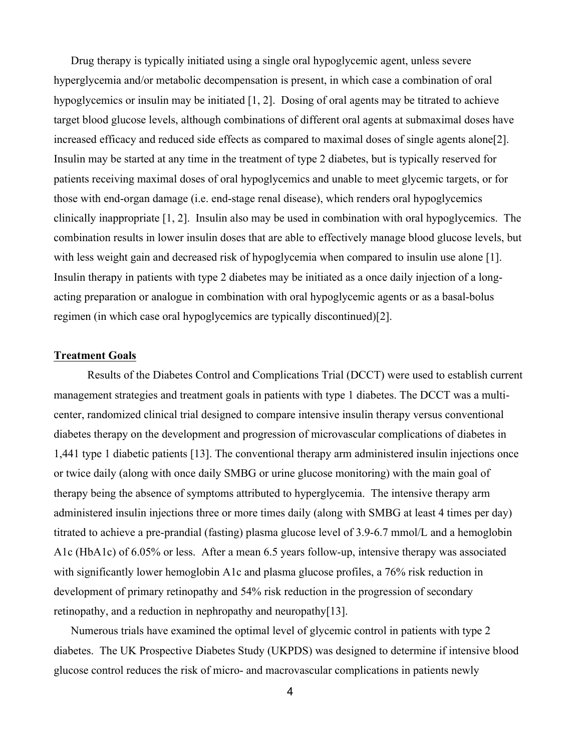Drug therapy is typically initiated using a single oral hypoglycemic agent, unless severe hyperglycemia and/or metabolic decompensation is present, in which case a combination of oral hypoglycemics or insulin may be initiated [1, 2]. Dosing of oral agents may be titrated to achieve target blood glucose levels, although combinations of different oral agents at submaximal doses have increased efficacy and reduced side effects as compared to maximal doses of single agents alone[2]. Insulin may be started at any time in the treatment of type 2 diabetes, but is typically reserved for patients receiving maximal doses of oral hypoglycemics and unable to meet glycemic targets, or for those with end-organ damage (i.e. end-stage renal disease), which renders oral hypoglycemics clinically inappropriate [1, 2]. Insulin also may be used in combination with oral hypoglycemics. The combination results in lower insulin doses that are able to effectively manage blood glucose levels, but with less weight gain and decreased risk of hypoglycemia when compared to insulin use alone [1]. Insulin therapy in patients with type 2 diabetes may be initiated as a once daily injection of a longacting preparation or analogue in combination with oral hypoglycemic agents or as a basal-bolus regimen (in which case oral hypoglycemics are typically discontinued)[2].

### **Treatment Goals**

Results of the Diabetes Control and Complications Trial (DCCT) were used to establish current management strategies and treatment goals in patients with type 1 diabetes. The DCCT was a multicenter, randomized clinical trial designed to compare intensive insulin therapy versus conventional diabetes therapy on the development and progression of microvascular complications of diabetes in 1,441 type 1 diabetic patients [13]. The conventional therapy arm administered insulin injections once or twice daily (along with once daily SMBG or urine glucose monitoring) with the main goal of therapy being the absence of symptoms attributed to hyperglycemia. The intensive therapy arm administered insulin injections three or more times daily (along with SMBG at least 4 times per day) titrated to achieve a pre-prandial (fasting) plasma glucose level of 3.9-6.7 mmol/L and a hemoglobin A1c (HbA1c) of 6.05% or less. After a mean 6.5 years follow-up, intensive therapy was associated with significantly lower hemoglobin A1c and plasma glucose profiles, a 76% risk reduction in development of primary retinopathy and 54% risk reduction in the progression of secondary retinopathy, and a reduction in nephropathy and neuropathy [13].

Numerous trials have examined the optimal level of glycemic control in patients with type 2 diabetes. The UK Prospective Diabetes Study (UKPDS) was designed to determine if intensive blood glucose control reduces the risk of micro- and macrovascular complications in patients newly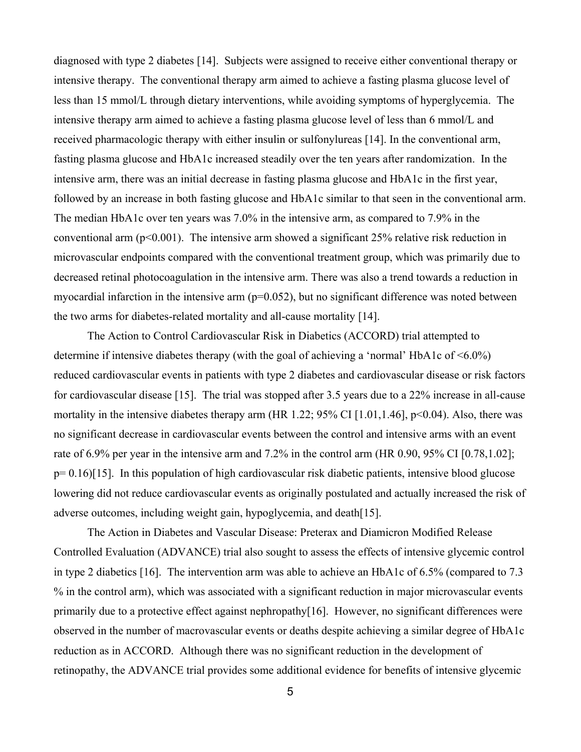diagnosed with type 2 diabetes [14]. Subjects were assigned to receive either conventional therapy or intensive therapy. The conventional therapy arm aimed to achieve a fasting plasma glucose level of less than 15 mmol/L through dietary interventions, while avoiding symptoms of hyperglycemia. The intensive therapy arm aimed to achieve a fasting plasma glucose level of less than 6 mmol/L and received pharmacologic therapy with either insulin or sulfonylureas [14]. In the conventional arm, fasting plasma glucose and HbA1c increased steadily over the ten years after randomization. In the intensive arm, there was an initial decrease in fasting plasma glucose and HbA1c in the first year, followed by an increase in both fasting glucose and HbA1c similar to that seen in the conventional arm. The median HbA1c over ten years was 7.0% in the intensive arm, as compared to 7.9% in the conventional arm  $(p<0.001)$ . The intensive arm showed a significant 25% relative risk reduction in microvascular endpoints compared with the conventional treatment group, which was primarily due to decreased retinal photocoagulation in the intensive arm. There was also a trend towards a reduction in myocardial infarction in the intensive arm  $(p=0.052)$ , but no significant difference was noted between the two arms for diabetes-related mortality and all-cause mortality [14].

The Action to Control Cardiovascular Risk in Diabetics (ACCORD) trial attempted to determine if intensive diabetes therapy (with the goal of achieving a 'normal' HbA1c of <6.0%) reduced cardiovascular events in patients with type 2 diabetes and cardiovascular disease or risk factors for cardiovascular disease [15]. The trial was stopped after 3.5 years due to a 22% increase in all-cause mortality in the intensive diabetes therapy arm (HR 1.22; 95% CI [1.01,1.46], p<0.04). Also, there was no significant decrease in cardiovascular events between the control and intensive arms with an event rate of 6.9% per year in the intensive arm and 7.2% in the control arm (HR 0.90, 95% CI [0.78,1.02]; p= 0.16)[15]. In this population of high cardiovascular risk diabetic patients, intensive blood glucose lowering did not reduce cardiovascular events as originally postulated and actually increased the risk of adverse outcomes, including weight gain, hypoglycemia, and death[15].

The Action in Diabetes and Vascular Disease: Preterax and Diamicron Modified Release Controlled Evaluation (ADVANCE) trial also sought to assess the effects of intensive glycemic control in type 2 diabetics [16]. The intervention arm was able to achieve an HbA1c of 6.5% (compared to 7.3 % in the control arm), which was associated with a significant reduction in major microvascular events primarily due to a protective effect against nephropathy[16]. However, no significant differences were observed in the number of macrovascular events or deaths despite achieving a similar degree of HbA1c reduction as in ACCORD. Although there was no significant reduction in the development of retinopathy, the ADVANCE trial provides some additional evidence for benefits of intensive glycemic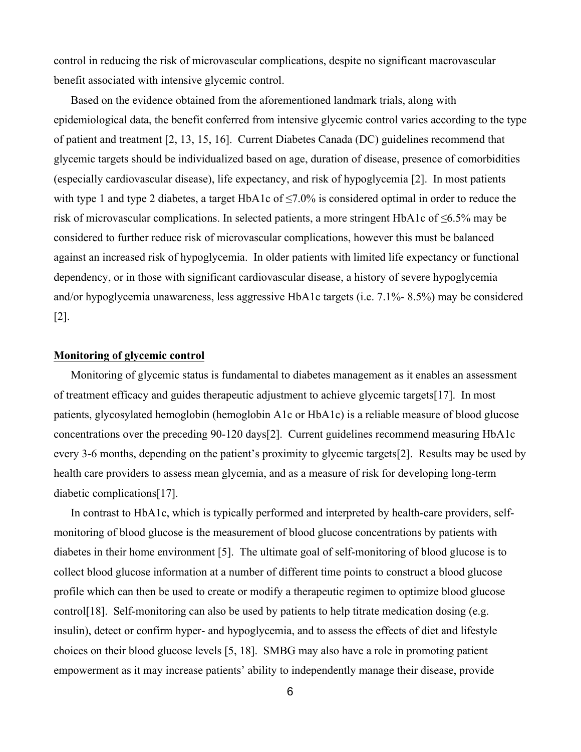control in reducing the risk of microvascular complications, despite no significant macrovascular benefit associated with intensive glycemic control.

Based on the evidence obtained from the aforementioned landmark trials, along with epidemiological data, the benefit conferred from intensive glycemic control varies according to the type of patient and treatment [2, 13, 15, 16]. Current Diabetes Canada (DC) guidelines recommend that glycemic targets should be individualized based on age, duration of disease, presence of comorbidities (especially cardiovascular disease), life expectancy, and risk of hypoglycemia [2]. In most patients with type 1 and type 2 diabetes, a target HbA1c of  $\leq$ 7.0% is considered optimal in order to reduce the risk of microvascular complications. In selected patients, a more stringent HbA1c of ≤6.5% may be considered to further reduce risk of microvascular complications, however this must be balanced against an increased risk of hypoglycemia. In older patients with limited life expectancy or functional dependency, or in those with significant cardiovascular disease, a history of severe hypoglycemia and/or hypoglycemia unawareness, less aggressive HbA1c targets (i.e. 7.1%- 8.5%) may be considered [2].

#### **Monitoring of glycemic control**

Monitoring of glycemic status is fundamental to diabetes management as it enables an assessment of treatment efficacy and guides therapeutic adjustment to achieve glycemic targets[17]. In most patients, glycosylated hemoglobin (hemoglobin A1c or HbA1c) is a reliable measure of blood glucose concentrations over the preceding 90-120 days[2]. Current guidelines recommend measuring HbA1c every 3-6 months, depending on the patient's proximity to glycemic targets[2]. Results may be used by health care providers to assess mean glycemia, and as a measure of risk for developing long-term diabetic complications[17].

In contrast to HbA1c, which is typically performed and interpreted by health-care providers, selfmonitoring of blood glucose is the measurement of blood glucose concentrations by patients with diabetes in their home environment [5]. The ultimate goal of self-monitoring of blood glucose is to collect blood glucose information at a number of different time points to construct a blood glucose profile which can then be used to create or modify a therapeutic regimen to optimize blood glucose control[18]. Self-monitoring can also be used by patients to help titrate medication dosing (e.g. insulin), detect or confirm hyper- and hypoglycemia, and to assess the effects of diet and lifestyle choices on their blood glucose levels [5, 18]. SMBG may also have a role in promoting patient empowerment as it may increase patients' ability to independently manage their disease, provide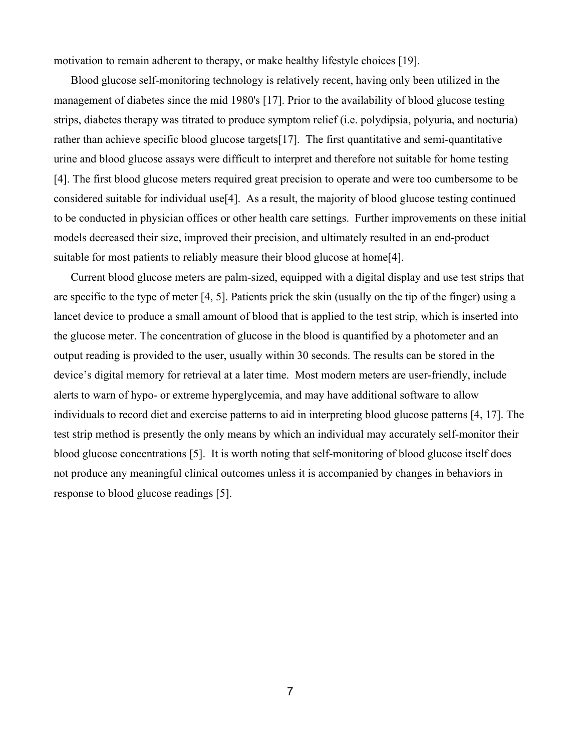motivation to remain adherent to therapy, or make healthy lifestyle choices [19].

Blood glucose self-monitoring technology is relatively recent, having only been utilized in the management of diabetes since the mid 1980's [17]. Prior to the availability of blood glucose testing strips, diabetes therapy was titrated to produce symptom relief (i.e. polydipsia, polyuria, and nocturia) rather than achieve specific blood glucose targets[17]. The first quantitative and semi-quantitative urine and blood glucose assays were difficult to interpret and therefore not suitable for home testing [4]. The first blood glucose meters required great precision to operate and were too cumbersome to be considered suitable for individual use[4]. As a result, the majority of blood glucose testing continued to be conducted in physician offices or other health care settings. Further improvements on these initial models decreased their size, improved their precision, and ultimately resulted in an end-product suitable for most patients to reliably measure their blood glucose at home<sup>[4]</sup>.

Current blood glucose meters are palm-sized, equipped with a digital display and use test strips that are specific to the type of meter [4, 5]. Patients prick the skin (usually on the tip of the finger) using a lancet device to produce a small amount of blood that is applied to the test strip, which is inserted into the glucose meter. The concentration of glucose in the blood is quantified by a photometer and an output reading is provided to the user, usually within 30 seconds. The results can be stored in the device's digital memory for retrieval at a later time. Most modern meters are user-friendly, include alerts to warn of hypo- or extreme hyperglycemia, and may have additional software to allow individuals to record diet and exercise patterns to aid in interpreting blood glucose patterns [4, 17]. The test strip method is presently the only means by which an individual may accurately self-monitor their blood glucose concentrations [5]. It is worth noting that self-monitoring of blood glucose itself does not produce any meaningful clinical outcomes unless it is accompanied by changes in behaviors in response to blood glucose readings [5].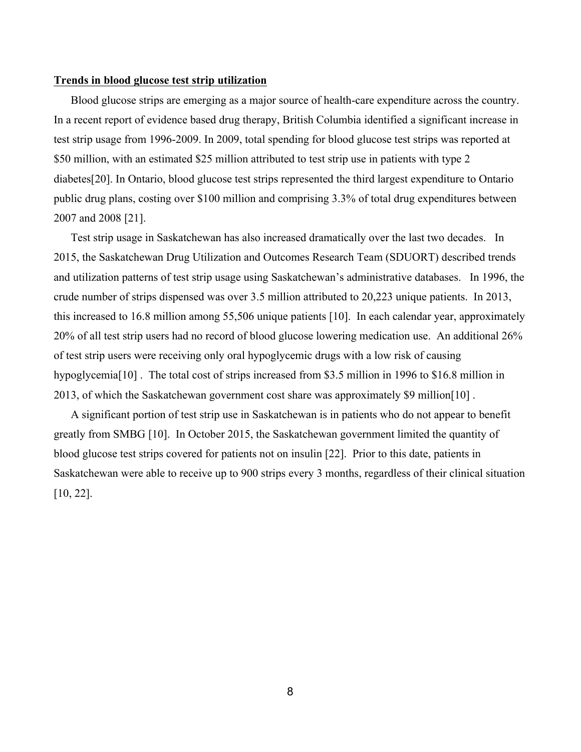#### **Trends in blood glucose test strip utilization**

Blood glucose strips are emerging as a major source of health-care expenditure across the country. In a recent report of evidence based drug therapy, British Columbia identified a significant increase in test strip usage from 1996-2009. In 2009, total spending for blood glucose test strips was reported at \$50 million, with an estimated \$25 million attributed to test strip use in patients with type 2 diabetes[20]. In Ontario, blood glucose test strips represented the third largest expenditure to Ontario public drug plans, costing over \$100 million and comprising 3.3% of total drug expenditures between 2007 and 2008 [21].

Test strip usage in Saskatchewan has also increased dramatically over the last two decades. In 2015, the Saskatchewan Drug Utilization and Outcomes Research Team (SDUORT) described trends and utilization patterns of test strip usage using Saskatchewan's administrative databases. In 1996, the crude number of strips dispensed was over 3.5 million attributed to 20,223 unique patients. In 2013, this increased to 16.8 million among 55,506 unique patients [10]. In each calendar year, approximately 20% of all test strip users had no record of blood glucose lowering medication use. An additional 26% of test strip users were receiving only oral hypoglycemic drugs with a low risk of causing hypoglycemia<sup>[10]</sup>. The total cost of strips increased from \$3.5 million in 1996 to \$16.8 million in 2013, of which the Saskatchewan government cost share was approximately \$9 million[10] .

A significant portion of test strip use in Saskatchewan is in patients who do not appear to benefit greatly from SMBG [10]. In October 2015, the Saskatchewan government limited the quantity of blood glucose test strips covered for patients not on insulin [22]. Prior to this date, patients in Saskatchewan were able to receive up to 900 strips every 3 months, regardless of their clinical situation [10, 22].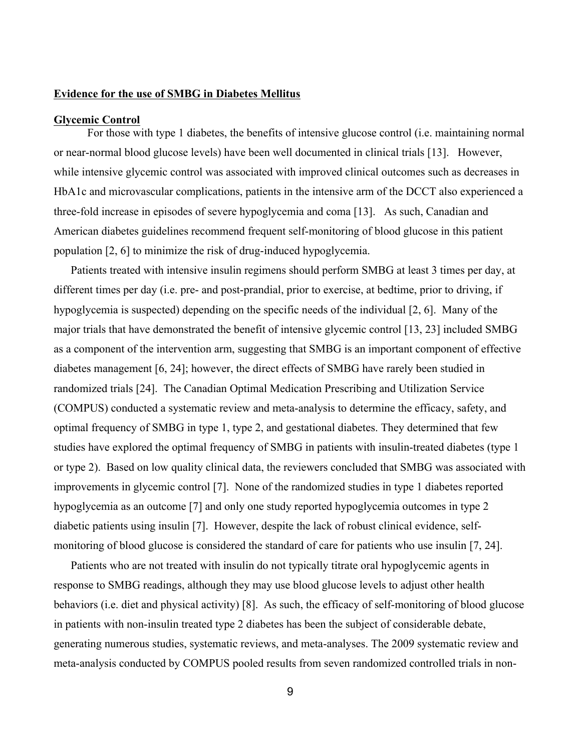## **Evidence for the use of SMBG in Diabetes Mellitus**

#### **Glycemic Control**

For those with type 1 diabetes, the benefits of intensive glucose control (i.e. maintaining normal or near-normal blood glucose levels) have been well documented in clinical trials [13]. However, while intensive glycemic control was associated with improved clinical outcomes such as decreases in HbA1c and microvascular complications, patients in the intensive arm of the DCCT also experienced a three-fold increase in episodes of severe hypoglycemia and coma [13]. As such, Canadian and American diabetes guidelines recommend frequent self-monitoring of blood glucose in this patient population [2, 6] to minimize the risk of drug-induced hypoglycemia.

Patients treated with intensive insulin regimens should perform SMBG at least 3 times per day, at different times per day (i.e. pre- and post-prandial, prior to exercise, at bedtime, prior to driving, if hypoglycemia is suspected) depending on the specific needs of the individual [2, 6]. Many of the major trials that have demonstrated the benefit of intensive glycemic control [13, 23] included SMBG as a component of the intervention arm, suggesting that SMBG is an important component of effective diabetes management [6, 24]; however, the direct effects of SMBG have rarely been studied in randomized trials [24]. The Canadian Optimal Medication Prescribing and Utilization Service (COMPUS) conducted a systematic review and meta-analysis to determine the efficacy, safety, and optimal frequency of SMBG in type 1, type 2, and gestational diabetes. They determined that few studies have explored the optimal frequency of SMBG in patients with insulin-treated diabetes (type 1 or type 2). Based on low quality clinical data, the reviewers concluded that SMBG was associated with improvements in glycemic control [7]. None of the randomized studies in type 1 diabetes reported hypoglycemia as an outcome [7] and only one study reported hypoglycemia outcomes in type 2 diabetic patients using insulin [7]. However, despite the lack of robust clinical evidence, selfmonitoring of blood glucose is considered the standard of care for patients who use insulin [7, 24].

Patients who are not treated with insulin do not typically titrate oral hypoglycemic agents in response to SMBG readings, although they may use blood glucose levels to adjust other health behaviors (i.e. diet and physical activity) [8]. As such, the efficacy of self-monitoring of blood glucose in patients with non-insulin treated type 2 diabetes has been the subject of considerable debate, generating numerous studies, systematic reviews, and meta-analyses. The 2009 systematic review and meta-analysis conducted by COMPUS pooled results from seven randomized controlled trials in non-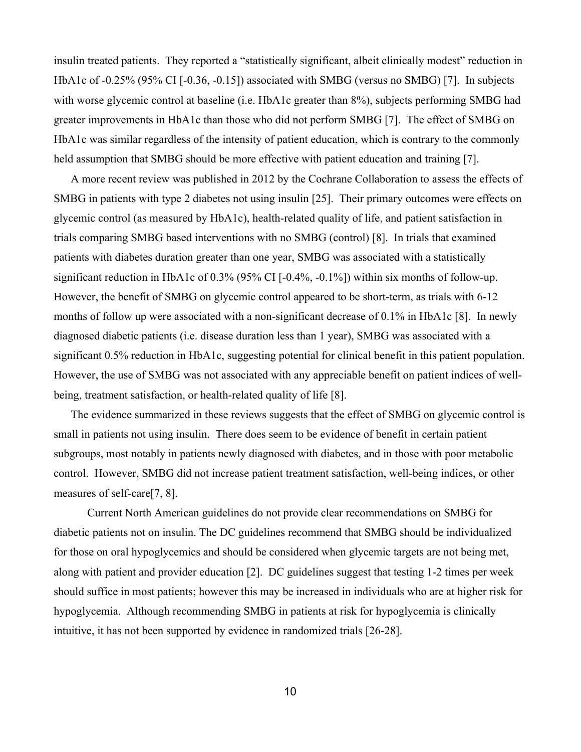insulin treated patients. They reported a "statistically significant, albeit clinically modest" reduction in HbA1c of -0.25% (95% CI [-0.36, -0.15]) associated with SMBG (versus no SMBG) [7]. In subjects with worse glycemic control at baseline (i.e. HbA1c greater than  $8\%$ ), subjects performing SMBG had greater improvements in HbA1c than those who did not perform SMBG [7]. The effect of SMBG on HbA1c was similar regardless of the intensity of patient education, which is contrary to the commonly held assumption that SMBG should be more effective with patient education and training [7].

A more recent review was published in 2012 by the Cochrane Collaboration to assess the effects of SMBG in patients with type 2 diabetes not using insulin [25]. Their primary outcomes were effects on glycemic control (as measured by HbA1c), health-related quality of life, and patient satisfaction in trials comparing SMBG based interventions with no SMBG (control) [8]. In trials that examined patients with diabetes duration greater than one year, SMBG was associated with a statistically significant reduction in HbA1c of 0.3% (95% CI [-0.4%, -0.1%]) within six months of follow-up. However, the benefit of SMBG on glycemic control appeared to be short-term, as trials with 6-12 months of follow up were associated with a non-significant decrease of 0.1% in HbA1c [8]. In newly diagnosed diabetic patients (i.e. disease duration less than 1 year), SMBG was associated with a significant 0.5% reduction in HbA1c, suggesting potential for clinical benefit in this patient population. However, the use of SMBG was not associated with any appreciable benefit on patient indices of wellbeing, treatment satisfaction, or health-related quality of life [8].

The evidence summarized in these reviews suggests that the effect of SMBG on glycemic control is small in patients not using insulin. There does seem to be evidence of benefit in certain patient subgroups, most notably in patients newly diagnosed with diabetes, and in those with poor metabolic control. However, SMBG did not increase patient treatment satisfaction, well-being indices, or other measures of self-care[7, 8].

Current North American guidelines do not provide clear recommendations on SMBG for diabetic patients not on insulin. The DC guidelines recommend that SMBG should be individualized for those on oral hypoglycemics and should be considered when glycemic targets are not being met, along with patient and provider education [2]. DC guidelines suggest that testing 1-2 times per week should suffice in most patients; however this may be increased in individuals who are at higher risk for hypoglycemia. Although recommending SMBG in patients at risk for hypoglycemia is clinically intuitive, it has not been supported by evidence in randomized trials [26-28].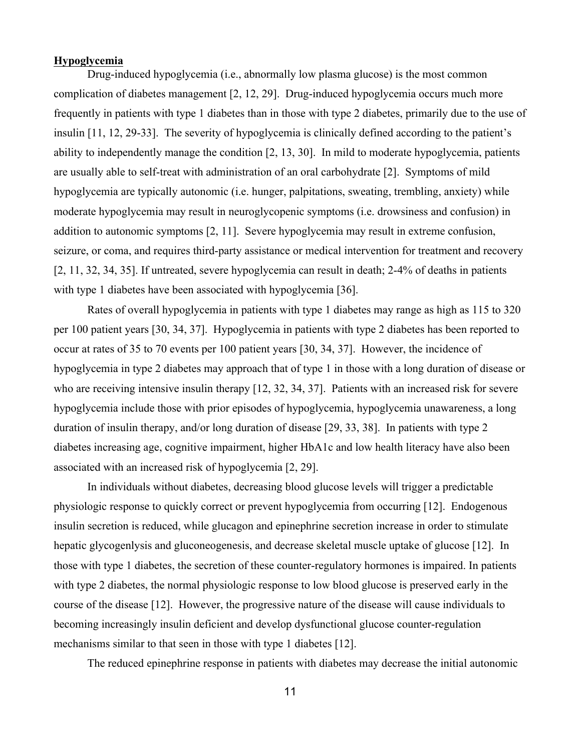#### **Hypoglycemia**

Drug-induced hypoglycemia (i.e., abnormally low plasma glucose) is the most common complication of diabetes management [2, 12, 29]. Drug-induced hypoglycemia occurs much more frequently in patients with type 1 diabetes than in those with type 2 diabetes, primarily due to the use of insulin [11, 12, 29-33]. The severity of hypoglycemia is clinically defined according to the patient's ability to independently manage the condition [2, 13, 30]. In mild to moderate hypoglycemia, patients are usually able to self-treat with administration of an oral carbohydrate [2]. Symptoms of mild hypoglycemia are typically autonomic (i.e. hunger, palpitations, sweating, trembling, anxiety) while moderate hypoglycemia may result in neuroglycopenic symptoms (i.e. drowsiness and confusion) in addition to autonomic symptoms [2, 11]. Severe hypoglycemia may result in extreme confusion, seizure, or coma, and requires third-party assistance or medical intervention for treatment and recovery [2, 11, 32, 34, 35]. If untreated, severe hypoglycemia can result in death; 2-4% of deaths in patients with type 1 diabetes have been associated with hypoglycemia [36].

Rates of overall hypoglycemia in patients with type 1 diabetes may range as high as 115 to 320 per 100 patient years [30, 34, 37]. Hypoglycemia in patients with type 2 diabetes has been reported to occur at rates of 35 to 70 events per 100 patient years [30, 34, 37]. However, the incidence of hypoglycemia in type 2 diabetes may approach that of type 1 in those with a long duration of disease or who are receiving intensive insulin therapy [12, 32, 34, 37]. Patients with an increased risk for severe hypoglycemia include those with prior episodes of hypoglycemia, hypoglycemia unawareness, a long duration of insulin therapy, and/or long duration of disease [29, 33, 38]. In patients with type 2 diabetes increasing age, cognitive impairment, higher HbA1c and low health literacy have also been associated with an increased risk of hypoglycemia [2, 29].

In individuals without diabetes, decreasing blood glucose levels will trigger a predictable physiologic response to quickly correct or prevent hypoglycemia from occurring [12]. Endogenous insulin secretion is reduced, while glucagon and epinephrine secretion increase in order to stimulate hepatic glycogenlysis and gluconeogenesis, and decrease skeletal muscle uptake of glucose [12]. In those with type 1 diabetes, the secretion of these counter-regulatory hormones is impaired. In patients with type 2 diabetes, the normal physiologic response to low blood glucose is preserved early in the course of the disease [12]. However, the progressive nature of the disease will cause individuals to becoming increasingly insulin deficient and develop dysfunctional glucose counter-regulation mechanisms similar to that seen in those with type 1 diabetes [12].

The reduced epinephrine response in patients with diabetes may decrease the initial autonomic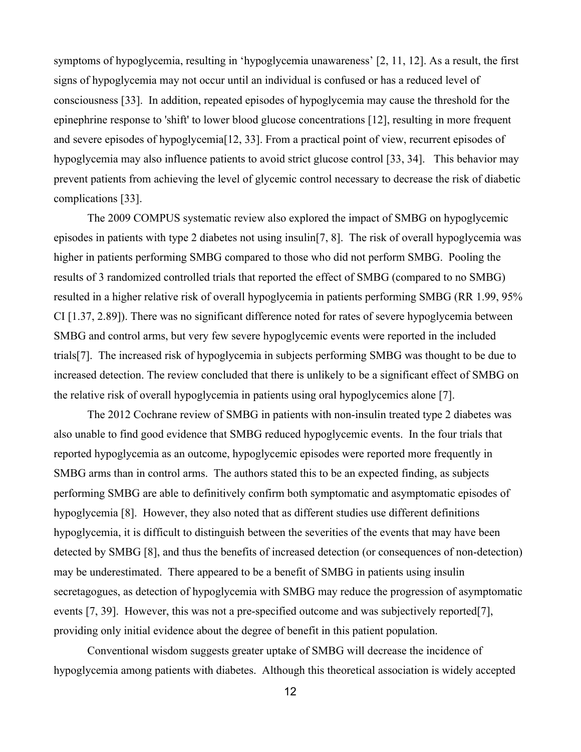symptoms of hypoglycemia, resulting in 'hypoglycemia unawareness' [2, 11, 12]. As a result, the first signs of hypoglycemia may not occur until an individual is confused or has a reduced level of consciousness [33]. In addition, repeated episodes of hypoglycemia may cause the threshold for the epinephrine response to 'shift' to lower blood glucose concentrations [12], resulting in more frequent and severe episodes of hypoglycemia[12, 33]. From a practical point of view, recurrent episodes of hypoglycemia may also influence patients to avoid strict glucose control [33, 34]. This behavior may prevent patients from achieving the level of glycemic control necessary to decrease the risk of diabetic complications [33].

The 2009 COMPUS systematic review also explored the impact of SMBG on hypoglycemic episodes in patients with type 2 diabetes not using insulin[7, 8]. The risk of overall hypoglycemia was higher in patients performing SMBG compared to those who did not perform SMBG. Pooling the results of 3 randomized controlled trials that reported the effect of SMBG (compared to no SMBG) resulted in a higher relative risk of overall hypoglycemia in patients performing SMBG (RR 1.99, 95% CI [1.37, 2.89]). There was no significant difference noted for rates of severe hypoglycemia between SMBG and control arms, but very few severe hypoglycemic events were reported in the included trials[7]. The increased risk of hypoglycemia in subjects performing SMBG was thought to be due to increased detection. The review concluded that there is unlikely to be a significant effect of SMBG on the relative risk of overall hypoglycemia in patients using oral hypoglycemics alone [7].

The 2012 Cochrane review of SMBG in patients with non-insulin treated type 2 diabetes was also unable to find good evidence that SMBG reduced hypoglycemic events. In the four trials that reported hypoglycemia as an outcome, hypoglycemic episodes were reported more frequently in SMBG arms than in control arms. The authors stated this to be an expected finding, as subjects performing SMBG are able to definitively confirm both symptomatic and asymptomatic episodes of hypoglycemia [8]. However, they also noted that as different studies use different definitions hypoglycemia, it is difficult to distinguish between the severities of the events that may have been detected by SMBG [8], and thus the benefits of increased detection (or consequences of non-detection) may be underestimated. There appeared to be a benefit of SMBG in patients using insulin secretagogues, as detection of hypoglycemia with SMBG may reduce the progression of asymptomatic events [7, 39]. However, this was not a pre-specified outcome and was subjectively reported[7], providing only initial evidence about the degree of benefit in this patient population.

Conventional wisdom suggests greater uptake of SMBG will decrease the incidence of hypoglycemia among patients with diabetes. Although this theoretical association is widely accepted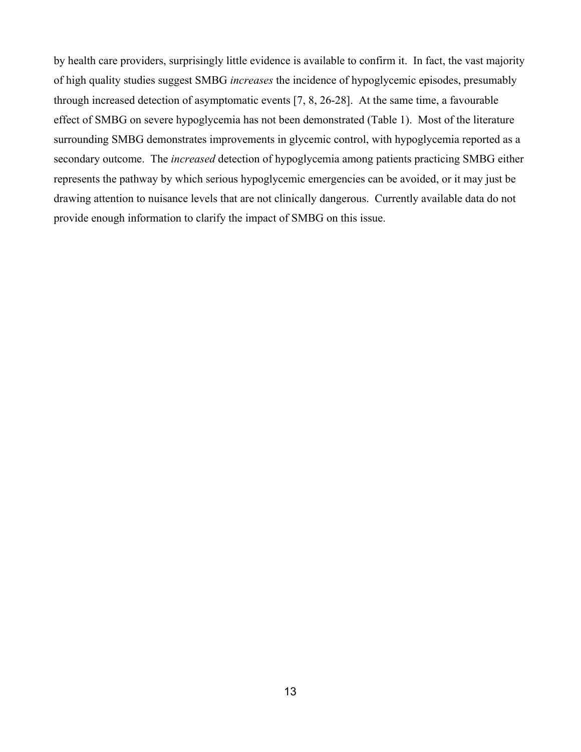by health care providers, surprisingly little evidence is available to confirm it. In fact, the vast majority of high quality studies suggest SMBG *increases* the incidence of hypoglycemic episodes, presumably through increased detection of asymptomatic events [7, 8, 26-28]. At the same time, a favourable effect of SMBG on severe hypoglycemia has not been demonstrated (Table 1). Most of the literature surrounding SMBG demonstrates improvements in glycemic control, with hypoglycemia reported as a secondary outcome. The *increased* detection of hypoglycemia among patients practicing SMBG either represents the pathway by which serious hypoglycemic emergencies can be avoided, or it may just be drawing attention to nuisance levels that are not clinically dangerous. Currently available data do not provide enough information to clarify the impact of SMBG on this issue.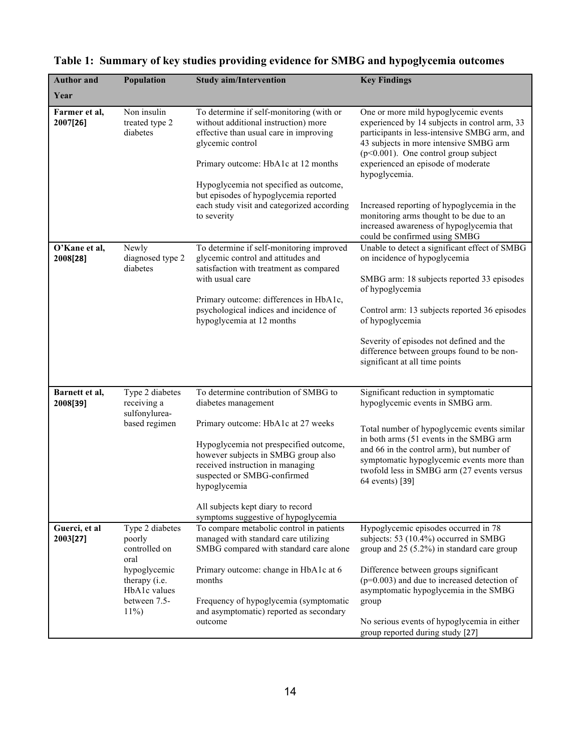| <b>Author</b> and          | <b>Population</b>                                                  | <b>Study aim/Intervention</b>                                                                                                                                                                                                                                                      | <b>Key Findings</b>                                                                                                                                                                                                                                                               |
|----------------------------|--------------------------------------------------------------------|------------------------------------------------------------------------------------------------------------------------------------------------------------------------------------------------------------------------------------------------------------------------------------|-----------------------------------------------------------------------------------------------------------------------------------------------------------------------------------------------------------------------------------------------------------------------------------|
| Year                       |                                                                    |                                                                                                                                                                                                                                                                                    |                                                                                                                                                                                                                                                                                   |
| Farmer et al,<br>2007[26]  | Non insulin<br>treated type 2<br>diabetes                          | To determine if self-monitoring (with or<br>without additional instruction) more<br>effective than usual care in improving<br>glycemic control<br>Primary outcome: HbA1c at 12 months                                                                                              | One or more mild hypoglycemic events<br>experienced by 14 subjects in control arm, 33<br>participants in less-intensive SMBG arm, and<br>43 subjects in more intensive SMBG arm<br>$(p<0.001)$ . One control group subject<br>experienced an episode of moderate<br>hypoglycemia. |
|                            |                                                                    | Hypoglycemia not specified as outcome,<br>but episodes of hypoglycemia reported<br>each study visit and categorized according<br>to severity                                                                                                                                       | Increased reporting of hypoglycemia in the<br>monitoring arms thought to be due to an<br>increased awareness of hypoglycemia that<br>could be confirmed using SMBG                                                                                                                |
| O'Kane et al,<br>2008[28]  | Newly<br>diagnosed type 2<br>diabetes                              | To determine if self-monitoring improved<br>glycemic control and attitudes and<br>satisfaction with treatment as compared<br>with usual care                                                                                                                                       | Unable to detect a significant effect of SMBG<br>on incidence of hypoglycemia<br>SMBG arm: 18 subjects reported 33 episodes                                                                                                                                                       |
|                            |                                                                    | Primary outcome: differences in HbA1c,<br>psychological indices and incidence of<br>hypoglycemia at 12 months                                                                                                                                                                      | of hypoglycemia<br>Control arm: 13 subjects reported 36 episodes<br>of hypoglycemia                                                                                                                                                                                               |
|                            |                                                                    |                                                                                                                                                                                                                                                                                    | Severity of episodes not defined and the<br>difference between groups found to be non-<br>significant at all time points                                                                                                                                                          |
| Barnett et al,<br>2008[39] | Type 2 diabetes<br>receiving a<br>sulfonylurea-                    | To determine contribution of SMBG to<br>diabetes management                                                                                                                                                                                                                        | Significant reduction in symptomatic<br>hypoglycemic events in SMBG arm.                                                                                                                                                                                                          |
|                            | based regimen                                                      | Primary outcome: HbA1c at 27 weeks<br>Hypoglycemia not prespecified outcome,<br>however subjects in SMBG group also<br>received instruction in managing<br>suspected or SMBG-confirmed<br>hypoglycemia<br>All subjects kept diary to record<br>symptoms suggestive of hypoglycemia | Total number of hypoglycemic events similar<br>in both arms (51 events in the SMBG arm<br>and 66 in the control arm), but number of<br>symptomatic hypoglycemic events more than<br>twofold less in SMBG arm (27 events versus<br>64 events) [39]                                 |
| Guerci, et al<br>2003[27]  | Type 2 diabetes<br>poorly<br>controlled on<br>oral<br>hypoglycemic | To compare metabolic control in patients<br>managed with standard care utilizing<br>SMBG compared with standard care alone<br>Primary outcome: change in HbA1c at 6                                                                                                                | Hypoglycemic episodes occurred in 78<br>subjects: 53 (10.4%) occurred in SMBG<br>group and 25 (5.2%) in standard care group<br>Difference between groups significant                                                                                                              |
|                            | therapy (i.e.<br>HbA1c values<br>between 7.5-<br>$11\%$            | months<br>Frequency of hypoglycemia (symptomatic<br>and asymptomatic) reported as secondary<br>outcome                                                                                                                                                                             | $(p=0.003)$ and due to increased detection of<br>asymptomatic hypoglycemia in the SMBG<br>group<br>No serious events of hypoglycemia in either<br>group reported during study [27]                                                                                                |

# **Table 1: Summary of key studies providing evidence for SMBG and hypoglycemia outcomes**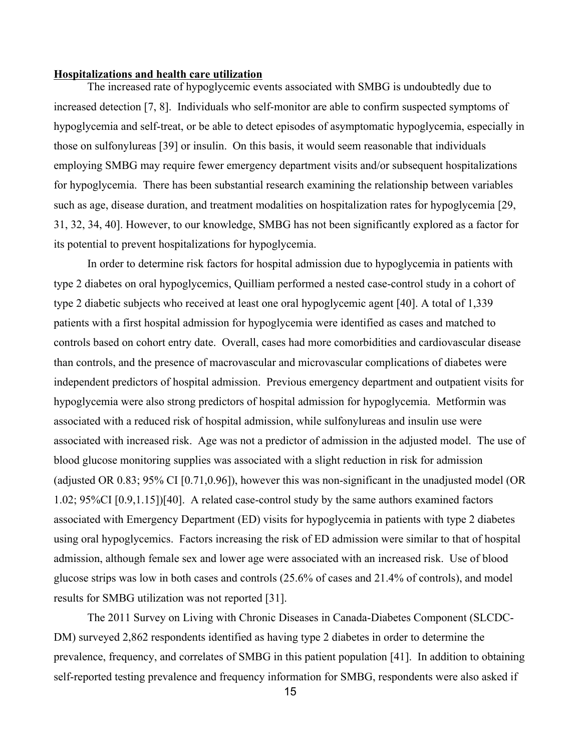## **Hospitalizations and health care utilization**

The increased rate of hypoglycemic events associated with SMBG is undoubtedly due to increased detection [7, 8]. Individuals who self-monitor are able to confirm suspected symptoms of hypoglycemia and self-treat, or be able to detect episodes of asymptomatic hypoglycemia, especially in those on sulfonylureas [39] or insulin. On this basis, it would seem reasonable that individuals employing SMBG may require fewer emergency department visits and/or subsequent hospitalizations for hypoglycemia. There has been substantial research examining the relationship between variables such as age, disease duration, and treatment modalities on hospitalization rates for hypoglycemia [29, 31, 32, 34, 40]. However, to our knowledge, SMBG has not been significantly explored as a factor for its potential to prevent hospitalizations for hypoglycemia.

In order to determine risk factors for hospital admission due to hypoglycemia in patients with type 2 diabetes on oral hypoglycemics, Quilliam performed a nested case-control study in a cohort of type 2 diabetic subjects who received at least one oral hypoglycemic agent [40]. A total of 1,339 patients with a first hospital admission for hypoglycemia were identified as cases and matched to controls based on cohort entry date. Overall, cases had more comorbidities and cardiovascular disease than controls, and the presence of macrovascular and microvascular complications of diabetes were independent predictors of hospital admission. Previous emergency department and outpatient visits for hypoglycemia were also strong predictors of hospital admission for hypoglycemia. Metformin was associated with a reduced risk of hospital admission, while sulfonylureas and insulin use were associated with increased risk. Age was not a predictor of admission in the adjusted model. The use of blood glucose monitoring supplies was associated with a slight reduction in risk for admission (adjusted OR 0.83; 95% CI [0.71,0.96]), however this was non-significant in the unadjusted model (OR 1.02; 95%CI [0.9,1.15])[40]. A related case-control study by the same authors examined factors associated with Emergency Department (ED) visits for hypoglycemia in patients with type 2 diabetes using oral hypoglycemics. Factors increasing the risk of ED admission were similar to that of hospital admission, although female sex and lower age were associated with an increased risk. Use of blood glucose strips was low in both cases and controls (25.6% of cases and 21.4% of controls), and model results for SMBG utilization was not reported [31].

The 2011 Survey on Living with Chronic Diseases in Canada-Diabetes Component (SLCDC-DM) surveyed 2,862 respondents identified as having type 2 diabetes in order to determine the prevalence, frequency, and correlates of SMBG in this patient population [41]. In addition to obtaining self-reported testing prevalence and frequency information for SMBG, respondents were also asked if

15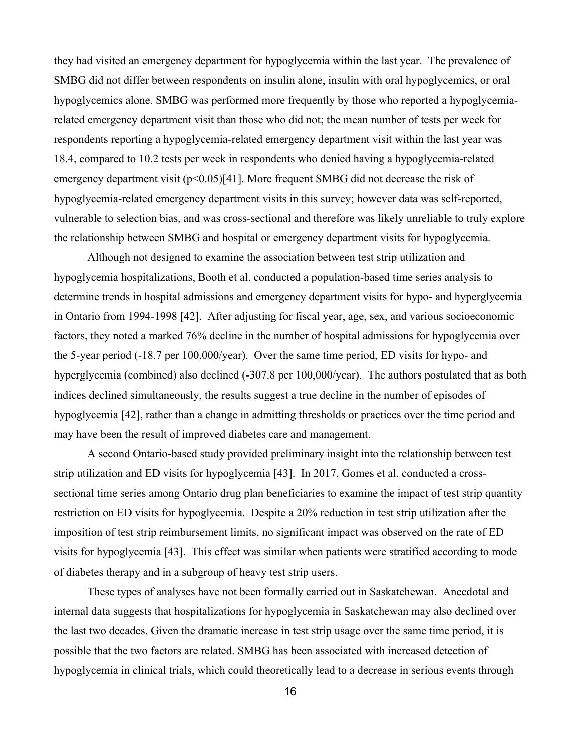they had visited an emergency department for hypoglycemia within the last year. The prevalence of SMBG did not differ between respondents on insulin alone, insulin with oral hypoglycemics, or oral hypoglycemics alone. SMBG was performed more frequently by those who reported a hypoglycemiarelated emergency department visit than those who did not; the mean number of tests per week for respondents reporting a hypoglycemia-related emergency department visit within the last year was 18.4, compared to 10.2 tests per week in respondents who denied having a hypoglycemia-related emergency department visit  $(p<0.05)$ [41]. More frequent SMBG did not decrease the risk of hypoglycemia-related emergency department visits in this survey; however data was self-reported, vulnerable to selection bias, and was cross-sectional and therefore was likely unreliable to truly explore the relationship between SMBG and hospital or emergency department visits for hypoglycemia.

Although not designed to examine the association between test strip utilization and hypoglycemia hospitalizations, Booth et al. conducted a population-based time series analysis to determine trends in hospital admissions and emergency department visits for hypo- and hyperglycemia in Ontario from 1994-1998 [42]. After adjusting for fiscal year, age, sex, and various socioeconomic factors, they noted a marked 76% decline in the number of hospital admissions for hypoglycemia over the 5-year period (-18.7 per 100,000/year). Over the same time period, ED visits for hypo- and hyperglycemia (combined) also declined (-307.8 per 100,000/year). The authors postulated that as both indices declined simultaneously, the results suggest a true decline in the number of episodes of hypoglycemia [42], rather than a change in admitting thresholds or practices over the time period and may have been the result of improved diabetes care and management.

A second Ontario-based study provided preliminary insight into the relationship between test strip utilization and ED visits for hypoglycemia [43]. In 2017, Gomes et al. conducted a crosssectional time series among Ontario drug plan beneficiaries to examine the impact of test strip quantity restriction on ED visits for hypoglycemia. Despite a 20% reduction in test strip utilization after the imposition of test strip reimbursement limits, no significant impact was observed on the rate of ED visits for hypoglycemia [43]. This effect was similar when patients were stratified according to mode of diabetes therapy and in a subgroup of heavy test strip users.

These types of analyses have not been formally carried out in Saskatchewan. Anecdotal and internal data suggests that hospitalizations for hypoglycemia in Saskatchewan may also declined over the last two decades. Given the dramatic increase in test strip usage over the same time period, it is possible that the two factors are related. SMBG has been associated with increased detection of hypoglycemia in clinical trials, which could theoretically lead to a decrease in serious events through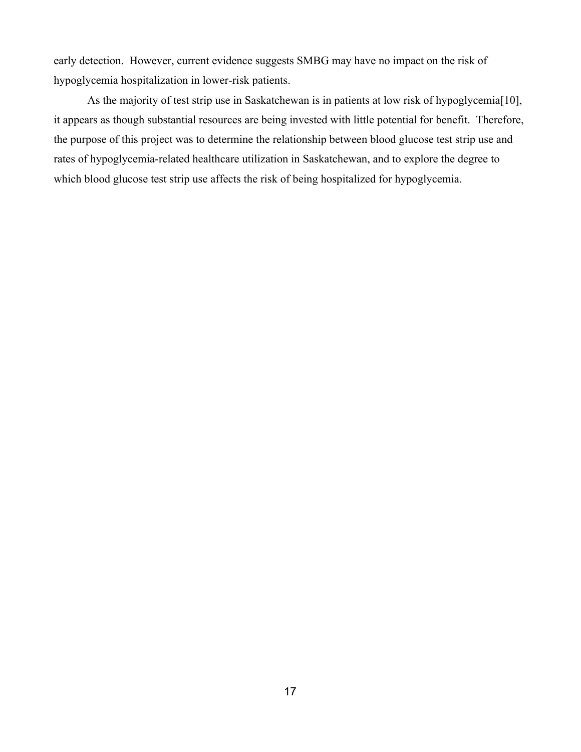early detection. However, current evidence suggests SMBG may have no impact on the risk of hypoglycemia hospitalization in lower-risk patients.

As the majority of test strip use in Saskatchewan is in patients at low risk of hypoglycemia[10], it appears as though substantial resources are being invested with little potential for benefit. Therefore, the purpose of this project was to determine the relationship between blood glucose test strip use and rates of hypoglycemia-related healthcare utilization in Saskatchewan, and to explore the degree to which blood glucose test strip use affects the risk of being hospitalized for hypoglycemia.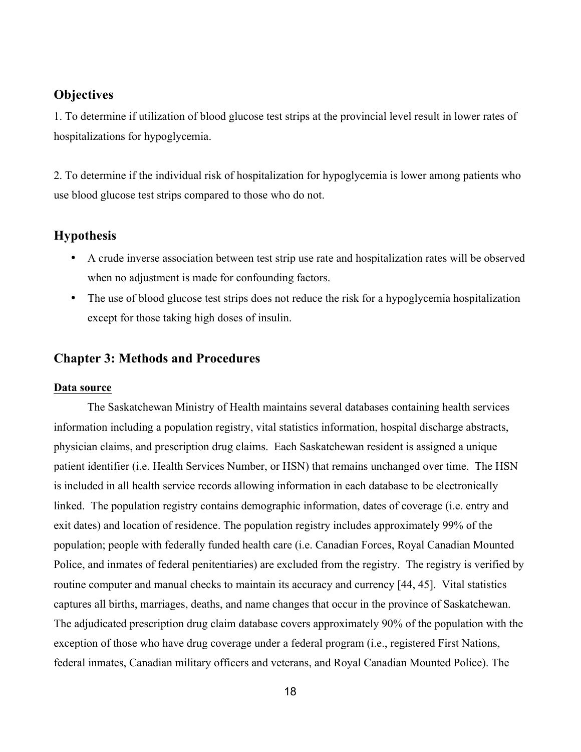# **Objectives**

1. To determine if utilization of blood glucose test strips at the provincial level result in lower rates of hospitalizations for hypoglycemia.

2. To determine if the individual risk of hospitalization for hypoglycemia is lower among patients who use blood glucose test strips compared to those who do not.

## **Hypothesis**

- A crude inverse association between test strip use rate and hospitalization rates will be observed when no adjustment is made for confounding factors.
- The use of blood glucose test strips does not reduce the risk for a hypoglycemia hospitalization except for those taking high doses of insulin.

## **Chapter 3: Methods and Procedures**

### **Data source**

The Saskatchewan Ministry of Health maintains several databases containing health services information including a population registry, vital statistics information, hospital discharge abstracts, physician claims, and prescription drug claims. Each Saskatchewan resident is assigned a unique patient identifier (i.e. Health Services Number, or HSN) that remains unchanged over time. The HSN is included in all health service records allowing information in each database to be electronically linked. The population registry contains demographic information, dates of coverage (i.e. entry and exit dates) and location of residence. The population registry includes approximately 99% of the population; people with federally funded health care (i.e. Canadian Forces, Royal Canadian Mounted Police, and inmates of federal penitentiaries) are excluded from the registry. The registry is verified by routine computer and manual checks to maintain its accuracy and currency [44, 45]. Vital statistics captures all births, marriages, deaths, and name changes that occur in the province of Saskatchewan. The adjudicated prescription drug claim database covers approximately 90% of the population with the exception of those who have drug coverage under a federal program (i.e., registered First Nations, federal inmates, Canadian military officers and veterans, and Royal Canadian Mounted Police). The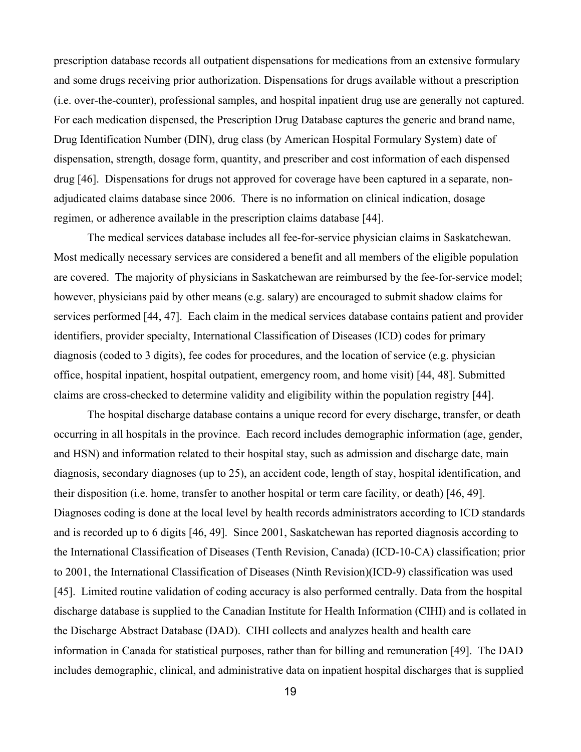prescription database records all outpatient dispensations for medications from an extensive formulary and some drugs receiving prior authorization. Dispensations for drugs available without a prescription (i.e. over-the-counter), professional samples, and hospital inpatient drug use are generally not captured. For each medication dispensed, the Prescription Drug Database captures the generic and brand name, Drug Identification Number (DIN), drug class (by American Hospital Formulary System) date of dispensation, strength, dosage form, quantity, and prescriber and cost information of each dispensed drug [46]. Dispensations for drugs not approved for coverage have been captured in a separate, nonadjudicated claims database since 2006. There is no information on clinical indication, dosage regimen, or adherence available in the prescription claims database [44].

The medical services database includes all fee-for-service physician claims in Saskatchewan. Most medically necessary services are considered a benefit and all members of the eligible population are covered. The majority of physicians in Saskatchewan are reimbursed by the fee-for-service model; however, physicians paid by other means (e.g. salary) are encouraged to submit shadow claims for services performed [44, 47]. Each claim in the medical services database contains patient and provider identifiers, provider specialty, International Classification of Diseases (ICD) codes for primary diagnosis (coded to 3 digits), fee codes for procedures, and the location of service (e.g. physician office, hospital inpatient, hospital outpatient, emergency room, and home visit) [44, 48]. Submitted claims are cross-checked to determine validity and eligibility within the population registry [44].

The hospital discharge database contains a unique record for every discharge, transfer, or death occurring in all hospitals in the province. Each record includes demographic information (age, gender, and HSN) and information related to their hospital stay, such as admission and discharge date, main diagnosis, secondary diagnoses (up to 25), an accident code, length of stay, hospital identification, and their disposition (i.e. home, transfer to another hospital or term care facility, or death) [46, 49]. Diagnoses coding is done at the local level by health records administrators according to ICD standards and is recorded up to 6 digits [46, 49]. Since 2001, Saskatchewan has reported diagnosis according to the International Classification of Diseases (Tenth Revision, Canada) (ICD-10-CA) classification; prior to 2001, the International Classification of Diseases (Ninth Revision)(ICD-9) classification was used [45]. Limited routine validation of coding accuracy is also performed centrally. Data from the hospital discharge database is supplied to the Canadian Institute for Health Information (CIHI) and is collated in the Discharge Abstract Database (DAD). CIHI collects and analyzes health and health care information in Canada for statistical purposes, rather than for billing and remuneration [49]. The DAD includes demographic, clinical, and administrative data on inpatient hospital discharges that is supplied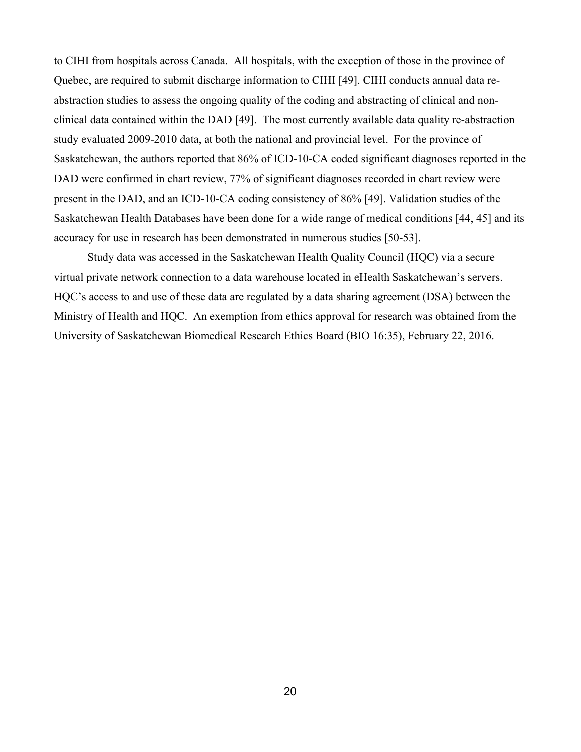to CIHI from hospitals across Canada. All hospitals, with the exception of those in the province of Quebec, are required to submit discharge information to CIHI [49]. CIHI conducts annual data reabstraction studies to assess the ongoing quality of the coding and abstracting of clinical and nonclinical data contained within the DAD [49]. The most currently available data quality re-abstraction study evaluated 2009-2010 data, at both the national and provincial level. For the province of Saskatchewan, the authors reported that 86% of ICD-10-CA coded significant diagnoses reported in the DAD were confirmed in chart review, 77% of significant diagnoses recorded in chart review were present in the DAD, and an ICD-10-CA coding consistency of 86% [49]. Validation studies of the Saskatchewan Health Databases have been done for a wide range of medical conditions [44, 45] and its accuracy for use in research has been demonstrated in numerous studies [50-53].

Study data was accessed in the Saskatchewan Health Quality Council (HQC) via a secure virtual private network connection to a data warehouse located in eHealth Saskatchewan's servers. HQC's access to and use of these data are regulated by a data sharing agreement (DSA) between the Ministry of Health and HQC. An exemption from ethics approval for research was obtained from the University of Saskatchewan Biomedical Research Ethics Board (BIO 16:35), February 22, 2016.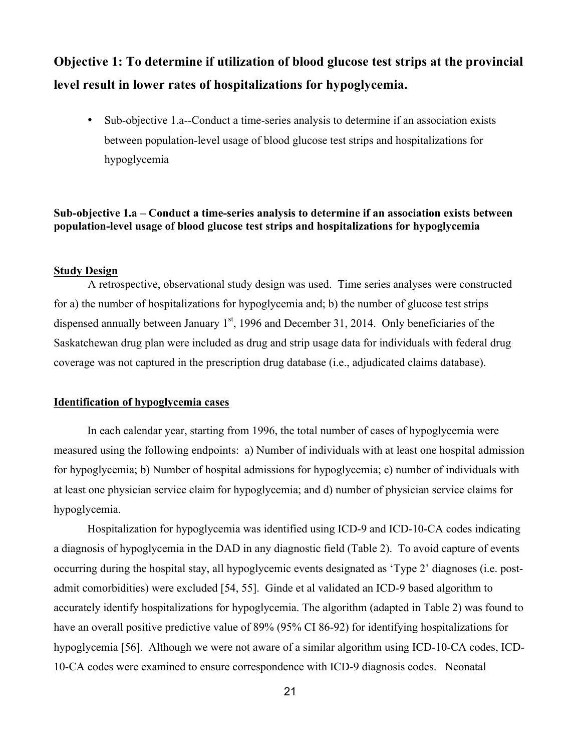# **Objective 1: To determine if utilization of blood glucose test strips at the provincial level result in lower rates of hospitalizations for hypoglycemia.**

• Sub-objective 1.a--Conduct a time-series analysis to determine if an association exists between population-level usage of blood glucose test strips and hospitalizations for hypoglycemia

# **Sub-objective 1.a – Conduct a time-series analysis to determine if an association exists between population-level usage of blood glucose test strips and hospitalizations for hypoglycemia**

### **Study Design**

A retrospective, observational study design was used. Time series analyses were constructed for a) the number of hospitalizations for hypoglycemia and; b) the number of glucose test strips dispensed annually between January  $1<sup>st</sup>$ , 1996 and December 31, 2014. Only beneficiaries of the Saskatchewan drug plan were included as drug and strip usage data for individuals with federal drug coverage was not captured in the prescription drug database (i.e., adjudicated claims database).

## **Identification of hypoglycemia cases**

In each calendar year, starting from 1996, the total number of cases of hypoglycemia were measured using the following endpoints: a) Number of individuals with at least one hospital admission for hypoglycemia; b) Number of hospital admissions for hypoglycemia; c) number of individuals with at least one physician service claim for hypoglycemia; and d) number of physician service claims for hypoglycemia.

Hospitalization for hypoglycemia was identified using ICD-9 and ICD-10-CA codes indicating a diagnosis of hypoglycemia in the DAD in any diagnostic field (Table 2). To avoid capture of events occurring during the hospital stay, all hypoglycemic events designated as 'Type 2' diagnoses (i.e. postadmit comorbidities) were excluded [54, 55]. Ginde et al validated an ICD-9 based algorithm to accurately identify hospitalizations for hypoglycemia. The algorithm (adapted in Table 2) was found to have an overall positive predictive value of 89% (95% CI 86-92) for identifying hospitalizations for hypoglycemia [56]. Although we were not aware of a similar algorithm using ICD-10-CA codes, ICD-10-CA codes were examined to ensure correspondence with ICD-9 diagnosis codes. Neonatal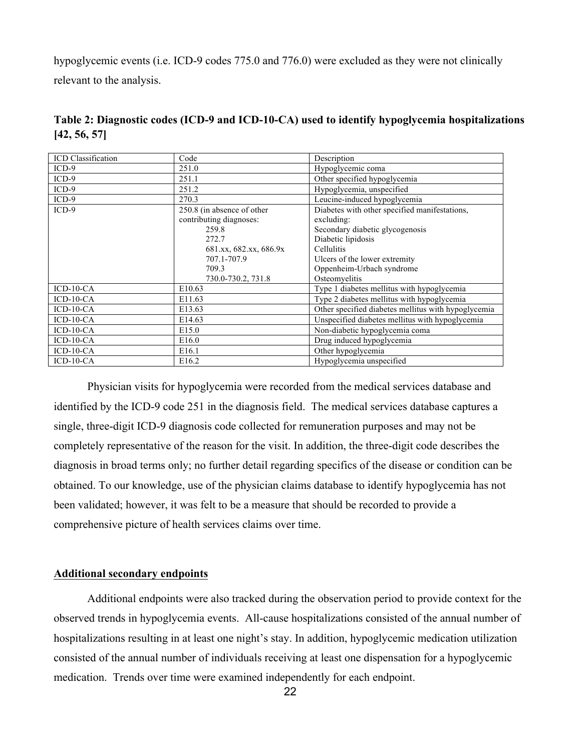hypoglycemic events (i.e. ICD-9 codes 775.0 and 776.0) were excluded as they were not clinically relevant to the analysis.

| <b>ICD</b> Classification | Code                       | Description                                         |
|---------------------------|----------------------------|-----------------------------------------------------|
| $ICD-9$                   | 251.0                      | Hypoglycemic coma                                   |
| $ICD-9$                   | 251.1                      | Other specified hypoglycemia                        |
| $ICD-9$                   | 251.2                      | Hypoglycemia, unspecified                           |
| $ICD-9$                   | 270.3                      | Leucine-induced hypoglycemia                        |
| $ICD-9$                   | 250.8 (in absence of other | Diabetes with other specified manifestations,       |
|                           | contributing diagnoses:    | excluding:                                          |
|                           | 259.8                      | Secondary diabetic glycogenosis                     |
|                           | 272.7                      | Diabetic lipidosis                                  |
|                           | 681.xx, 682.xx, 686.9x     | Cellulitis                                          |
|                           | 707.1-707.9                | Ulcers of the lower extremity                       |
|                           | 709.3                      | Oppenheim-Urbach syndrome                           |
|                           | 730.0-730.2, 731.8         | Osteomyelitis                                       |
| $ICD-10-CA$               | E <sub>10.63</sub>         | Type 1 diabetes mellitus with hypoglycemia          |
| $ICD-10-CA$               | E <sub>11.63</sub>         | Type 2 diabetes mellitus with hypoglycemia          |
| $ICD-10-CA$               | E <sub>13.63</sub>         | Other specified diabetes mellitus with hypoglycemia |
| $ICD-10-CA$               | E <sub>14.63</sub>         | Unspecified diabetes mellitus with hypoglycemia     |
| $ICD-10-CA$               | E <sub>15.0</sub>          | Non-diabetic hypoglycemia coma                      |
| $ICD-10-CA$               | E <sub>16.0</sub>          | Drug induced hypoglycemia                           |
| $ICD-10-CA$               | E <sub>16.1</sub>          | Other hypoglycemia                                  |
| $ICD-10-CA$               | E <sub>16.2</sub>          | Hypoglycemia unspecified                            |

**Table 2: Diagnostic codes (ICD-9 and ICD-10-CA) used to identify hypoglycemia hospitalizations [42, 56, 57]**

Physician visits for hypoglycemia were recorded from the medical services database and identified by the ICD-9 code 251 in the diagnosis field. The medical services database captures a single, three-digit ICD-9 diagnosis code collected for remuneration purposes and may not be completely representative of the reason for the visit. In addition, the three-digit code describes the diagnosis in broad terms only; no further detail regarding specifics of the disease or condition can be obtained. To our knowledge, use of the physician claims database to identify hypoglycemia has not been validated; however, it was felt to be a measure that should be recorded to provide a comprehensive picture of health services claims over time.

#### **Additional secondary endpoints**

Additional endpoints were also tracked during the observation period to provide context for the observed trends in hypoglycemia events. All-cause hospitalizations consisted of the annual number of hospitalizations resulting in at least one night's stay. In addition, hypoglycemic medication utilization consisted of the annual number of individuals receiving at least one dispensation for a hypoglycemic medication. Trends over time were examined independently for each endpoint.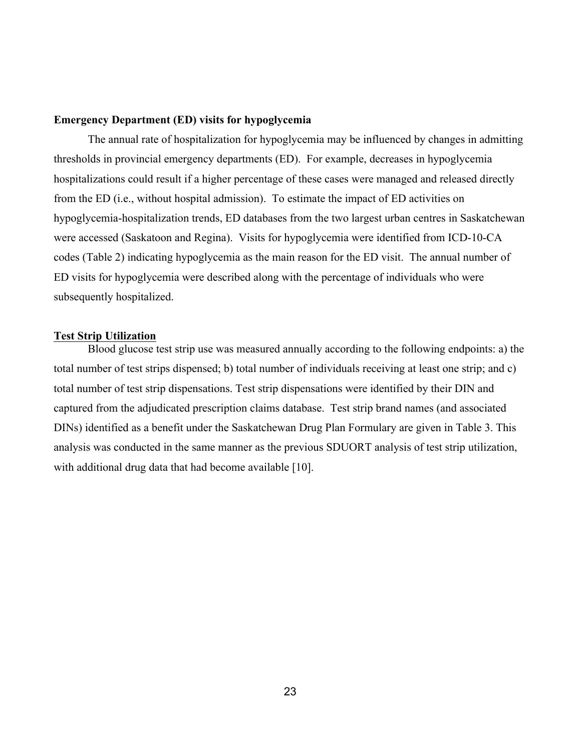### **Emergency Department (ED) visits for hypoglycemia**

The annual rate of hospitalization for hypoglycemia may be influenced by changes in admitting thresholds in provincial emergency departments (ED). For example, decreases in hypoglycemia hospitalizations could result if a higher percentage of these cases were managed and released directly from the ED (i.e., without hospital admission). To estimate the impact of ED activities on hypoglycemia-hospitalization trends, ED databases from the two largest urban centres in Saskatchewan were accessed (Saskatoon and Regina). Visits for hypoglycemia were identified from ICD-10-CA codes (Table 2) indicating hypoglycemia as the main reason for the ED visit. The annual number of ED visits for hypoglycemia were described along with the percentage of individuals who were subsequently hospitalized.

#### **Test Strip Utilization**

Blood glucose test strip use was measured annually according to the following endpoints: a) the total number of test strips dispensed; b) total number of individuals receiving at least one strip; and c) total number of test strip dispensations. Test strip dispensations were identified by their DIN and captured from the adjudicated prescription claims database. Test strip brand names (and associated DINs) identified as a benefit under the Saskatchewan Drug Plan Formulary are given in Table 3. This analysis was conducted in the same manner as the previous SDUORT analysis of test strip utilization, with additional drug data that had become available [10].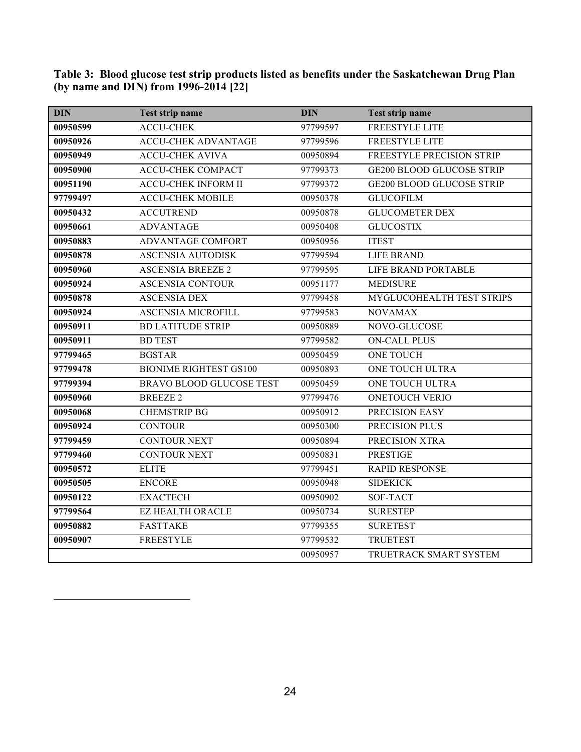| <b>DIN</b> | Test strip name                 | <b>DIN</b> | Test strip name                  |
|------------|---------------------------------|------------|----------------------------------|
| 00950599   | <b>ACCU-CHEK</b>                | 97799597   | <b>FREESTYLE LITE</b>            |
| 00950926   | <b>ACCU-CHEK ADVANTAGE</b>      | 97799596   | <b>FREESTYLE LITE</b>            |
| 00950949   | <b>ACCU-CHEK AVIVA</b>          | 00950894   | FREESTYLE PRECISION STRIP        |
| 00950900   | <b>ACCU-CHEK COMPACT</b>        | 97799373   | <b>GE200 BLOOD GLUCOSE STRIP</b> |
| 00951190   | <b>ACCU-CHEK INFORM II</b>      | 97799372   | <b>GE200 BLOOD GLUCOSE STRIP</b> |
| 97799497   | <b>ACCU-CHEK MOBILE</b>         | 00950378   | <b>GLUCOFILM</b>                 |
| 00950432   | <b>ACCUTREND</b>                | 00950878   | <b>GLUCOMETER DEX</b>            |
| 00950661   | <b>ADVANTAGE</b>                | 00950408   | <b>GLUCOSTIX</b>                 |
| 00950883   | <b>ADVANTAGE COMFORT</b>        | 00950956   | <b>ITEST</b>                     |
| 00950878   | <b>ASCENSIA AUTODISK</b>        | 97799594   | <b>LIFE BRAND</b>                |
| 00950960   | <b>ASCENSIA BREEZE 2</b>        | 97799595   | LIFE BRAND PORTABLE              |
| 00950924   | <b>ASCENSIA CONTOUR</b>         | 00951177   | <b>MEDISURE</b>                  |
| 00950878   | <b>ASCENSIA DEX</b>             | 97799458   | MYGLUCOHEALTH TEST STRIPS        |
| 00950924   | <b>ASCENSIA MICROFILL</b>       | 97799583   | <b>NOVAMAX</b>                   |
| 00950911   | <b>BD LATITUDE STRIP</b>        | 00950889   | NOVO-GLUCOSE                     |
| 00950911   | <b>BD TEST</b>                  | 97799582   | <b>ON-CALL PLUS</b>              |
| 97799465   | <b>BGSTAR</b>                   | 00950459   | <b>ONE TOUCH</b>                 |
| 97799478   | <b>BIONIME RIGHTEST GS100</b>   | 00950893   | ONE TOUCH ULTRA                  |
| 97799394   | <b>BRAVO BLOOD GLUCOSE TEST</b> | 00950459   | <b>ONE TOUCH ULTRA</b>           |
| 00950960   | <b>BREEZE 2</b>                 | 97799476   | <b>ONETOUCH VERIO</b>            |
| 00950068   | <b>CHEMSTRIP BG</b>             | 00950912   | PRECISION EASY                   |
| 00950924   | <b>CONTOUR</b>                  | 00950300   | PRECISION PLUS                   |
| 97799459   | <b>CONTOUR NEXT</b>             | 00950894   | PRECISION XTRA                   |
| 97799460   | <b>CONTOUR NEXT</b>             | 00950831   | <b>PRESTIGE</b>                  |
| 00950572   | <b>ELITE</b>                    | 97799451   | <b>RAPID RESPONSE</b>            |
| 00950505   | <b>ENCORE</b>                   | 00950948   | <b>SIDEKICK</b>                  |
| 00950122   | <b>EXACTECH</b>                 | 00950902   | SOF-TACT                         |
| 97799564   | <b>EZ HEALTH ORACLE</b>         | 00950734   | <b>SURESTEP</b>                  |
| 00950882   | <b>FASTTAKE</b>                 | 97799355   | <b>SURETEST</b>                  |
| 00950907   | <b>FREESTYLE</b>                | 97799532   | <b>TRUETEST</b>                  |
|            |                                 | 00950957   | TRUETRACK SMART SYSTEM           |

**Table 3: Blood glucose test strip products listed as benefits under the Saskatchewan Drug Plan (by name and DIN) from 1996-2014 [22]**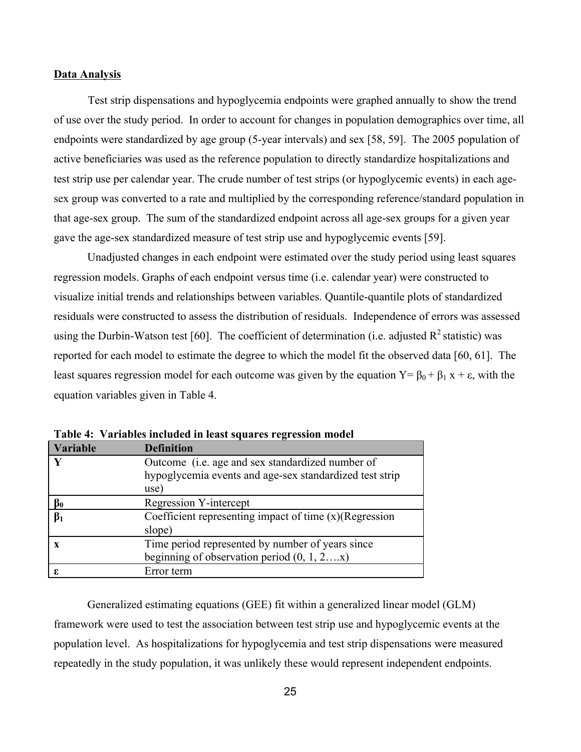### **Data Analysis**

Test strip dispensations and hypoglycemia endpoints were graphed annually to show the trend of use over the study period. In order to account for changes in population demographics over time, all endpoints were standardized by age group (5-year intervals) and sex [58, 59]. The 2005 population of active beneficiaries was used as the reference population to directly standardize hospitalizations and test strip use per calendar year. The crude number of test strips (or hypoglycemic events) in each agesex group was converted to a rate and multiplied by the corresponding reference/standard population in that age-sex group. The sum of the standardized endpoint across all age-sex groups for a given year gave the age-sex standardized measure of test strip use and hypoglycemic events [59].

Unadjusted changes in each endpoint were estimated over the study period using least squares regression models. Graphs of each endpoint versus time (i.e. calendar year) were constructed to visualize initial trends and relationships between variables. Quantile-quantile plots of standardized residuals were constructed to assess the distribution of residuals. Independence of errors was assessed using the Durbin-Watson test [60]. The coefficient of determination (i.e. adjusted  $R^2$  statistic) was reported for each model to estimate the degree to which the model fit the observed data [60, 61]. The least squares regression model for each outcome was given by the equation  $Y = β_0 + β_1 x + ε$ , with the equation variables given in Table 4.

| Variable  | <b>Definition</b>                                         |
|-----------|-----------------------------------------------------------|
| V         | Outcome (i.e. age and sex standardized number of          |
|           | hypoglycemia events and age-sex standardized test strip   |
|           | use)                                                      |
| $\beta_0$ | <b>Regression Y-intercept</b>                             |
| $\beta_1$ | Coefficient representing impact of time $(x)$ (Regression |
|           | slope)                                                    |
|           | Time period represented by number of years since          |
|           | beginning of observation period $(0, 1, 2x)$              |
| ε         | Error term                                                |

**Table 4: Variables included in least squares regression model**

Generalized estimating equations (GEE) fit within a generalized linear model (GLM) framework were used to test the association between test strip use and hypoglycemic events at the population level. As hospitalizations for hypoglycemia and test strip dispensations were measured repeatedly in the study population, it was unlikely these would represent independent endpoints.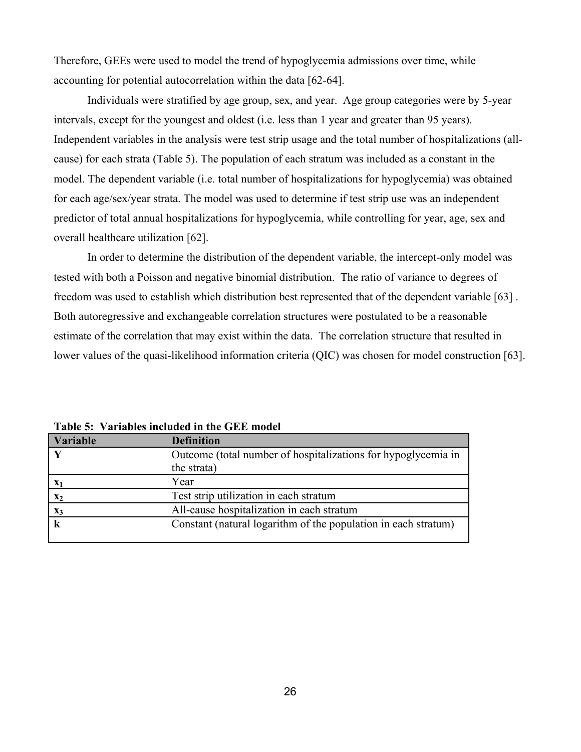Therefore, GEEs were used to model the trend of hypoglycemia admissions over time, while accounting for potential autocorrelation within the data [62-64].

Individuals were stratified by age group, sex, and year. Age group categories were by 5-year intervals, except for the youngest and oldest (i.e. less than 1 year and greater than 95 years). Independent variables in the analysis were test strip usage and the total number of hospitalizations (allcause) for each strata (Table 5). The population of each stratum was included as a constant in the model. The dependent variable (i.e. total number of hospitalizations for hypoglycemia) was obtained for each age/sex/year strata. The model was used to determine if test strip use was an independent predictor of total annual hospitalizations for hypoglycemia, while controlling for year, age, sex and overall healthcare utilization [62].

In order to determine the distribution of the dependent variable, the intercept-only model was tested with both a Poisson and negative binomial distribution. The ratio of variance to degrees of freedom was used to establish which distribution best represented that of the dependent variable [63] . Both autoregressive and exchangeable correlation structures were postulated to be a reasonable estimate of the correlation that may exist within the data. The correlation structure that resulted in lower values of the quasi-likelihood information criteria (QIC) was chosen for model construction [63].

| <b>Variable</b> | <b>Definition</b>                                              |  |
|-----------------|----------------------------------------------------------------|--|
|                 | Outcome (total number of hospitalizations for hypoglycemia in  |  |
|                 | the strata)                                                    |  |
| $X_1$           | Year                                                           |  |
| $\mathbf{x}_2$  | Test strip utilization in each stratum                         |  |
| $\mathbf{X}_3$  | All-cause hospitalization in each stratum                      |  |
|                 | Constant (natural logarithm of the population in each stratum) |  |

**Table 5: Variables included in the GEE model**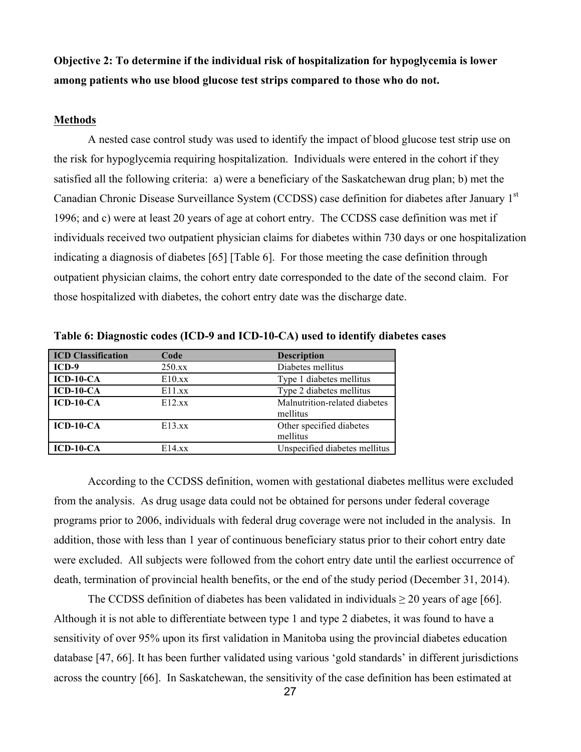**Objective 2: To determine if the individual risk of hospitalization for hypoglycemia is lower among patients who use blood glucose test strips compared to those who do not.**

#### **Methods**

A nested case control study was used to identify the impact of blood glucose test strip use on the risk for hypoglycemia requiring hospitalization. Individuals were entered in the cohort if they satisfied all the following criteria: a) were a beneficiary of the Saskatchewan drug plan; b) met the Canadian Chronic Disease Surveillance System (CCDSS) case definition for diabetes after January 1<sup>st</sup> 1996; and c) were at least 20 years of age at cohort entry. The CCDSS case definition was met if individuals received two outpatient physician claims for diabetes within 730 days or one hospitalization indicating a diagnosis of diabetes [65] [Table 6]. For those meeting the case definition through outpatient physician claims, the cohort entry date corresponded to the date of the second claim. For those hospitalized with diabetes, the cohort entry date was the discharge date.

| <b>ICD Classification</b> | Code   | <b>Description</b>            |
|---------------------------|--------|-------------------------------|
| $ICD-9$                   | 250.xx | Diabetes mellitus             |
| $ICD-10-CA$               | E10.xX | Type 1 diabetes mellitus      |
| $ICD-10-CA$               | E11.xx | Type 2 diabetes mellitus      |
| $ICD-10-CA$               | E12.xx | Malnutrition-related diabetes |
|                           |        | mellitus                      |
| $ICD-10-CA$               | E13.xx | Other specified diabetes      |
|                           |        | mellitus                      |
| $ICD-10-CA$               | E14.xX | Unspecified diabetes mellitus |

**Table 6: Diagnostic codes (ICD-9 and ICD-10-CA) used to identify diabetes cases**

According to the CCDSS definition, women with gestational diabetes mellitus were excluded from the analysis. As drug usage data could not be obtained for persons under federal coverage programs prior to 2006, individuals with federal drug coverage were not included in the analysis. In addition, those with less than 1 year of continuous beneficiary status prior to their cohort entry date were excluded. All subjects were followed from the cohort entry date until the earliest occurrence of death, termination of provincial health benefits, or the end of the study period (December 31, 2014).

The CCDSS definition of diabetes has been validated in individuals  $\geq 20$  years of age [66]. Although it is not able to differentiate between type 1 and type 2 diabetes, it was found to have a sensitivity of over 95% upon its first validation in Manitoba using the provincial diabetes education database [47, 66]. It has been further validated using various 'gold standards' in different jurisdictions across the country [66]. In Saskatchewan, the sensitivity of the case definition has been estimated at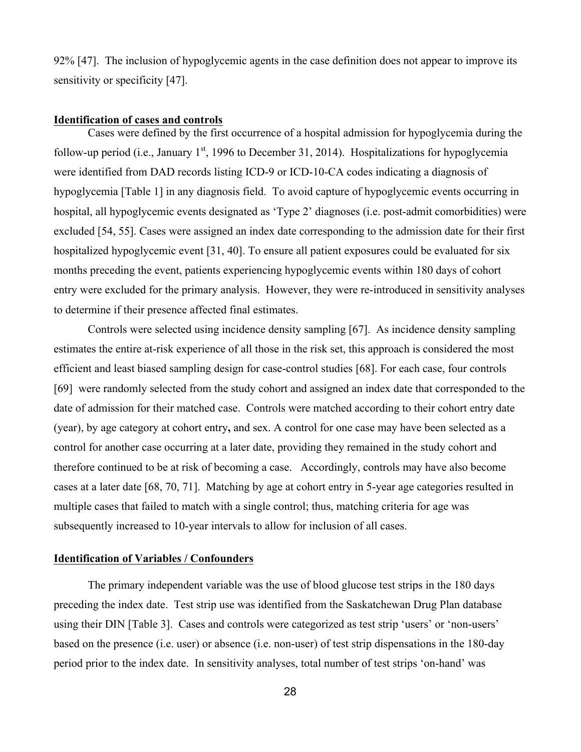92% [47]. The inclusion of hypoglycemic agents in the case definition does not appear to improve its sensitivity or specificity [47].

#### **Identification of cases and controls**

Cases were defined by the first occurrence of a hospital admission for hypoglycemia during the follow-up period (i.e., January  $1<sup>st</sup>$ , 1996 to December 31, 2014). Hospitalizations for hypoglycemia were identified from DAD records listing ICD-9 or ICD-10-CA codes indicating a diagnosis of hypoglycemia [Table 1] in any diagnosis field. To avoid capture of hypoglycemic events occurring in hospital, all hypoglycemic events designated as 'Type 2' diagnoses (i.e. post-admit comorbidities) were excluded [54, 55]. Cases were assigned an index date corresponding to the admission date for their first hospitalized hypoglycemic event [31, 40]. To ensure all patient exposures could be evaluated for six months preceding the event, patients experiencing hypoglycemic events within 180 days of cohort entry were excluded for the primary analysis. However, they were re-introduced in sensitivity analyses to determine if their presence affected final estimates.

Controls were selected using incidence density sampling [67]. As incidence density sampling estimates the entire at-risk experience of all those in the risk set, this approach is considered the most efficient and least biased sampling design for case-control studies [68]. For each case, four controls [69] were randomly selected from the study cohort and assigned an index date that corresponded to the date of admission for their matched case. Controls were matched according to their cohort entry date (year), by age category at cohort entry**,** and sex. A control for one case may have been selected as a control for another case occurring at a later date, providing they remained in the study cohort and therefore continued to be at risk of becoming a case. Accordingly, controls may have also become cases at a later date [68, 70, 71]. Matching by age at cohort entry in 5-year age categories resulted in multiple cases that failed to match with a single control; thus, matching criteria for age was subsequently increased to 10-year intervals to allow for inclusion of all cases.

### **Identification of Variables / Confounders**

The primary independent variable was the use of blood glucose test strips in the 180 days preceding the index date. Test strip use was identified from the Saskatchewan Drug Plan database using their DIN [Table 3]. Cases and controls were categorized as test strip 'users' or 'non-users' based on the presence (i.e. user) or absence (i.e. non-user) of test strip dispensations in the 180-day period prior to the index date. In sensitivity analyses, total number of test strips 'on-hand' was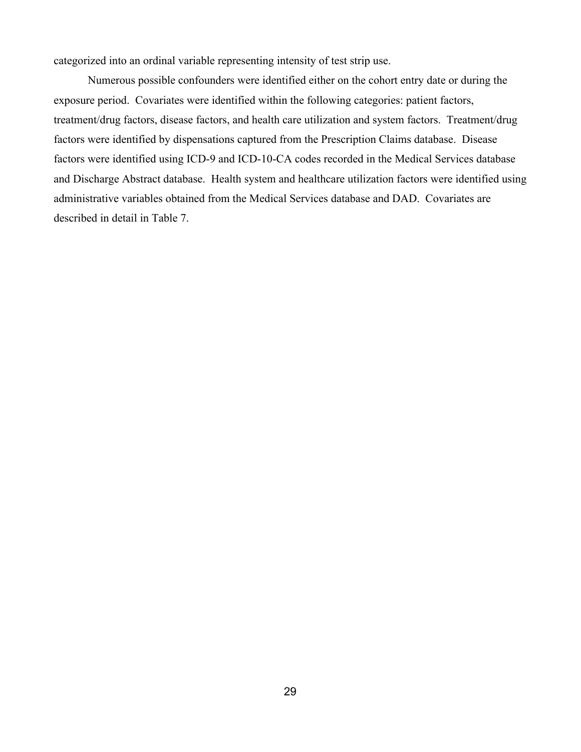categorized into an ordinal variable representing intensity of test strip use.

Numerous possible confounders were identified either on the cohort entry date or during the exposure period. Covariates were identified within the following categories: patient factors, treatment/drug factors, disease factors, and health care utilization and system factors. Treatment/drug factors were identified by dispensations captured from the Prescription Claims database. Disease factors were identified using ICD-9 and ICD-10-CA codes recorded in the Medical Services database and Discharge Abstract database. Health system and healthcare utilization factors were identified using administrative variables obtained from the Medical Services database and DAD. Covariates are described in detail in Table 7.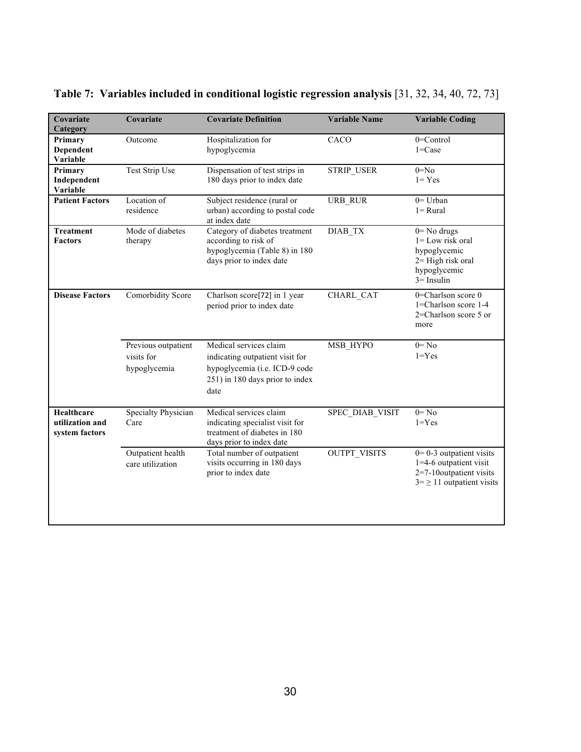| Covariate<br>Category                           | Covariate                                         | <b>Covariate Definition</b>                                                                                                           | <b>Variable Name</b> | <b>Variable Coding</b>                                                                                           |
|-------------------------------------------------|---------------------------------------------------|---------------------------------------------------------------------------------------------------------------------------------------|----------------------|------------------------------------------------------------------------------------------------------------------|
| Primary<br>Dependent<br>Variable                | Outcome                                           | Hospitalization for<br>hypoglycemia                                                                                                   | CACO                 | $0 =$ Control<br>$1 = Case$                                                                                      |
| Primary<br>Independent<br>Variable              | Test Strip Use                                    | Dispensation of test strips in<br>180 days prior to index date                                                                        | <b>STRIP USER</b>    | $0 = No$<br>$1 = Yes$                                                                                            |
| <b>Patient Factors</b>                          | Location of<br>residence                          | Subject residence (rural or<br>urban) according to postal code<br>at index date                                                       | URB RUR              | $0 =$ Urban<br>$l = Rural$                                                                                       |
| <b>Treatment</b><br><b>Factors</b>              | Mode of diabetes<br>therapy                       | Category of diabetes treatment<br>according to risk of<br>hypoglycemia (Table 8) in 180<br>days prior to index date                   | DIAB_TX              | $0 = No$ drugs<br>$1 =$ Low risk oral<br>hypoglycemic<br>$2=$ High risk oral<br>hypoglycemic<br>$3 =$ Insulin    |
| <b>Disease Factors</b>                          | Comorbidity Score                                 | Charlson score[72] in 1 year<br>period prior to index date                                                                            | CHARL CAT            | 0=Charlson score 0<br>1=Charlson score 1-4<br>2=Charlson score 5 or<br>more                                      |
|                                                 | Previous outpatient<br>visits for<br>hypoglycemia | Medical services claim<br>indicating outpatient visit for<br>hypoglycemia (i.e. ICD-9 code<br>251) in 180 days prior to index<br>date | MSB HYPO             | $0 = No$<br>$1 = Yes$                                                                                            |
| Healthcare<br>utilization and<br>system factors | Specialty Physician<br>Care                       | Medical services claim<br>indicating specialist visit for<br>treatment of diabetes in 180<br>days prior to index date                 | SPEC DIAB VISIT      | $0 = No$<br>$1 = Yes$                                                                                            |
|                                                 | Outpatient health<br>care utilization             | Total number of outpatient<br>visits occurring in 180 days<br>prior to index date                                                     | <b>OUTPT VISITS</b>  | $0=0-3$ outpatient visits<br>1=4-6 outpatient visit<br>2=7-10outpatient visits<br>$3 = \ge 11$ outpatient visits |
|                                                 |                                                   |                                                                                                                                       |                      |                                                                                                                  |

# **Table 7: Variables included in conditional logistic regression analysis** [31, 32, 34, 40, 72, 73]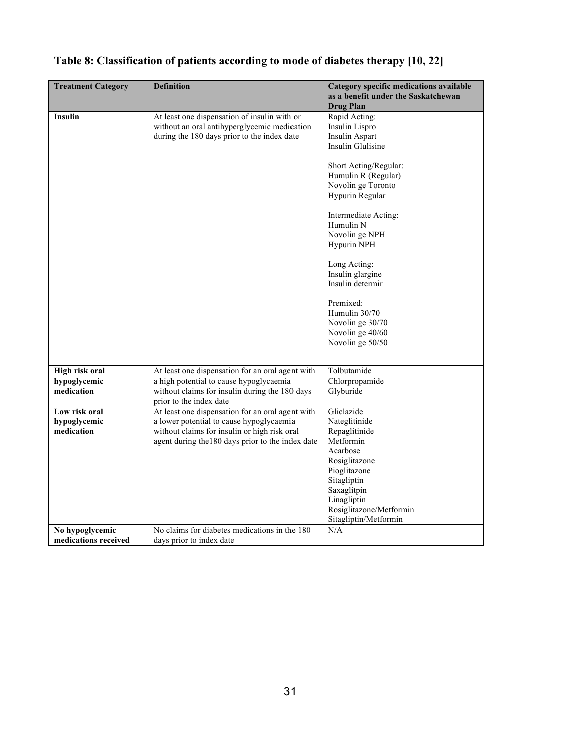| <b>Treatment Category</b>                    | <b>Definition</b>                                                                                                                                                                                 | Category specific medications available<br>as a benefit under the Saskatchewan<br><b>Drug Plan</b>                                                                                                                                                                        |
|----------------------------------------------|---------------------------------------------------------------------------------------------------------------------------------------------------------------------------------------------------|---------------------------------------------------------------------------------------------------------------------------------------------------------------------------------------------------------------------------------------------------------------------------|
| <b>Insulin</b>                               | At least one dispensation of insulin with or<br>without an oral antihyperglycemic medication<br>during the 180 days prior to the index date                                                       | Rapid Acting:<br>Insulin Lispro<br>Insulin Aspart<br>Insulin Glulisine<br>Short Acting/Regular:<br>Humulin R (Regular)<br>Novolin ge Toronto<br>Hypurin Regular<br>Intermediate Acting:<br>Humulin N<br>Novolin ge NPH<br>Hypurin NPH<br>Long Acting:<br>Insulin glargine |
|                                              |                                                                                                                                                                                                   | Insulin determir<br>Premixed:<br>Humulin 30/70<br>Novolin ge 30/70<br>Novolin ge 40/60<br>Novolin ge 50/50                                                                                                                                                                |
| High risk oral<br>hypoglycemic<br>medication | At least one dispensation for an oral agent with<br>a high potential to cause hypoglycaemia<br>without claims for insulin during the 180 days<br>prior to the index date                          | Tolbutamide<br>Chlorpropamide<br>Glyburide                                                                                                                                                                                                                                |
| Low risk oral<br>hypoglycemic<br>medication  | At least one dispensation for an oral agent with<br>a lower potential to cause hypoglycaemia<br>without claims for insulin or high risk oral<br>agent during the 180 days prior to the index date | Gliclazide<br>Nateglitinide<br>Repaglitinide<br>Metformin<br>Acarbose<br>Rosiglitazone<br>Pioglitazone<br>Sitagliptin<br>Saxaglitpin<br>Linagliptin<br>Rosiglitazone/Metformin<br>Sitagliptin/Metformin                                                                   |
| No hypoglycemic<br>medications received      | No claims for diabetes medications in the 180<br>days prior to index date                                                                                                                         | N/A                                                                                                                                                                                                                                                                       |

# **Table 8: Classification of patients according to mode of diabetes therapy [10, 22]**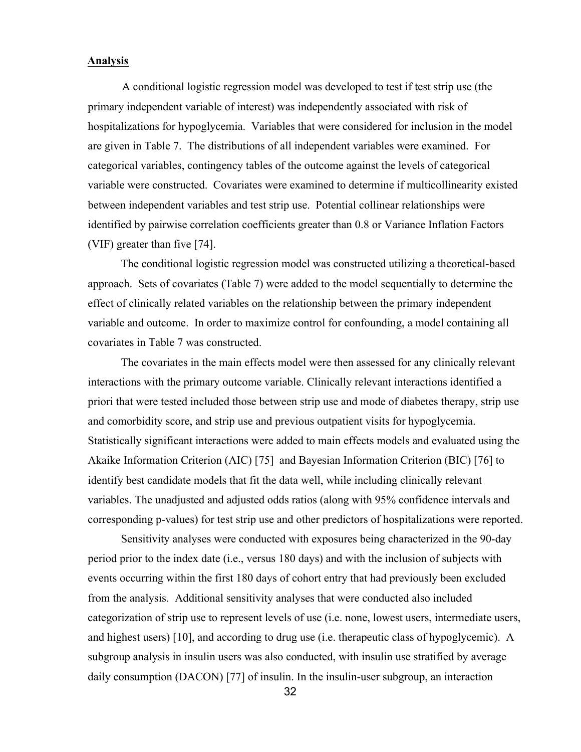### **Analysis**

A conditional logistic regression model was developed to test if test strip use (the primary independent variable of interest) was independently associated with risk of hospitalizations for hypoglycemia. Variables that were considered for inclusion in the model are given in Table 7. The distributions of all independent variables were examined. For categorical variables, contingency tables of the outcome against the levels of categorical variable were constructed. Covariates were examined to determine if multicollinearity existed between independent variables and test strip use. Potential collinear relationships were identified by pairwise correlation coefficients greater than 0.8 or Variance Inflation Factors (VIF) greater than five [74].

The conditional logistic regression model was constructed utilizing a theoretical-based approach. Sets of covariates (Table 7) were added to the model sequentially to determine the effect of clinically related variables on the relationship between the primary independent variable and outcome. In order to maximize control for confounding, a model containing all covariates in Table 7 was constructed.

The covariates in the main effects model were then assessed for any clinically relevant interactions with the primary outcome variable. Clinically relevant interactions identified a priori that were tested included those between strip use and mode of diabetes therapy, strip use and comorbidity score, and strip use and previous outpatient visits for hypoglycemia. Statistically significant interactions were added to main effects models and evaluated using the Akaike Information Criterion (AIC) [75] and Bayesian Information Criterion (BIC) [76] to identify best candidate models that fit the data well, while including clinically relevant variables. The unadjusted and adjusted odds ratios (along with 95% confidence intervals and corresponding p-values) for test strip use and other predictors of hospitalizations were reported.

Sensitivity analyses were conducted with exposures being characterized in the 90-day period prior to the index date (i.e., versus 180 days) and with the inclusion of subjects with events occurring within the first 180 days of cohort entry that had previously been excluded from the analysis. Additional sensitivity analyses that were conducted also included categorization of strip use to represent levels of use (i.e. none, lowest users, intermediate users, and highest users) [10], and according to drug use (i.e. therapeutic class of hypoglycemic). A subgroup analysis in insulin users was also conducted, with insulin use stratified by average daily consumption (DACON) [77] of insulin. In the insulin-user subgroup, an interaction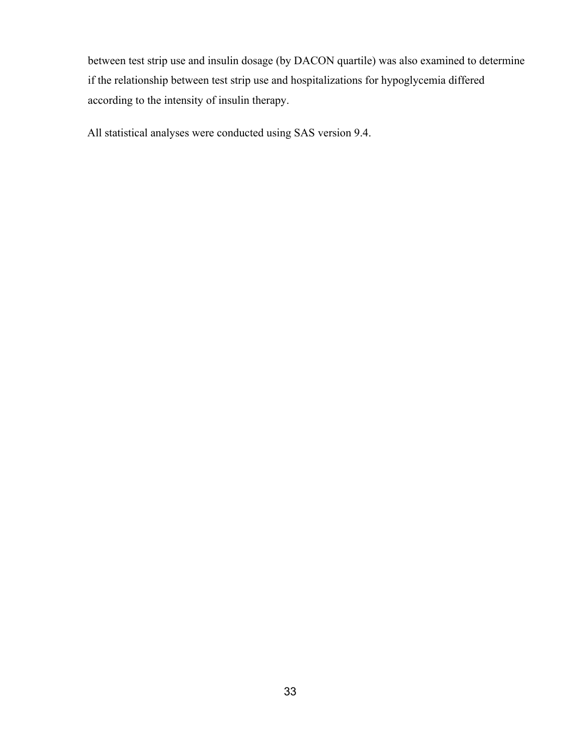between test strip use and insulin dosage (by DACON quartile) was also examined to determine if the relationship between test strip use and hospitalizations for hypoglycemia differed according to the intensity of insulin therapy.

All statistical analyses were conducted using SAS version 9.4.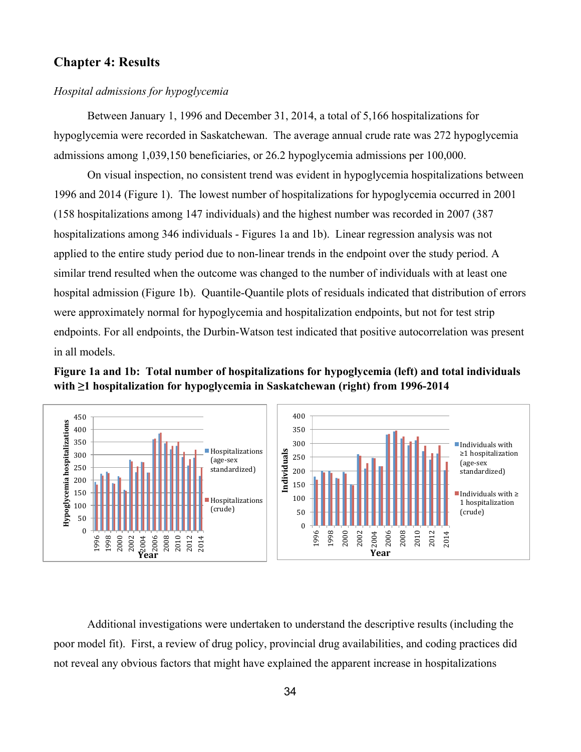### **Chapter 4: Results**

### *Hospital admissions for hypoglycemia*

Between January 1, 1996 and December 31, 2014, a total of 5,166 hospitalizations for hypoglycemia were recorded in Saskatchewan. The average annual crude rate was 272 hypoglycemia admissions among 1,039,150 beneficiaries, or 26.2 hypoglycemia admissions per 100,000.

On visual inspection, no consistent trend was evident in hypoglycemia hospitalizations between 1996 and 2014 (Figure 1). The lowest number of hospitalizations for hypoglycemia occurred in 2001 (158 hospitalizations among 147 individuals) and the highest number was recorded in 2007 (387 hospitalizations among 346 individuals - Figures 1a and 1b). Linear regression analysis was not applied to the entire study period due to non-linear trends in the endpoint over the study period. A similar trend resulted when the outcome was changed to the number of individuals with at least one hospital admission (Figure 1b). Quantile-Quantile plots of residuals indicated that distribution of errors were approximately normal for hypoglycemia and hospitalization endpoints, but not for test strip endpoints. For all endpoints, the Durbin-Watson test indicated that positive autocorrelation was present in all models.





Additional investigations were undertaken to understand the descriptive results (including the poor model fit). First, a review of drug policy, provincial drug availabilities, and coding practices did not reveal any obvious factors that might have explained the apparent increase in hospitalizations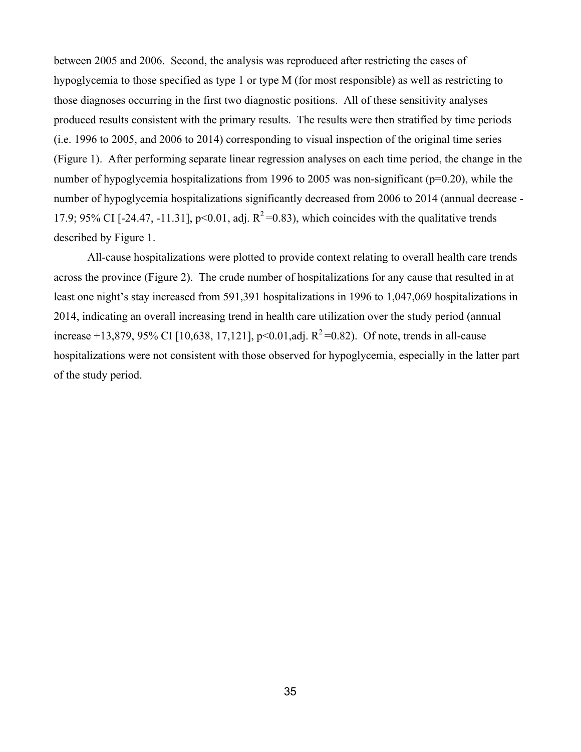between 2005 and 2006. Second, the analysis was reproduced after restricting the cases of hypoglycemia to those specified as type 1 or type M (for most responsible) as well as restricting to those diagnoses occurring in the first two diagnostic positions. All of these sensitivity analyses produced results consistent with the primary results. The results were then stratified by time periods (i.e. 1996 to 2005, and 2006 to 2014) corresponding to visual inspection of the original time series (Figure 1). After performing separate linear regression analyses on each time period, the change in the number of hypoglycemia hospitalizations from 1996 to 2005 was non-significant (p=0.20), while the number of hypoglycemia hospitalizations significantly decreased from 2006 to 2014 (annual decrease - 17.9; 95% CI [-24.47, -11.31], p<0.01, adj.  $R^2$ =0.83), which coincides with the qualitative trends described by Figure 1.

All-cause hospitalizations were plotted to provide context relating to overall health care trends across the province (Figure 2). The crude number of hospitalizations for any cause that resulted in at least one night's stay increased from 591,391 hospitalizations in 1996 to 1,047,069 hospitalizations in 2014, indicating an overall increasing trend in health care utilization over the study period (annual increase +13,879, 95% CI [10,638, 17,121], p<0.01,adj.  $R^2$ =0.82). Of note, trends in all-cause hospitalizations were not consistent with those observed for hypoglycemia, especially in the latter part of the study period.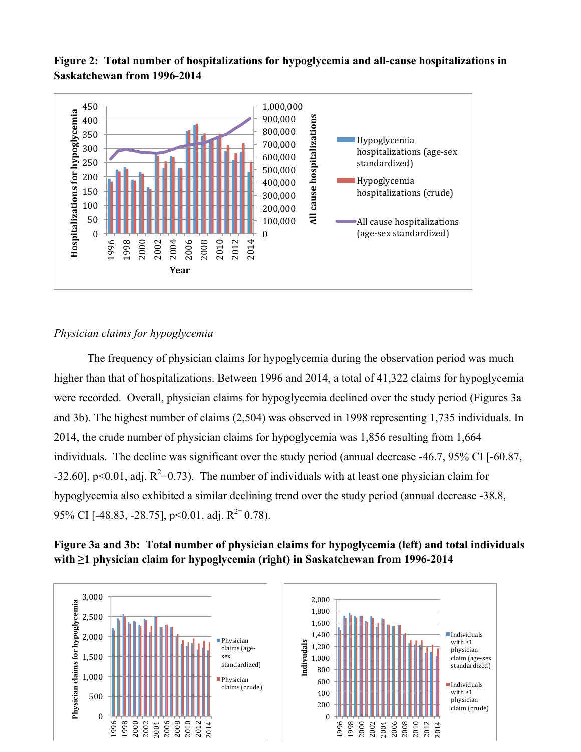**Figure 2: Total number of hospitalizations for hypoglycemia and all-cause hospitalizations in Saskatchewan from 1996-2014**



### *Physician claims for hypoglycemia*

The frequency of physician claims for hypoglycemia during the observation period was much higher than that of hospitalizations. Between 1996 and 2014, a total of 41,322 claims for hypoglycemia were recorded. Overall, physician claims for hypoglycemia declined over the study period (Figures 3a and 3b). The highest number of claims (2,504) was observed in 1998 representing 1,735 individuals. In 2014, the crude number of physician claims for hypoglycemia was 1,856 resulting from 1,664 individuals. The decline was significant over the study period (annual decrease -46.7, 95% CI [-60.87, -32.60], p<0.01, adj.  $R^2$ =0.73). The number of individuals with at least one physician claim for hypoglycemia also exhibited a similar declining trend over the study period (annual decrease -38.8, 95% CI [-48.83, -28.75], p<0.01, adj.  $R^{2}$ = 0.78).

### **Figure 3a and 3b: Total number of physician claims for hypoglycemia (left) and total individuals with ≥1 physician claim for hypoglycemia (right) in Saskatchewan from 1996-2014**

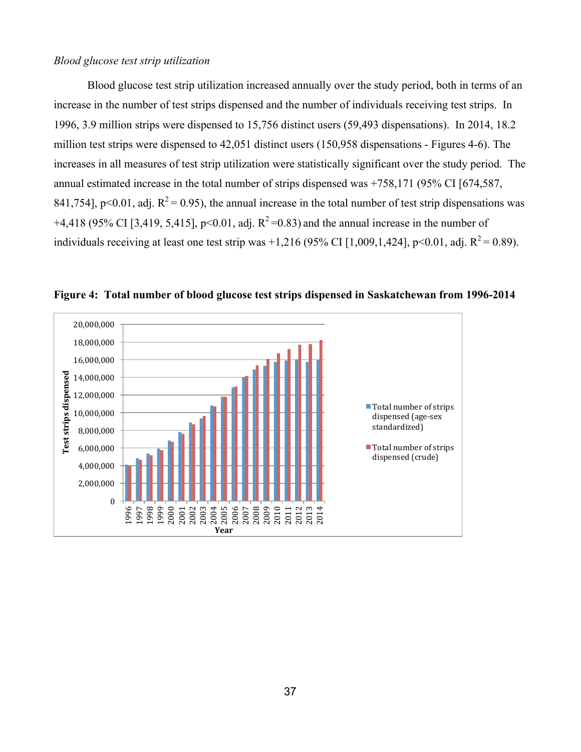### *Blood glucose test strip utilization*

Blood glucose test strip utilization increased annually over the study period, both in terms of an increase in the number of test strips dispensed and the number of individuals receiving test strips. In 1996, 3.9 million strips were dispensed to 15,756 distinct users (59,493 dispensations). In 2014, 18.2 million test strips were dispensed to 42,051 distinct users (150,958 dispensations - Figures 4-6). The increases in all measures of test strip utilization were statistically significant over the study period. The annual estimated increase in the total number of strips dispensed was +758,171 (95% CI [674,587, 841,754], p<0.01, adj.  $R^2$  = 0.95), the annual increase in the total number of test strip dispensations was +4,418 (95% CI [3,419, 5,415], p<0.01, adj.  $R^2$ =0.83) and the annual increase in the number of individuals receiving at least one test strip was +1,216 (95% CI [1,009,1,424], p<0.01, adj.  $R^2 = 0.89$ ).



**Figure 4: Total number of blood glucose test strips dispensed in Saskatchewan from 1996-2014**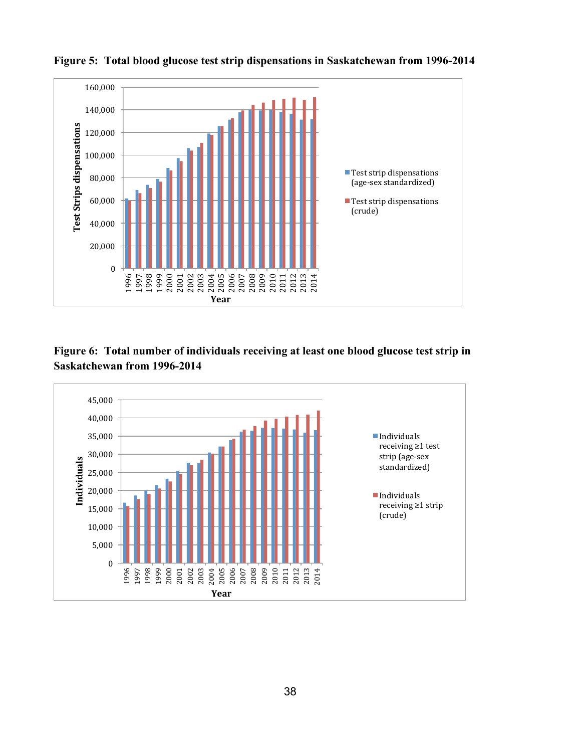

**Figure 5: Total blood glucose test strip dispensations in Saskatchewan from 1996-2014**

### **Figure 6: Total number of individuals receiving at least one blood glucose test strip in Saskatchewan from 1996-2014**

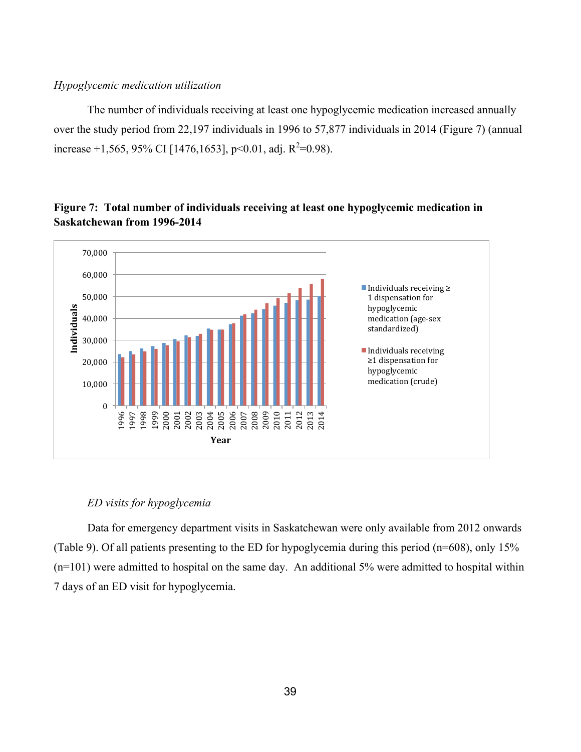### *Hypoglycemic medication utilization*

The number of individuals receiving at least one hypoglycemic medication increased annually over the study period from 22,197 individuals in 1996 to 57,877 individuals in 2014 (Figure 7) (annual increase +1,565, 95% CI [1476,1653], p<0.01, adj.  $R^2$ =0.98).



### **Figure 7: Total number of individuals receiving at least one hypoglycemic medication in Saskatchewan from 1996-2014**

### *ED visits for hypoglycemia*

Data for emergency department visits in Saskatchewan were only available from 2012 onwards (Table 9). Of all patients presenting to the ED for hypoglycemia during this period (n=608), only 15% (n=101) were admitted to hospital on the same day. An additional 5% were admitted to hospital within 7 days of an ED visit for hypoglycemia.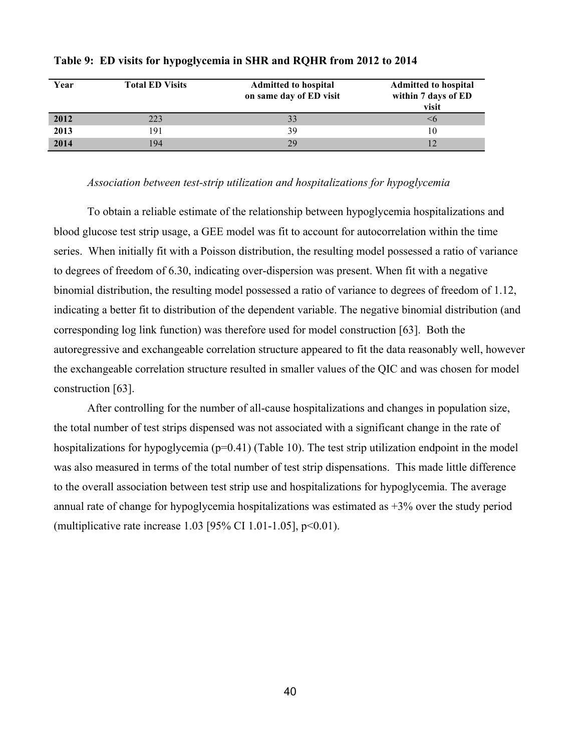| Year | <b>Total ED Visits</b> | <b>Admitted to hospital</b><br>on same day of ED visit | <b>Admitted to hospital</b><br>within 7 days of ED<br>visit |
|------|------------------------|--------------------------------------------------------|-------------------------------------------------------------|
| 2012 | 223                    | 33                                                     | <6                                                          |
| 2013 | 191                    | 39                                                     | 10                                                          |
| 2014 | 194                    | 29                                                     |                                                             |

#### **Table 9: ED visits for hypoglycemia in SHR and RQHR from 2012 to 2014**

#### *Association between test-strip utilization and hospitalizations for hypoglycemia*

To obtain a reliable estimate of the relationship between hypoglycemia hospitalizations and blood glucose test strip usage, a GEE model was fit to account for autocorrelation within the time series. When initially fit with a Poisson distribution, the resulting model possessed a ratio of variance to degrees of freedom of 6.30, indicating over-dispersion was present. When fit with a negative binomial distribution, the resulting model possessed a ratio of variance to degrees of freedom of 1.12, indicating a better fit to distribution of the dependent variable. The negative binomial distribution (and corresponding log link function) was therefore used for model construction [63]. Both the autoregressive and exchangeable correlation structure appeared to fit the data reasonably well, however the exchangeable correlation structure resulted in smaller values of the QIC and was chosen for model construction [63].

After controlling for the number of all-cause hospitalizations and changes in population size, the total number of test strips dispensed was not associated with a significant change in the rate of hospitalizations for hypoglycemia (p=0.41) (Table 10). The test strip utilization endpoint in the model was also measured in terms of the total number of test strip dispensations. This made little difference to the overall association between test strip use and hospitalizations for hypoglycemia. The average annual rate of change for hypoglycemia hospitalizations was estimated as +3% over the study period (multiplicative rate increase 1.03 [95% CI 1.01-1.05], p<0.01).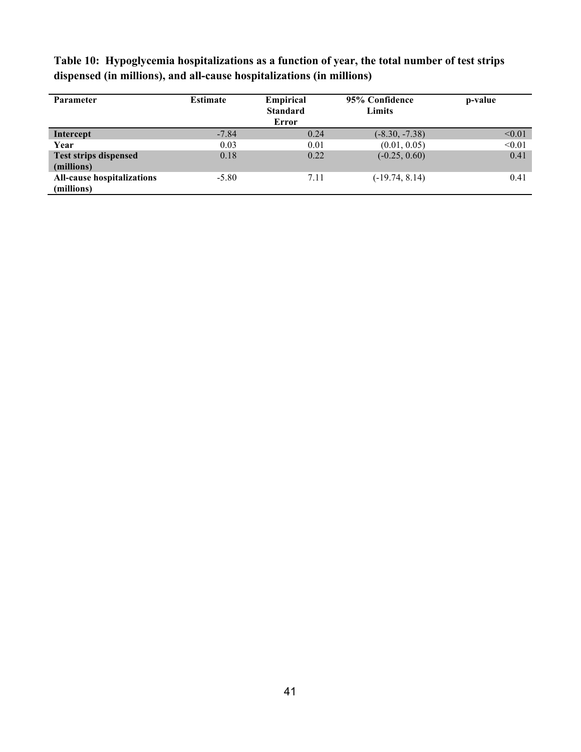| <b>Parameter</b>                                | <b>Estimate</b> | <b>Empirical</b><br><b>Standard</b><br>Error | 95% Confidence<br>Limits | p-value |
|-------------------------------------------------|-----------------|----------------------------------------------|--------------------------|---------|
| Intercept                                       | $-7.84$         | 0.24                                         | $(-8.30, -7.38)$         | < 0.01  |
| Year                                            | 0.03            | 0.01                                         | (0.01, 0.05)             | < 0.01  |
| <b>Test strips dispensed</b><br>(millions)      | 0.18            | 0.22                                         | $(-0.25, 0.60)$          | 0.41    |
| <b>All-cause hospitalizations</b><br>(millions) | $-5.80$         | 7.11                                         | $(-19.74, 8.14)$         | 0.41    |

**Table 10: Hypoglycemia hospitalizations as a function of year, the total number of test strips dispensed (in millions), and all-cause hospitalizations (in millions)**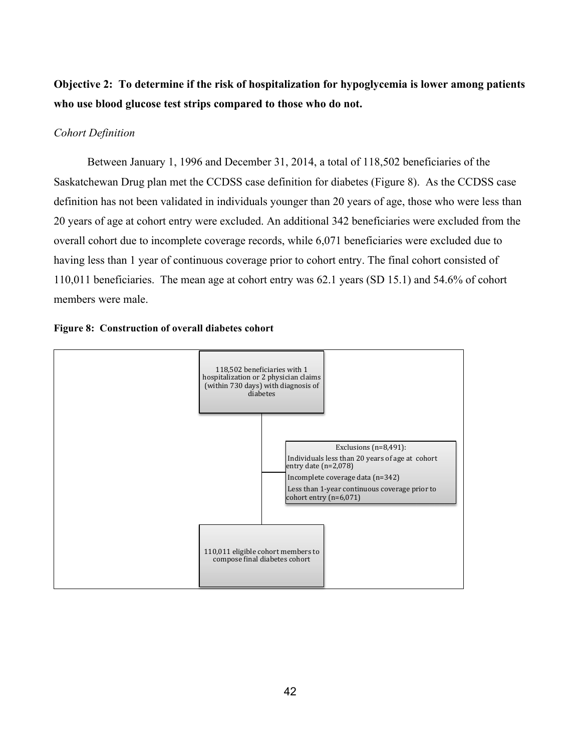## **Objective 2: To determine if the risk of hospitalization for hypoglycemia is lower among patients who use blood glucose test strips compared to those who do not.**

### *Cohort Definition*

Between January 1, 1996 and December 31, 2014, a total of 118,502 beneficiaries of the Saskatchewan Drug plan met the CCDSS case definition for diabetes (Figure 8). As the CCDSS case definition has not been validated in individuals younger than 20 years of age, those who were less than 20 years of age at cohort entry were excluded. An additional 342 beneficiaries were excluded from the overall cohort due to incomplete coverage records, while 6,071 beneficiaries were excluded due to having less than 1 year of continuous coverage prior to cohort entry. The final cohort consisted of 110,011 beneficiaries. The mean age at cohort entry was 62.1 years (SD 15.1) and 54.6% of cohort members were male.



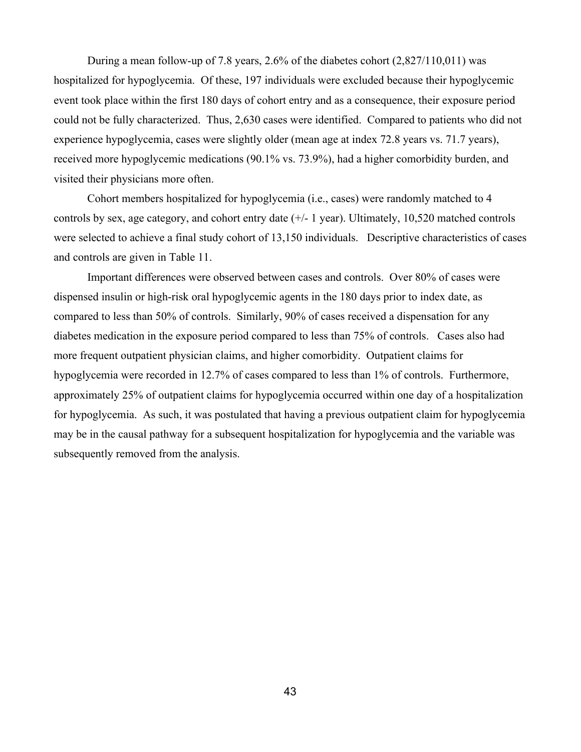During a mean follow-up of 7.8 years, 2.6% of the diabetes cohort (2,827/110,011) was hospitalized for hypoglycemia. Of these, 197 individuals were excluded because their hypoglycemic event took place within the first 180 days of cohort entry and as a consequence, their exposure period could not be fully characterized. Thus, 2,630 cases were identified. Compared to patients who did not experience hypoglycemia, cases were slightly older (mean age at index 72.8 years vs. 71.7 years), received more hypoglycemic medications (90.1% vs. 73.9%), had a higher comorbidity burden, and visited their physicians more often.

Cohort members hospitalized for hypoglycemia (i.e., cases) were randomly matched to 4 controls by sex, age category, and cohort entry date (+/- 1 year). Ultimately, 10,520 matched controls were selected to achieve a final study cohort of 13,150 individuals. Descriptive characteristics of cases and controls are given in Table 11.

Important differences were observed between cases and controls. Over 80% of cases were dispensed insulin or high-risk oral hypoglycemic agents in the 180 days prior to index date, as compared to less than 50% of controls. Similarly, 90% of cases received a dispensation for any diabetes medication in the exposure period compared to less than 75% of controls. Cases also had more frequent outpatient physician claims, and higher comorbidity. Outpatient claims for hypoglycemia were recorded in 12.7% of cases compared to less than 1% of controls. Furthermore, approximately 25% of outpatient claims for hypoglycemia occurred within one day of a hospitalization for hypoglycemia. As such, it was postulated that having a previous outpatient claim for hypoglycemia may be in the causal pathway for a subsequent hospitalization for hypoglycemia and the variable was subsequently removed from the analysis.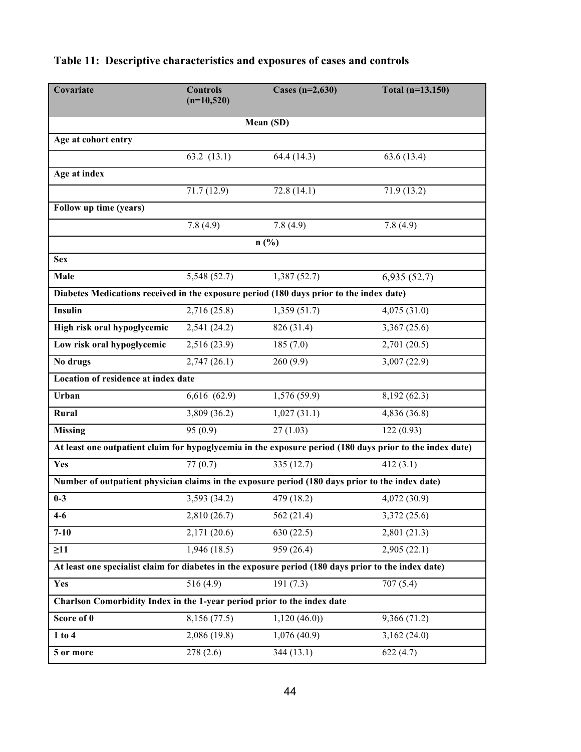| Covariate                                                                                                | <b>Controls</b><br>$(n=10,520)$ | Cases $(n=2,630)$ | Total $(n=13, 150)$ |  |  |  |  |  |
|----------------------------------------------------------------------------------------------------------|---------------------------------|-------------------|---------------------|--|--|--|--|--|
|                                                                                                          |                                 |                   |                     |  |  |  |  |  |
| Mean (SD)                                                                                                |                                 |                   |                     |  |  |  |  |  |
| Age at cohort entry                                                                                      |                                 |                   |                     |  |  |  |  |  |
|                                                                                                          | 63.2 $(13.1)$                   | 64.4 (14.3)       | 63.6(13.4)          |  |  |  |  |  |
| Age at index                                                                                             |                                 |                   |                     |  |  |  |  |  |
|                                                                                                          | 71.7(12.9)                      | 72.8(14.1)        | 71.9(13.2)          |  |  |  |  |  |
| Follow up time (years)                                                                                   |                                 |                   |                     |  |  |  |  |  |
|                                                                                                          | 7.8(4.9)                        | 7.8(4.9)          | 7.8(4.9)            |  |  |  |  |  |
|                                                                                                          |                                 | n(%)              |                     |  |  |  |  |  |
| <b>Sex</b>                                                                                               |                                 |                   |                     |  |  |  |  |  |
| Male                                                                                                     | 5,548 (52.7)                    | 1,387(52.7)       | 6,935(52.7)         |  |  |  |  |  |
| Diabetes Medications received in the exposure period (180 days prior to the index date)                  |                                 |                   |                     |  |  |  |  |  |
| <b>Insulin</b>                                                                                           | 2,716 (25.8)                    | 1,359(51.7)       | 4,075(31.0)         |  |  |  |  |  |
| High risk oral hypoglycemic                                                                              | 2,541 (24.2)                    | 826 (31.4)        | 3,367 (25.6)        |  |  |  |  |  |
| Low risk oral hypoglycemic                                                                               | 2,516 (23.9)                    | 185(7.0)          | 2,701 (20.5)        |  |  |  |  |  |
| No drugs                                                                                                 | 2,747(26.1)                     | 260(9.9)          | 3,007 (22.9)        |  |  |  |  |  |
| <b>Location of residence at index date</b>                                                               |                                 |                   |                     |  |  |  |  |  |
| Urban                                                                                                    | 6,616 (62.9)                    | 1,576 (59.9)      | 8,192 (62.3)        |  |  |  |  |  |
| Rural                                                                                                    | 3,809 (36.2)                    | 1,027(31.1)       | 4,836 (36.8)        |  |  |  |  |  |
| <b>Missing</b>                                                                                           | 95(0.9)                         | 27(1.03)          | 122(0.93)           |  |  |  |  |  |
| At least one outpatient claim for hypoglycemia in the exposure period (180 days prior to the index date) |                                 |                   |                     |  |  |  |  |  |
| Yes                                                                                                      | 77(0.7)                         | 335 (12.7)        | 412(3.1)            |  |  |  |  |  |
| Number of outpatient physician claims in the exposure period (180 days prior to the index date)          |                                 |                   |                     |  |  |  |  |  |
| $0 - 3$                                                                                                  | 3,593 (34.2)                    | 479 (18.2)        | 4,072 (30.9)        |  |  |  |  |  |
| $4 - 6$                                                                                                  | 2,810 (26.7)                    | 562 (21.4)        | 3,372 (25.6)        |  |  |  |  |  |
| $7 - 10$                                                                                                 | 2,171 (20.6)                    | 630(22.5)         | 2,801(21.3)         |  |  |  |  |  |
| $\geq$ 11                                                                                                | 1,946(18.5)                     | 959 (26.4)        | 2,905(22.1)         |  |  |  |  |  |
| At least one specialist claim for diabetes in the exposure period (180 days prior to the index date)     |                                 |                   |                     |  |  |  |  |  |
| Yes                                                                                                      | 516(4.9)                        | 191(7.3)          | 707(5.4)            |  |  |  |  |  |
| Charlson Comorbidity Index in the 1-year period prior to the index date                                  |                                 |                   |                     |  |  |  |  |  |
| Score of 0                                                                                               | 8,156 (77.5)                    | 1,120(46.0)       | 9,366 (71.2)        |  |  |  |  |  |
| $1$ to $4$                                                                                               | 2,086 (19.8)                    | 1,076(40.9)       | 3,162(24.0)         |  |  |  |  |  |
| 5 or more                                                                                                | 278(2.6)                        | 344(13.1)         | 622(4.7)            |  |  |  |  |  |

# **Table 11: Descriptive characteristics and exposures of cases and controls**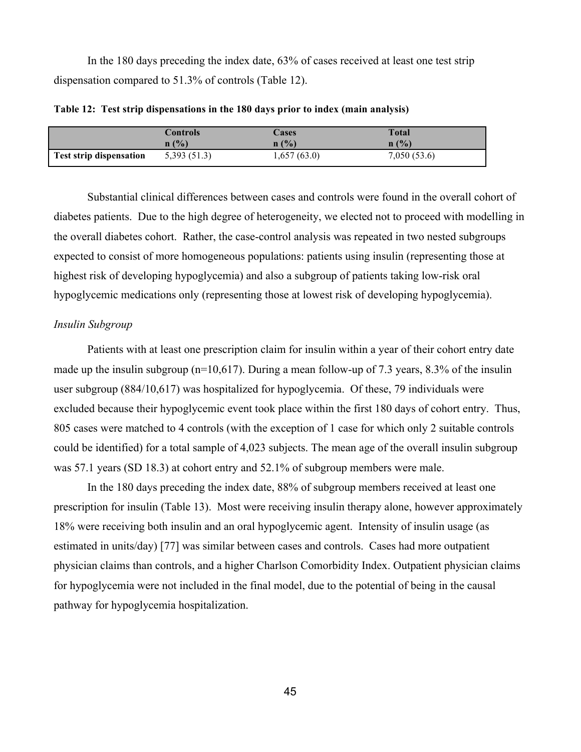In the 180 days preceding the index date, 63% of cases received at least one test strip dispensation compared to 51.3% of controls (Table 12).

|                                | Controls    | Cases       | Total       |
|--------------------------------|-------------|-------------|-------------|
|                                | n(%)        | n(%)        | n(%)        |
| <b>Test strip dispensation</b> | 5,393(51.3) | 1,657(63.0) | 7,050(53.6) |

**Table 12: Test strip dispensations in the 180 days prior to index (main analysis)**

Substantial clinical differences between cases and controls were found in the overall cohort of diabetes patients. Due to the high degree of heterogeneity, we elected not to proceed with modelling in the overall diabetes cohort. Rather, the case-control analysis was repeated in two nested subgroups expected to consist of more homogeneous populations: patients using insulin (representing those at highest risk of developing hypoglycemia) and also a subgroup of patients taking low-risk oral hypoglycemic medications only (representing those at lowest risk of developing hypoglycemia).

### *Insulin Subgroup*

Patients with at least one prescription claim for insulin within a year of their cohort entry date made up the insulin subgroup (n=10,617). During a mean follow-up of 7.3 years, 8.3% of the insulin user subgroup (884/10,617) was hospitalized for hypoglycemia. Of these, 79 individuals were excluded because their hypoglycemic event took place within the first 180 days of cohort entry. Thus, 805 cases were matched to 4 controls (with the exception of 1 case for which only 2 suitable controls could be identified) for a total sample of 4,023 subjects. The mean age of the overall insulin subgroup was 57.1 years (SD 18.3) at cohort entry and 52.1% of subgroup members were male.

In the 180 days preceding the index date, 88% of subgroup members received at least one prescription for insulin (Table 13). Most were receiving insulin therapy alone, however approximately 18% were receiving both insulin and an oral hypoglycemic agent. Intensity of insulin usage (as estimated in units/day) [77] was similar between cases and controls. Cases had more outpatient physician claims than controls, and a higher Charlson Comorbidity Index. Outpatient physician claims for hypoglycemia were not included in the final model, due to the potential of being in the causal pathway for hypoglycemia hospitalization.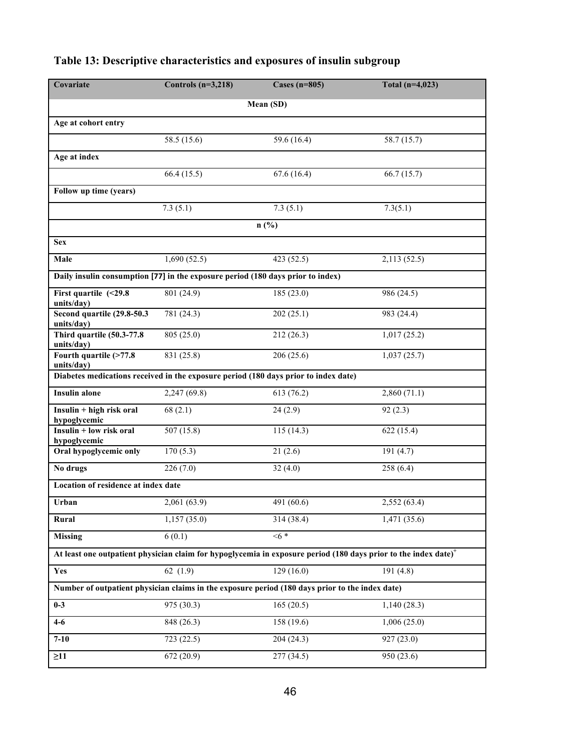| Covariate                                                                                       | Controls $(n=3,218)$ | Cases $(n=805)$ | Total $(n=4,023)$                                                                                                           |
|-------------------------------------------------------------------------------------------------|----------------------|-----------------|-----------------------------------------------------------------------------------------------------------------------------|
|                                                                                                 |                      | Mean (SD)       |                                                                                                                             |
| Age at cohort entry                                                                             |                      |                 |                                                                                                                             |
|                                                                                                 | 58.5 (15.6)          | 59.6 (16.4)     | 58.7 (15.7)                                                                                                                 |
| Age at index                                                                                    |                      |                 |                                                                                                                             |
|                                                                                                 | 66.4 (15.5)          | 67.6(16.4)      | 66.7(15.7)                                                                                                                  |
| Follow up time (years)                                                                          |                      |                 |                                                                                                                             |
|                                                                                                 | 7.3(5.1)             | 7.3(5.1)        | 7.3(5.1)                                                                                                                    |
|                                                                                                 |                      | n(%)            |                                                                                                                             |
| <b>Sex</b>                                                                                      |                      |                 |                                                                                                                             |
| Male                                                                                            | 1,690(52.5)          | 423 (52.5)      | 2,113(52.5)                                                                                                                 |
| Daily insulin consumption [77] in the exposure period (180 days prior to index)                 |                      |                 |                                                                                                                             |
| First quartile $($ 29.8<br>units/day)                                                           | 801 (24.9)           | 185 (23.0)      | 986 (24.5)                                                                                                                  |
| Second quartile (29.8-50.3<br>units/day)                                                        | 781 (24.3)           | 202(25.1)       | 983 (24.4)                                                                                                                  |
| Third quartile (50.3-77.8)<br>units/day)                                                        | 805 (25.0)           | 212 (26.3)      | 1,017(25.2)                                                                                                                 |
| Fourth quartile (>77.8<br>units/day)                                                            | 831 (25.8)           | 206 (25.6)      | 1,037(25.7)                                                                                                                 |
| Diabetes medications received in the exposure period (180 days prior to index date)             |                      |                 |                                                                                                                             |
| <b>Insulin alone</b>                                                                            | 2,247 (69.8)         | 613 (76.2)      | 2,860(71.1)                                                                                                                 |
| Insulin + high risk oral<br>hypoglycemic                                                        | 68(2.1)              | 24(2.9)         | 92(2.3)                                                                                                                     |
| Insulin + low risk oral<br>hypoglycemic                                                         | 507 (15.8)           | 115(14.3)       | 622 (15.4)                                                                                                                  |
| Oral hypoglycemic only                                                                          | 170(5.3)             | 21(2.6)         | 191(4.7)                                                                                                                    |
| No drugs                                                                                        | 226(7.0)             | 32(4.0)         | 258 (6.4)                                                                                                                   |
| Location of residence at index date                                                             |                      |                 |                                                                                                                             |
| Urban                                                                                           | 2,061 (63.9)         | 491 (60.6)      | 2,552 (63.4)                                                                                                                |
| Rural                                                                                           | 1,157(35.0)          | 314 (38.4)      | 1,471 (35.6)                                                                                                                |
| <b>Missing</b>                                                                                  | 6(0.1)               | $<6*$           |                                                                                                                             |
|                                                                                                 |                      |                 | At least one outpatient physician claim for hypoglycemia in exposure period (180 days prior to the index date) <sup>+</sup> |
| Yes                                                                                             | 62 $(1.9)$           | 129(16.0)       | 191(4.8)                                                                                                                    |
| Number of outpatient physician claims in the exposure period (180 days prior to the index date) |                      |                 |                                                                                                                             |
| $0-3$                                                                                           | 975 (30.3)           | 165(20.5)       | 1,140(28.3)                                                                                                                 |
| $4 - 6$                                                                                         | 848 (26.3)           | 158 (19.6)      | 1,006(25.0)                                                                                                                 |
| $7 - 10$                                                                                        | 723 (22.5)           | 204(24.3)       | 927(23.0)                                                                                                                   |
| $\geq$ 11                                                                                       | 672(20.9)            | 277(34.5)       | 950 (23.6)                                                                                                                  |

# **Table 13: Descriptive characteristics and exposures of insulin subgroup**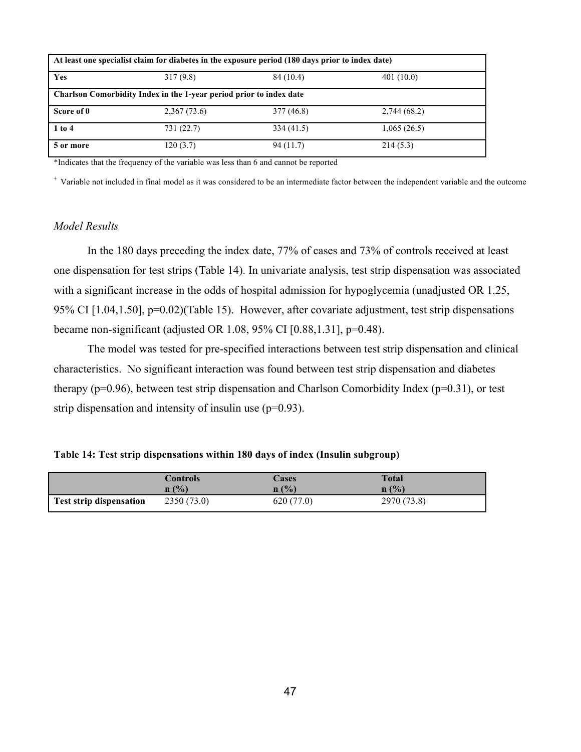| At least one specialist claim for diabetes in the exposure period (180 days prior to index date) |                                                                     |            |              |  |  |  |  |  |
|--------------------------------------------------------------------------------------------------|---------------------------------------------------------------------|------------|--------------|--|--|--|--|--|
| Yes                                                                                              | 317(9.8)                                                            | 84 (10.4)  | 401(10.0)    |  |  |  |  |  |
|                                                                                                  | Charlson Comorbidity Index in the 1-year period prior to index date |            |              |  |  |  |  |  |
| Score of 0                                                                                       | 2,367(73.6)                                                         | 377 (46.8) | 2,744 (68.2) |  |  |  |  |  |
| $1$ to $4$                                                                                       | 731 (22.7)                                                          | 334 (41.5) | 1,065(26.5)  |  |  |  |  |  |
| 5 or more                                                                                        | 120(3.7)                                                            | 94(11.7)   | 214(5.3)     |  |  |  |  |  |

\*Indicates that the frequency of the variable was less than 6 and cannot be reported

+ Variable not included in final model as it was considered to be an intermediate factor between the independent variable and the outcome

### *Model Results*

In the 180 days preceding the index date, 77% of cases and 73% of controls received at least one dispensation for test strips (Table 14). In univariate analysis, test strip dispensation was associated with a significant increase in the odds of hospital admission for hypoglycemia (unadjusted OR 1.25, 95% CI [1.04,1.50], p=0.02)(Table 15). However, after covariate adjustment, test strip dispensations became non-significant (adjusted OR 1.08, 95% CI [0.88,1.31], p=0.48).

The model was tested for pre-specified interactions between test strip dispensation and clinical characteristics. No significant interaction was found between test strip dispensation and diabetes therapy ( $p=0.96$ ), between test strip dispensation and Charlson Comorbidity Index ( $p=0.31$ ), or test strip dispensation and intensity of insulin use (p=0.93).

|  |  | Table 14: Test strip dispensations within 180 days of index (Insulin subgroup) |  |  |  |  |
|--|--|--------------------------------------------------------------------------------|--|--|--|--|
|  |  |                                                                                |  |  |  |  |

|                                | Controls   | Cases      | <b>Total</b> |
|--------------------------------|------------|------------|--------------|
|                                | n(%)       | n(%)       | n(%)         |
| <b>Test strip dispensation</b> | 2350(73.0) | 620 (77.0) | 2970 (73.8)  |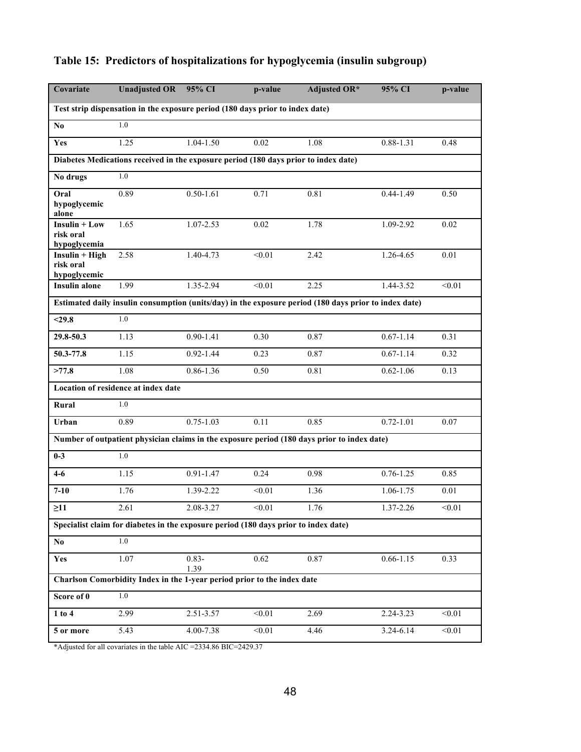| Covariate                                                                           | <b>Unadjusted OR</b>                                                                | 95% CI           | p-value | <b>Adjusted OR*</b>                                                                                   | 95% CI        | p-value |  |  |  |
|-------------------------------------------------------------------------------------|-------------------------------------------------------------------------------------|------------------|---------|-------------------------------------------------------------------------------------------------------|---------------|---------|--|--|--|
|                                                                                     | Test strip dispensation in the exposure period (180 days prior to index date)       |                  |         |                                                                                                       |               |         |  |  |  |
| N <sub>0</sub>                                                                      | 1.0                                                                                 |                  |         |                                                                                                       |               |         |  |  |  |
| Yes                                                                                 | 1.25                                                                                | 1.04-1.50        | 0.02    | 1.08                                                                                                  | 0.88-1.31     | 0.48    |  |  |  |
| Diabetes Medications received in the exposure period (180 days prior to index date) |                                                                                     |                  |         |                                                                                                       |               |         |  |  |  |
| No drugs                                                                            | 1.0                                                                                 |                  |         |                                                                                                       |               |         |  |  |  |
| Oral<br>hypoglycemic<br>alone                                                       | 0.89                                                                                | $0.50 - 1.61$    | 0.71    | 0.81                                                                                                  | $0.44 - 1.49$ | 0.50    |  |  |  |
| $Insulin + Low$<br>risk oral<br>hypoglycemia                                        | 1.65                                                                                | 1.07-2.53        | 0.02    | 1.78                                                                                                  | 1.09-2.92     | 0.02    |  |  |  |
| $Insulin + High$<br>risk oral<br>hypoglycemic                                       | 2.58                                                                                | 1.40-4.73        | < 0.01  | 2.42                                                                                                  | 1.26-4.65     | 0.01    |  |  |  |
| <b>Insulin alone</b>                                                                | 1.99                                                                                | $1.35 - 2.94$    | < 0.01  | 2.25                                                                                                  | 1.44-3.52     | < 0.01  |  |  |  |
|                                                                                     |                                                                                     |                  |         | Estimated daily insulin consumption (units/day) in the exposure period (180 days prior to index date) |               |         |  |  |  |
| $29.8$                                                                              | 1.0                                                                                 |                  |         |                                                                                                       |               |         |  |  |  |
| 29.8-50.3                                                                           | 1.13                                                                                | $0.90 - 1.41$    | 0.30    | 0.87                                                                                                  | $0.67 - 1.14$ | 0.31    |  |  |  |
| 50.3-77.8                                                                           | 1.15                                                                                | $0.92 - 1.44$    | 0.23    | 0.87                                                                                                  | $0.67 - 1.14$ | 0.32    |  |  |  |
| >77.8                                                                               | 1.08                                                                                | 0.86-1.36        | 0.50    | 0.81                                                                                                  | $0.62 - 1.06$ | 0.13    |  |  |  |
|                                                                                     | Location of residence at index date                                                 |                  |         |                                                                                                       |               |         |  |  |  |
| Rural                                                                               | 1.0                                                                                 |                  |         |                                                                                                       |               |         |  |  |  |
| Urban                                                                               | 0.89                                                                                | $0.75 - 1.03$    | 0.11    | 0.85                                                                                                  | $0.72 - 1.01$ | 0.07    |  |  |  |
|                                                                                     |                                                                                     |                  |         | Number of outpatient physician claims in the exposure period (180 days prior to index date)           |               |         |  |  |  |
| $0-3$                                                                               | 1.0                                                                                 |                  |         |                                                                                                       |               |         |  |  |  |
| $4 - 6$                                                                             | 1.15                                                                                | $0.91 - 1.47$    | 0.24    | 0.98                                                                                                  | $0.76 - 1.25$ | 0.85    |  |  |  |
| $7 - 10$                                                                            | 1.76                                                                                | 1.39-2.22        | < 0.01  | 1.36                                                                                                  | 1.06-1.75     | 0.01    |  |  |  |
| $\geq 11$                                                                           | 2.61                                                                                | 2.08-3.27        | $<0.01$ | 1.76                                                                                                  | 1.37-2.26     | < 0.01  |  |  |  |
|                                                                                     | Specialist claim for diabetes in the exposure period (180 days prior to index date) |                  |         |                                                                                                       |               |         |  |  |  |
| No                                                                                  | 1.0                                                                                 |                  |         |                                                                                                       |               |         |  |  |  |
| Yes                                                                                 | 1.07                                                                                | $0.83 -$<br>1.39 | 0.62    | 0.87                                                                                                  | $0.66 - 1.15$ | 0.33    |  |  |  |
|                                                                                     | Charlson Comorbidity Index in the 1-year period prior to the index date             |                  |         |                                                                                                       |               |         |  |  |  |
| Score of 0                                                                          | 1.0                                                                                 |                  |         |                                                                                                       |               |         |  |  |  |
| $1$ to $4$                                                                          | 2.99                                                                                | 2.51-3.57        | < 0.01  | 2.69                                                                                                  | 2.24-3.23     | < 0.01  |  |  |  |
| 5 or more                                                                           | 5.43                                                                                | 4.00-7.38        | < 0.01  | 4.46                                                                                                  | 3.24-6.14     | < 0.01  |  |  |  |

## **Table 15: Predictors of hospitalizations for hypoglycemia (insulin subgroup)**

\*Adjusted for all covariates in the table AIC =2334.86 BIC=2429.37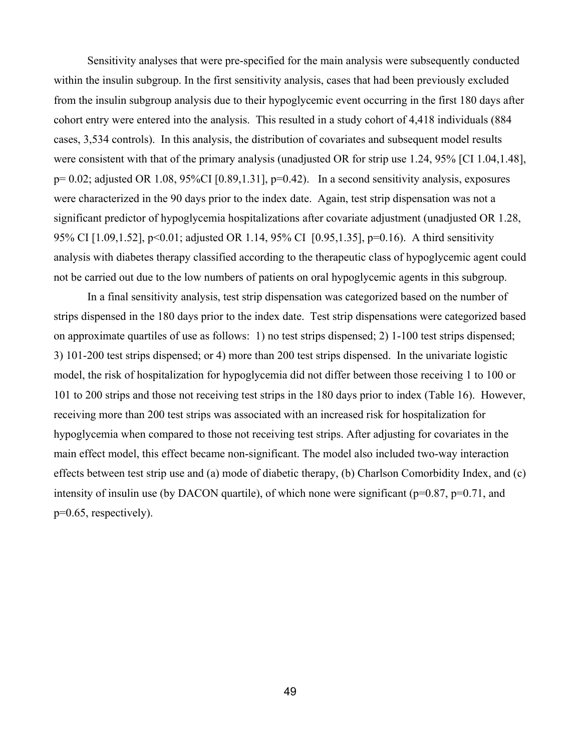Sensitivity analyses that were pre-specified for the main analysis were subsequently conducted within the insulin subgroup. In the first sensitivity analysis, cases that had been previously excluded from the insulin subgroup analysis due to their hypoglycemic event occurring in the first 180 days after cohort entry were entered into the analysis. This resulted in a study cohort of 4,418 individuals (884 cases, 3,534 controls). In this analysis, the distribution of covariates and subsequent model results were consistent with that of the primary analysis (unadjusted OR for strip use 1.24, 95% [CI 1.04,1.48],  $p= 0.02$ ; adjusted OR 1.08, 95%CI [0.89,1.31],  $p=0.42$ ). In a second sensitivity analysis, exposures were characterized in the 90 days prior to the index date. Again, test strip dispensation was not a significant predictor of hypoglycemia hospitalizations after covariate adjustment (unadjusted OR 1.28, 95% CI [1.09,1.52], p<0.01; adjusted OR 1.14, 95% CI [0.95,1.35], p=0.16). A third sensitivity analysis with diabetes therapy classified according to the therapeutic class of hypoglycemic agent could not be carried out due to the low numbers of patients on oral hypoglycemic agents in this subgroup.

In a final sensitivity analysis, test strip dispensation was categorized based on the number of strips dispensed in the 180 days prior to the index date. Test strip dispensations were categorized based on approximate quartiles of use as follows: 1) no test strips dispensed; 2) 1-100 test strips dispensed; 3) 101-200 test strips dispensed; or 4) more than 200 test strips dispensed. In the univariate logistic model, the risk of hospitalization for hypoglycemia did not differ between those receiving 1 to 100 or 101 to 200 strips and those not receiving test strips in the 180 days prior to index (Table 16). However, receiving more than 200 test strips was associated with an increased risk for hospitalization for hypoglycemia when compared to those not receiving test strips. After adjusting for covariates in the main effect model, this effect became non-significant. The model also included two-way interaction effects between test strip use and (a) mode of diabetic therapy, (b) Charlson Comorbidity Index, and (c) intensity of insulin use (by DACON quartile), of which none were significant ( $p=0.87$ ,  $p=0.71$ , and p=0.65, respectively).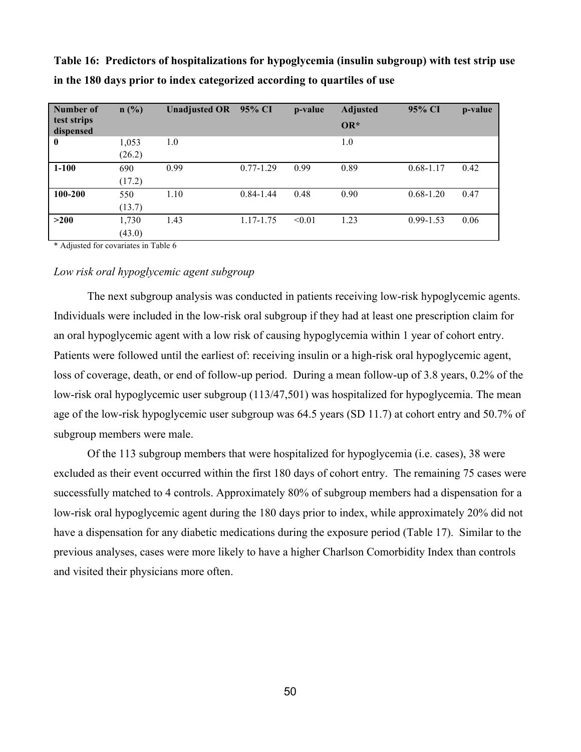| Number of<br>test strips | n(%)   | Unadjusted OR 95% CI |               | p-value | <b>Adjusted</b> | 95% CI        | p-value |
|--------------------------|--------|----------------------|---------------|---------|-----------------|---------------|---------|
| dispensed                |        |                      |               |         | $OR*$           |               |         |
| $\bf{0}$                 | 1,053  | 1.0                  |               |         | 1.0             |               |         |
|                          | (26.2) |                      |               |         |                 |               |         |
| $1 - 100$                | 690    | 0.99                 | $0.77 - 1.29$ | 0.99    | 0.89            | $0.68 - 1.17$ | 0.42    |
|                          | (17.2) |                      |               |         |                 |               |         |
| 100-200                  | 550    | 1.10                 | $0.84 - 1.44$ | 0.48    | 0.90            | $0.68 - 1.20$ | 0.47    |
|                          | (13.7) |                      |               |         |                 |               |         |
| >200                     | 1,730  | 1.43                 | 1.17-1.75     | < 0.01  | 1.23            | $0.99 - 1.53$ | 0.06    |
|                          | (43.0) |                      |               |         |                 |               |         |

**Table 16: Predictors of hospitalizations for hypoglycemia (insulin subgroup) with test strip use in the 180 days prior to index categorized according to quartiles of use**

\* Adjusted for covariates in Table 6

### *Low risk oral hypoglycemic agent subgroup*

The next subgroup analysis was conducted in patients receiving low-risk hypoglycemic agents. Individuals were included in the low-risk oral subgroup if they had at least one prescription claim for an oral hypoglycemic agent with a low risk of causing hypoglycemia within 1 year of cohort entry. Patients were followed until the earliest of: receiving insulin or a high-risk oral hypoglycemic agent, loss of coverage, death, or end of follow-up period. During a mean follow-up of 3.8 years, 0.2% of the low-risk oral hypoglycemic user subgroup (113/47,501) was hospitalized for hypoglycemia. The mean age of the low-risk hypoglycemic user subgroup was 64.5 years (SD 11.7) at cohort entry and 50.7% of subgroup members were male.

Of the 113 subgroup members that were hospitalized for hypoglycemia (i.e. cases), 38 were excluded as their event occurred within the first 180 days of cohort entry. The remaining 75 cases were successfully matched to 4 controls. Approximately 80% of subgroup members had a dispensation for a low-risk oral hypoglycemic agent during the 180 days prior to index, while approximately 20% did not have a dispensation for any diabetic medications during the exposure period (Table 17). Similar to the previous analyses, cases were more likely to have a higher Charlson Comorbidity Index than controls and visited their physicians more often.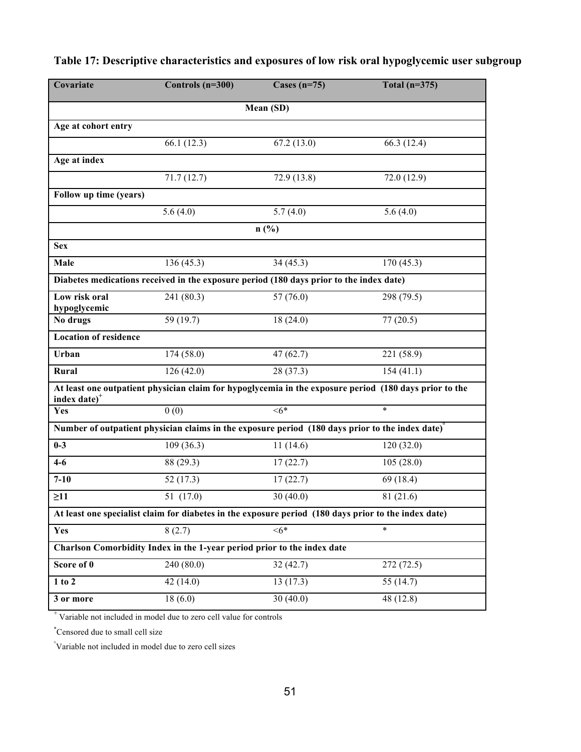| Covariate                                                                                            | Controls (n=300)                                                                                | Cases $(n=75)$ | Total $(n=375)$                                                                                        |  |  |  |  |
|------------------------------------------------------------------------------------------------------|-------------------------------------------------------------------------------------------------|----------------|--------------------------------------------------------------------------------------------------------|--|--|--|--|
| Mean (SD)                                                                                            |                                                                                                 |                |                                                                                                        |  |  |  |  |
| Age at cohort entry                                                                                  |                                                                                                 |                |                                                                                                        |  |  |  |  |
|                                                                                                      | 66.1 (12.3)                                                                                     | 67.2(13.0)     | 66.3(12.4)                                                                                             |  |  |  |  |
| Age at index                                                                                         |                                                                                                 |                |                                                                                                        |  |  |  |  |
|                                                                                                      | 71.7(12.7)                                                                                      | 72.9 (13.8)    | 72.0 (12.9)                                                                                            |  |  |  |  |
| Follow up time (years)                                                                               |                                                                                                 |                |                                                                                                        |  |  |  |  |
|                                                                                                      | 5.6(4.0)                                                                                        | 5.7(4.0)       | 5.6(4.0)                                                                                               |  |  |  |  |
| $n$ (%)                                                                                              |                                                                                                 |                |                                                                                                        |  |  |  |  |
| <b>Sex</b>                                                                                           |                                                                                                 |                |                                                                                                        |  |  |  |  |
| Male                                                                                                 | 136(45.3)                                                                                       | 34(45.3)       | 170(45.3)                                                                                              |  |  |  |  |
| Diabetes medications received in the exposure period (180 days prior to the index date)              |                                                                                                 |                |                                                                                                        |  |  |  |  |
| Low risk oral<br>hypoglycemic                                                                        | 241 (80.3)                                                                                      | 57(76.0)       | 298 (79.5)                                                                                             |  |  |  |  |
| No drugs                                                                                             | 59 (19.7)                                                                                       | 18(24.0)       | 77(20.5)                                                                                               |  |  |  |  |
| <b>Location of residence</b>                                                                         |                                                                                                 |                |                                                                                                        |  |  |  |  |
| Urban                                                                                                | 174(58.0)                                                                                       | 47(62.7)       | 221 (58.9)                                                                                             |  |  |  |  |
| Rural                                                                                                | 126(42.0)                                                                                       | 28(37.3)       | 154(41.1)                                                                                              |  |  |  |  |
| index date) <sup>+</sup>                                                                             |                                                                                                 |                | At least one outpatient physician claim for hypoglycemia in the exposure period (180 days prior to the |  |  |  |  |
| Yes                                                                                                  | 0(0)                                                                                            | $<6*$          | $\ast$                                                                                                 |  |  |  |  |
|                                                                                                      | Number of outpatient physician claims in the exposure period (180 days prior to the index date) |                |                                                                                                        |  |  |  |  |
| $0 - 3$                                                                                              | 109(36.3)                                                                                       | 11(14.6)       | 120(32.0)                                                                                              |  |  |  |  |
| $4-6$                                                                                                | 88 (29.3)                                                                                       | 17(22.7)       | 105(28.0)                                                                                              |  |  |  |  |
| $7 - 10$                                                                                             | 52(17.3)                                                                                        | 17(22.7)       | 69 (18.4)                                                                                              |  |  |  |  |
| $\geq$ 11                                                                                            | 51 (17.0)                                                                                       | 30(40.0)       | 81 (21.6)                                                                                              |  |  |  |  |
| At least one specialist claim for diabetes in the exposure period (180 days prior to the index date) |                                                                                                 |                |                                                                                                        |  |  |  |  |
| <b>Yes</b>                                                                                           | 8(2.7)                                                                                          | $<6*$          | $\ast$                                                                                                 |  |  |  |  |
| Charlson Comorbidity Index in the 1-year period prior to the index date                              |                                                                                                 |                |                                                                                                        |  |  |  |  |
| Score of 0                                                                                           | 240 (80.0)                                                                                      | 32(42.7)       | 272(72.5)                                                                                              |  |  |  |  |
| 1 to 2                                                                                               | 42(14.0)                                                                                        | 13(17.3)       | 55 $(14.7)$                                                                                            |  |  |  |  |
| 3 or more                                                                                            | 18(6.0)                                                                                         | 30(40.0)       | 48 (12.8)                                                                                              |  |  |  |  |

**Table 17: Descriptive characteristics and exposures of low risk oral hypoglycemic user subgroup** 

+ Variable not included in model due to zero cell value for controls

\* Censored due to small cell size

° Variable not included in model due to zero cell sizes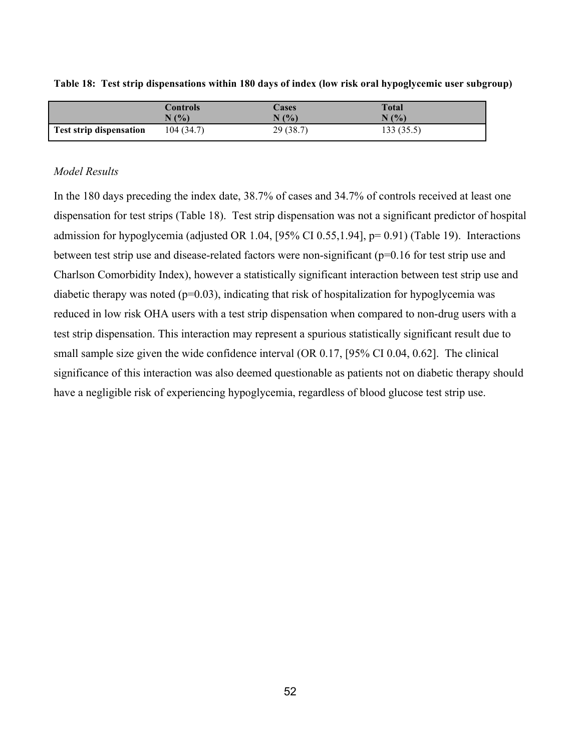|                                | Controls  | <b>Lases</b> | Total      |
|--------------------------------|-----------|--------------|------------|
|                                | N(%       | N(%          | N(%)       |
| <b>Test strip dispensation</b> | 104(34.7) | 29(38.7)     | 133 (35.5) |

**Table 18: Test strip dispensations within 180 days of index (low risk oral hypoglycemic user subgroup)**

### *Model Results*

In the 180 days preceding the index date, 38.7% of cases and 34.7% of controls received at least one dispensation for test strips (Table 18). Test strip dispensation was not a significant predictor of hospital admission for hypoglycemia (adjusted OR 1.04, [95% CI 0.55,1.94], p= 0.91) (Table 19). Interactions between test strip use and disease-related factors were non-significant (p=0.16 for test strip use and Charlson Comorbidity Index), however a statistically significant interaction between test strip use and diabetic therapy was noted  $(p=0.03)$ , indicating that risk of hospitalization for hypoglycemia was reduced in low risk OHA users with a test strip dispensation when compared to non-drug users with a test strip dispensation. This interaction may represent a spurious statistically significant result due to small sample size given the wide confidence interval (OR 0.17, [95% CI 0.04, 0.62]. The clinical significance of this interaction was also deemed questionable as patients not on diabetic therapy should have a negligible risk of experiencing hypoglycemia, regardless of blood glucose test strip use.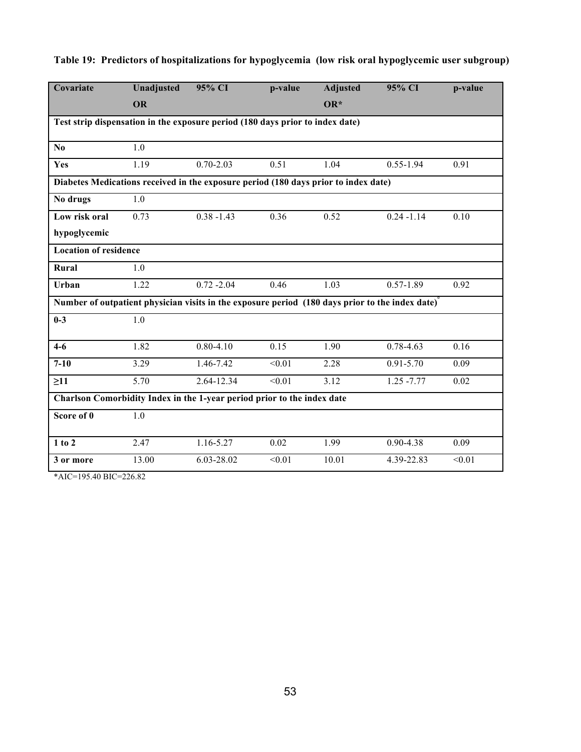| Covariate                                                                                       | <b>Unadjusted</b> | 95% CI        | p-value | <b>Adjusted</b> | 95% CI        | p-value |  |  |  |
|-------------------------------------------------------------------------------------------------|-------------------|---------------|---------|-----------------|---------------|---------|--|--|--|
|                                                                                                 | <b>OR</b>         |               |         | $OR^*$          |               |         |  |  |  |
| Test strip dispensation in the exposure period (180 days prior to index date)                   |                   |               |         |                 |               |         |  |  |  |
|                                                                                                 |                   |               |         |                 |               |         |  |  |  |
| No                                                                                              | 1.0               |               |         |                 |               |         |  |  |  |
| Yes                                                                                             | 1.19              | $0.70 - 2.03$ | 0.51    | 1.04            | $0.55 - 1.94$ | 0.91    |  |  |  |
| Diabetes Medications received in the exposure period (180 days prior to index date)             |                   |               |         |                 |               |         |  |  |  |
| No drugs                                                                                        | 1.0               |               |         |                 |               |         |  |  |  |
| Low risk oral                                                                                   | 0.73              | $0.38 - 1.43$ | 0.36    | 0.52            | $0.24 - 1.14$ | 0.10    |  |  |  |
| hypoglycemic                                                                                    |                   |               |         |                 |               |         |  |  |  |
| <b>Location of residence</b>                                                                    |                   |               |         |                 |               |         |  |  |  |
| Rural                                                                                           | 1.0               |               |         |                 |               |         |  |  |  |
| Urban                                                                                           | 1.22              | $0.72 - 2.04$ | 0.46    | 1.03            | $0.57 - 1.89$ | 0.92    |  |  |  |
| Number of outpatient physician visits in the exposure period (180 days prior to the index date) |                   |               |         |                 |               |         |  |  |  |
| $0 - 3$                                                                                         | 1.0               |               |         |                 |               |         |  |  |  |
|                                                                                                 |                   |               |         |                 |               |         |  |  |  |
| $4-6$                                                                                           | 1.82              | $0.80 - 4.10$ | 0.15    | 1.90            | $0.78 - 4.63$ | 0.16    |  |  |  |
| $7 - 10$                                                                                        | 3.29              | 1.46-7.42     | < 0.01  | 2.28            | $0.91 - 5.70$ | 0.09    |  |  |  |
| $\geq$ 11                                                                                       | 5.70              | 2.64-12.34    | < 0.01  | 3.12            | $1.25 - 7.77$ | 0.02    |  |  |  |
| Charlson Comorbidity Index in the 1-year period prior to the index date                         |                   |               |         |                 |               |         |  |  |  |
| Score of 0                                                                                      | 1.0               |               |         |                 |               |         |  |  |  |
|                                                                                                 |                   |               |         |                 |               |         |  |  |  |
| $1$ to $2$                                                                                      | 2.47              | 1.16-5.27     | 0.02    | 1.99            | $0.90 - 4.38$ | 0.09    |  |  |  |
| 3 or more                                                                                       | 13.00             | 6.03-28.02    | < 0.01  | 10.01           | 4.39-22.83    | < 0.01  |  |  |  |

## **Table 19: Predictors of hospitalizations for hypoglycemia (low risk oral hypoglycemic user subgroup)**

\*AIC=195.40 BIC=226.82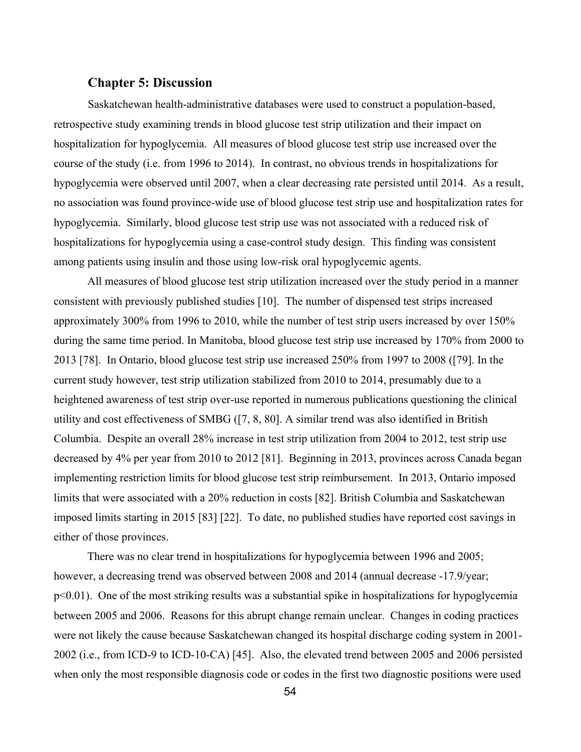### **Chapter 5: Discussion**

Saskatchewan health-administrative databases were used to construct a population-based, retrospective study examining trends in blood glucose test strip utilization and their impact on hospitalization for hypoglycemia. All measures of blood glucose test strip use increased over the course of the study (i.e. from 1996 to 2014). In contrast, no obvious trends in hospitalizations for hypoglycemia were observed until 2007, when a clear decreasing rate persisted until 2014. As a result, no association was found province-wide use of blood glucose test strip use and hospitalization rates for hypoglycemia. Similarly, blood glucose test strip use was not associated with a reduced risk of hospitalizations for hypoglycemia using a case-control study design. This finding was consistent among patients using insulin and those using low-risk oral hypoglycemic agents.

All measures of blood glucose test strip utilization increased over the study period in a manner consistent with previously published studies [10]. The number of dispensed test strips increased approximately 300% from 1996 to 2010, while the number of test strip users increased by over 150% during the same time period. In Manitoba, blood glucose test strip use increased by 170% from 2000 to 2013 [78]. In Ontario, blood glucose test strip use increased 250% from 1997 to 2008 ([79]. In the current study however, test strip utilization stabilized from 2010 to 2014, presumably due to a heightened awareness of test strip over-use reported in numerous publications questioning the clinical utility and cost effectiveness of SMBG ([7, 8, 80]. A similar trend was also identified in British Columbia. Despite an overall 28% increase in test strip utilization from 2004 to 2012, test strip use decreased by 4% per year from 2010 to 2012 [81]. Beginning in 2013, provinces across Canada began implementing restriction limits for blood glucose test strip reimbursement. In 2013, Ontario imposed limits that were associated with a 20% reduction in costs [82]. British Columbia and Saskatchewan imposed limits starting in 2015 [83] [22]. To date, no published studies have reported cost savings in either of those provinces.

There was no clear trend in hospitalizations for hypoglycemia between 1996 and 2005; however, a decreasing trend was observed between 2008 and 2014 (annual decrease -17.9/year; p<0.01). One of the most striking results was a substantial spike in hospitalizations for hypoglycemia between 2005 and 2006. Reasons for this abrupt change remain unclear. Changes in coding practices were not likely the cause because Saskatchewan changed its hospital discharge coding system in 2001- 2002 (i.e., from ICD-9 to ICD-10-CA) [45]. Also, the elevated trend between 2005 and 2006 persisted when only the most responsible diagnosis code or codes in the first two diagnostic positions were used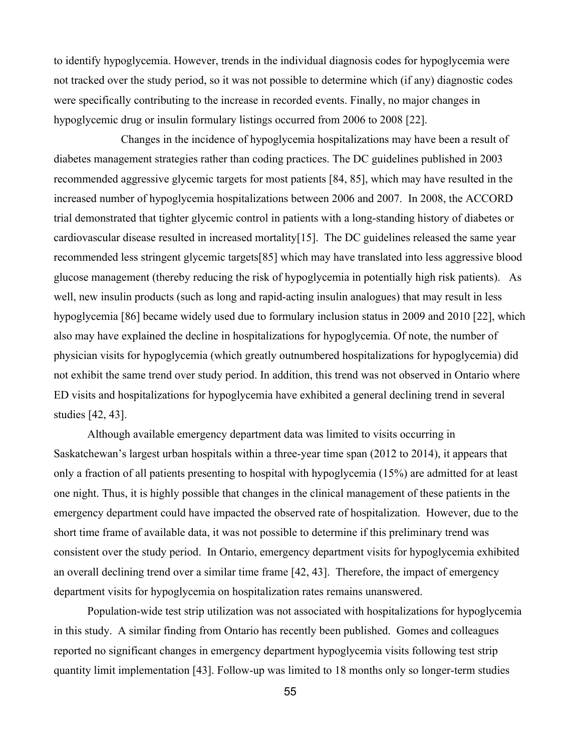to identify hypoglycemia. However, trends in the individual diagnosis codes for hypoglycemia were not tracked over the study period, so it was not possible to determine which (if any) diagnostic codes were specifically contributing to the increase in recorded events. Finally, no major changes in hypoglycemic drug or insulin formulary listings occurred from 2006 to 2008 [22].

Changes in the incidence of hypoglycemia hospitalizations may have been a result of diabetes management strategies rather than coding practices. The DC guidelines published in 2003 recommended aggressive glycemic targets for most patients [84, 85], which may have resulted in the increased number of hypoglycemia hospitalizations between 2006 and 2007. In 2008, the ACCORD trial demonstrated that tighter glycemic control in patients with a long-standing history of diabetes or cardiovascular disease resulted in increased mortality[15]. The DC guidelines released the same year recommended less stringent glycemic targets[85] which may have translated into less aggressive blood glucose management (thereby reducing the risk of hypoglycemia in potentially high risk patients). As well, new insulin products (such as long and rapid-acting insulin analogues) that may result in less hypoglycemia [86] became widely used due to formulary inclusion status in 2009 and 2010 [22], which also may have explained the decline in hospitalizations for hypoglycemia. Of note, the number of physician visits for hypoglycemia (which greatly outnumbered hospitalizations for hypoglycemia) did not exhibit the same trend over study period. In addition, this trend was not observed in Ontario where ED visits and hospitalizations for hypoglycemia have exhibited a general declining trend in several studies [42, 43].

Although available emergency department data was limited to visits occurring in Saskatchewan's largest urban hospitals within a three-year time span (2012 to 2014), it appears that only a fraction of all patients presenting to hospital with hypoglycemia (15%) are admitted for at least one night. Thus, it is highly possible that changes in the clinical management of these patients in the emergency department could have impacted the observed rate of hospitalization. However, due to the short time frame of available data, it was not possible to determine if this preliminary trend was consistent over the study period. In Ontario, emergency department visits for hypoglycemia exhibited an overall declining trend over a similar time frame [42, 43]. Therefore, the impact of emergency department visits for hypoglycemia on hospitalization rates remains unanswered.

Population-wide test strip utilization was not associated with hospitalizations for hypoglycemia in this study. A similar finding from Ontario has recently been published. Gomes and colleagues reported no significant changes in emergency department hypoglycemia visits following test strip quantity limit implementation [43]. Follow-up was limited to 18 months only so longer-term studies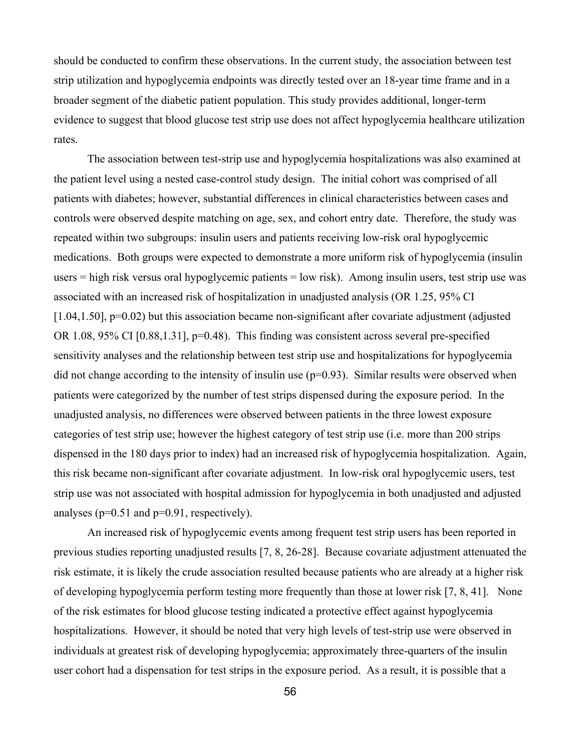should be conducted to confirm these observations. In the current study, the association between test strip utilization and hypoglycemia endpoints was directly tested over an 18-year time frame and in a broader segment of the diabetic patient population. This study provides additional, longer-term evidence to suggest that blood glucose test strip use does not affect hypoglycemia healthcare utilization rates.

The association between test-strip use and hypoglycemia hospitalizations was also examined at the patient level using a nested case-control study design. The initial cohort was comprised of all patients with diabetes; however, substantial differences in clinical characteristics between cases and controls were observed despite matching on age, sex, and cohort entry date. Therefore, the study was repeated within two subgroups: insulin users and patients receiving low-risk oral hypoglycemic medications. Both groups were expected to demonstrate a more uniform risk of hypoglycemia (insulin users = high risk versus oral hypoglycemic patients = low risk). Among insulin users, test strip use was associated with an increased risk of hospitalization in unadjusted analysis (OR 1.25, 95% CI [1.04,1.50], p=0.02) but this association became non-significant after covariate adjustment (adjusted OR 1.08, 95% CI [0.88,1.31], p=0.48). This finding was consistent across several pre-specified sensitivity analyses and the relationship between test strip use and hospitalizations for hypoglycemia did not change according to the intensity of insulin use  $(p=0.93)$ . Similar results were observed when patients were categorized by the number of test strips dispensed during the exposure period. In the unadjusted analysis, no differences were observed between patients in the three lowest exposure categories of test strip use; however the highest category of test strip use (i.e. more than 200 strips dispensed in the 180 days prior to index) had an increased risk of hypoglycemia hospitalization. Again, this risk became non-significant after covariate adjustment. In low-risk oral hypoglycemic users, test strip use was not associated with hospital admission for hypoglycemia in both unadjusted and adjusted analyses ( $p=0.51$  and  $p=0.91$ , respectively).

An increased risk of hypoglycemic events among frequent test strip users has been reported in previous studies reporting unadjusted results [7, 8, 26-28]. Because covariate adjustment attenuated the risk estimate, it is likely the crude association resulted because patients who are already at a higher risk of developing hypoglycemia perform testing more frequently than those at lower risk [7, 8, 41]. None of the risk estimates for blood glucose testing indicated a protective effect against hypoglycemia hospitalizations. However, it should be noted that very high levels of test-strip use were observed in individuals at greatest risk of developing hypoglycemia; approximately three-quarters of the insulin user cohort had a dispensation for test strips in the exposure period. As a result, it is possible that a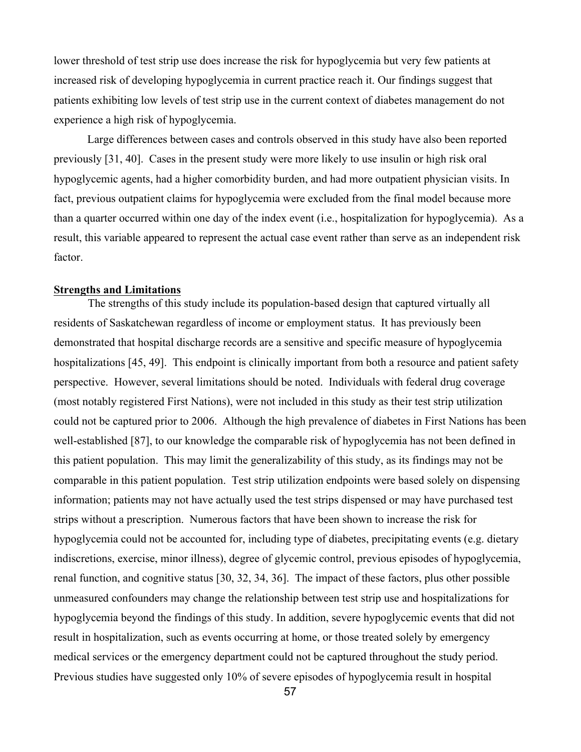lower threshold of test strip use does increase the risk for hypoglycemia but very few patients at increased risk of developing hypoglycemia in current practice reach it. Our findings suggest that patients exhibiting low levels of test strip use in the current context of diabetes management do not experience a high risk of hypoglycemia.

Large differences between cases and controls observed in this study have also been reported previously [31, 40]. Cases in the present study were more likely to use insulin or high risk oral hypoglycemic agents, had a higher comorbidity burden, and had more outpatient physician visits. In fact, previous outpatient claims for hypoglycemia were excluded from the final model because more than a quarter occurred within one day of the index event (i.e., hospitalization for hypoglycemia). As a result, this variable appeared to represent the actual case event rather than serve as an independent risk factor.

#### **Strengths and Limitations**

The strengths of this study include its population-based design that captured virtually all residents of Saskatchewan regardless of income or employment status. It has previously been demonstrated that hospital discharge records are a sensitive and specific measure of hypoglycemia hospitalizations [45, 49]. This endpoint is clinically important from both a resource and patient safety perspective. However, several limitations should be noted. Individuals with federal drug coverage (most notably registered First Nations), were not included in this study as their test strip utilization could not be captured prior to 2006. Although the high prevalence of diabetes in First Nations has been well-established [87], to our knowledge the comparable risk of hypoglycemia has not been defined in this patient population. This may limit the generalizability of this study, as its findings may not be comparable in this patient population. Test strip utilization endpoints were based solely on dispensing information; patients may not have actually used the test strips dispensed or may have purchased test strips without a prescription. Numerous factors that have been shown to increase the risk for hypoglycemia could not be accounted for, including type of diabetes, precipitating events (e.g. dietary indiscretions, exercise, minor illness), degree of glycemic control, previous episodes of hypoglycemia, renal function, and cognitive status [30, 32, 34, 36]. The impact of these factors, plus other possible unmeasured confounders may change the relationship between test strip use and hospitalizations for hypoglycemia beyond the findings of this study. In addition, severe hypoglycemic events that did not result in hospitalization, such as events occurring at home, or those treated solely by emergency medical services or the emergency department could not be captured throughout the study period. Previous studies have suggested only 10% of severe episodes of hypoglycemia result in hospital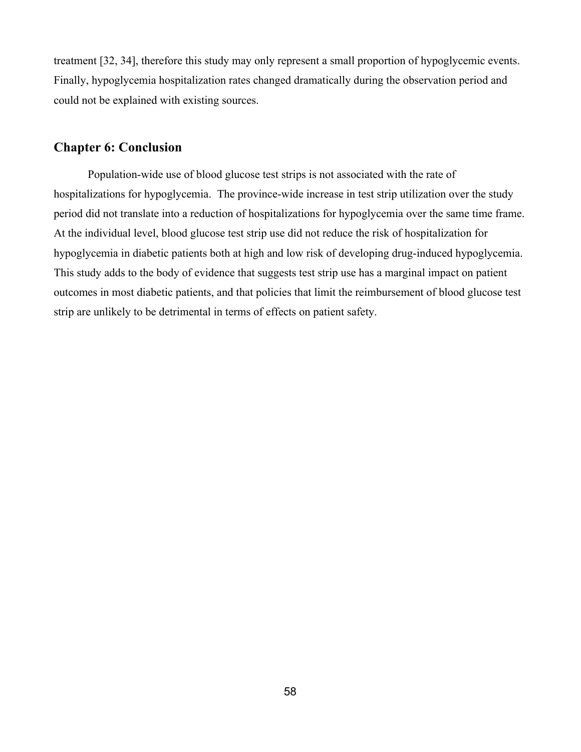treatment [32, 34], therefore this study may only represent a small proportion of hypoglycemic events. Finally, hypoglycemia hospitalization rates changed dramatically during the observation period and could not be explained with existing sources.

### **Chapter 6: Conclusion**

Population-wide use of blood glucose test strips is not associated with the rate of hospitalizations for hypoglycemia. The province-wide increase in test strip utilization over the study period did not translate into a reduction of hospitalizations for hypoglycemia over the same time frame. At the individual level, blood glucose test strip use did not reduce the risk of hospitalization for hypoglycemia in diabetic patients both at high and low risk of developing drug-induced hypoglycemia. This study adds to the body of evidence that suggests test strip use has a marginal impact on patient outcomes in most diabetic patients, and that policies that limit the reimbursement of blood glucose test strip are unlikely to be detrimental in terms of effects on patient safety.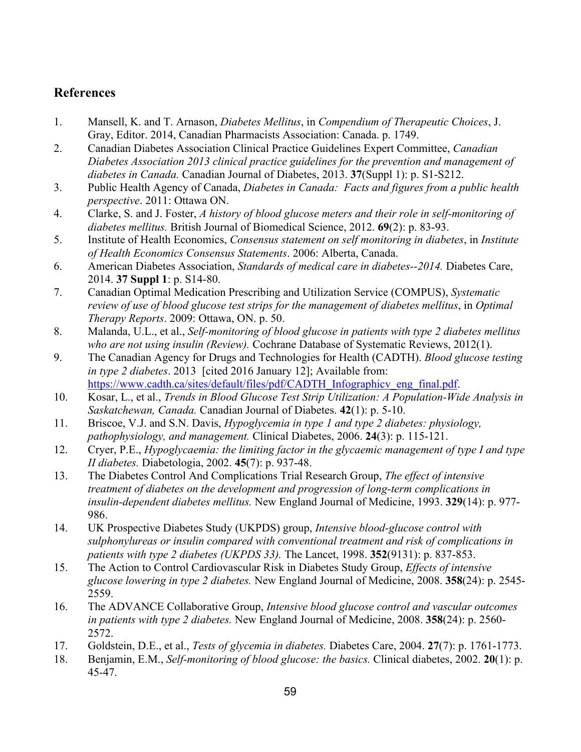## **References**

- 1. Mansell, K. and T. Arnason, *Diabetes Mellitus*, in *Compendium of Therapeutic Choices*, J. Gray, Editor. 2014, Canadian Pharmacists Association: Canada. p. 1749.
- 2. Canadian Diabetes Association Clinical Practice Guidelines Expert Committee, *Canadian Diabetes Association 2013 clinical practice guidelines for the prevention and management of diabetes in Canada.* Canadian Journal of Diabetes, 2013. **37**(Suppl 1): p. S1-S212.
- 3. Public Health Agency of Canada, *Diabetes in Canada: Facts and figures from a public health perspective*. 2011: Ottawa ON.
- 4. Clarke, S. and J. Foster, *A history of blood glucose meters and their role in self-monitoring of diabetes mellitus.* British Journal of Biomedical Science, 2012. **69**(2): p. 83-93.
- 5. Institute of Health Economics, *Consensus statement on self monitoring in diabetes*, in *Institute of Health Economics Consensus Statements*. 2006: Alberta, Canada.
- 6. American Diabetes Association, *Standards of medical care in diabetes--2014.* Diabetes Care, 2014. **37 Suppl 1**: p. S14-80.
- 7. Canadian Optimal Medication Prescribing and Utilization Service (COMPUS), *Systematic review of use of blood glucose test strips for the management of diabetes mellitus*, in *Optimal Therapy Reports*. 2009: Ottawa, ON. p. 50.
- 8. Malanda, U.L., et al., *Self-monitoring of blood glucose in patients with type 2 diabetes mellitus who are not using insulin (Review).* Cochrane Database of Systematic Reviews, 2012(1).
- 9. The Canadian Agency for Drugs and Technologies for Health (CADTH). *Blood glucose testing in type 2 diabetes*. 2013 [cited 2016 January 12]; Available from: https://www.cadth.ca/sites/default/files/pdf/CADTH\_Infographicv\_eng\_final.pdf.
- 10. Kosar, L., et al., *Trends in Blood Glucose Test Strip Utilization: A Population-Wide Analysis in Saskatchewan, Canada.* Canadian Journal of Diabetes. **42**(1): p. 5-10.
- 11. Briscoe, V.J. and S.N. Davis, *Hypoglycemia in type 1 and type 2 diabetes: physiology, pathophysiology, and management.* Clinical Diabetes, 2006. **24**(3): p. 115-121.
- 12. Cryer, P.E., *Hypoglycaemia: the limiting factor in the glycaemic management of type I and type II diabetes.* Diabetologia, 2002. **45**(7): p. 937-48.
- 13. The Diabetes Control And Complications Trial Research Group, *The effect of intensive treatment of diabetes on the development and progression of long-term complications in insulin-dependent diabetes mellitus.* New England Journal of Medicine, 1993. **329**(14): p. 977- 986.
- 14. UK Prospective Diabetes Study (UKPDS) group, *Intensive blood-glucose control with sulphonylureas or insulin compared with conventional treatment and risk of complications in patients with type 2 diabetes (UKPDS 33).* The Lancet, 1998. **352**(9131): p. 837-853.
- 15. The Action to Control Cardiovascular Risk in Diabetes Study Group, *Effects of intensive glucose lowering in type 2 diabetes.* New England Journal of Medicine, 2008. **358**(24): p. 2545- 2559.
- 16. The ADVANCE Collaborative Group, *Intensive blood glucose control and vascular outcomes in patients with type 2 diabetes.* New England Journal of Medicine, 2008. **358**(24): p. 2560- 2572.
- 17. Goldstein, D.E., et al., *Tests of glycemia in diabetes.* Diabetes Care, 2004. **27**(7): p. 1761-1773.
- 18. Benjamin, E.M., *Self-monitoring of blood glucose: the basics.* Clinical diabetes, 2002. **20**(1): p. 45-47.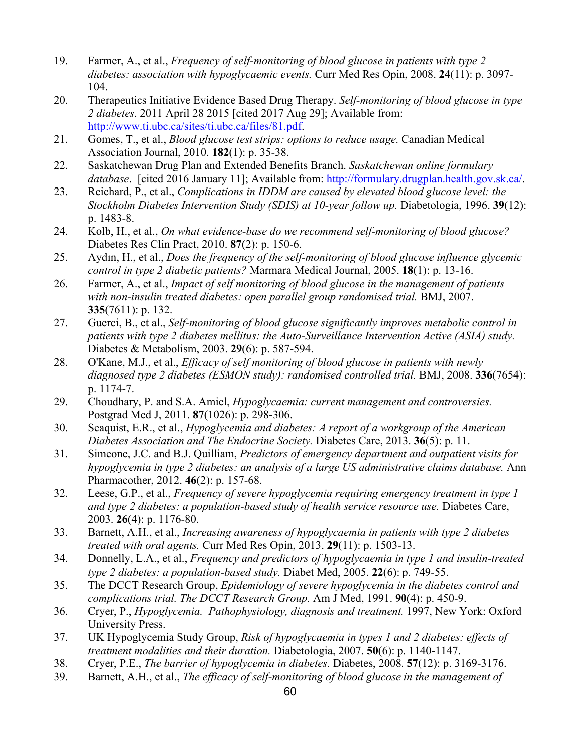- 19. Farmer, A., et al., *Frequency of self-monitoring of blood glucose in patients with type 2 diabetes: association with hypoglycaemic events.* Curr Med Res Opin, 2008. **24**(11): p. 3097- 104.
- 20. Therapeutics Initiative Evidence Based Drug Therapy. *Self-monitoring of blood glucose in type 2 diabetes*. 2011 April 28 2015 [cited 2017 Aug 29]; Available from: http://www.ti.ubc.ca/sites/ti.ubc.ca/files/81.pdf.
- 21. Gomes, T., et al., *Blood glucose test strips: options to reduce usage.* Canadian Medical Association Journal, 2010. **182**(1): p. 35-38.
- 22. Saskatchewan Drug Plan and Extended Benefits Branch. *Saskatchewan online formulary database*. [cited 2016 January 11]; Available from: http://formulary.drugplan.health.gov.sk.ca/.
- 23. Reichard, P., et al., *Complications in IDDM are caused by elevated blood glucose level: the Stockholm Diabetes Intervention Study (SDIS) at 10-year follow up.* Diabetologia, 1996. **39**(12): p. 1483-8.
- 24. Kolb, H., et al., *On what evidence-base do we recommend self-monitoring of blood glucose?* Diabetes Res Clin Pract, 2010. **87**(2): p. 150-6.
- 25. Aydın, H., et al., *Does the frequency of the self-monitoring of blood glucose influence glycemic control in type 2 diabetic patients?* Marmara Medical Journal, 2005. **18**(1): p. 13-16.
- 26. Farmer, A., et al., *Impact of self monitoring of blood glucose in the management of patients with non-insulin treated diabetes: open parallel group randomised trial.* BMJ, 2007. **335**(7611): p. 132.
- 27. Guerci, B., et al., *Self-monitoring of blood glucose significantly improves metabolic control in patients with type 2 diabetes mellitus: the Auto-Surveillance Intervention Active (ASIA) study.* Diabetes & Metabolism, 2003. **29**(6): p. 587-594.
- 28. O'Kane, M.J., et al., *Efficacy of self monitoring of blood glucose in patients with newly diagnosed type 2 diabetes (ESMON study): randomised controlled trial.* BMJ, 2008. **336**(7654): p. 1174-7.
- 29. Choudhary, P. and S.A. Amiel, *Hypoglycaemia: current management and controversies.* Postgrad Med J, 2011. **87**(1026): p. 298-306.
- 30. Seaquist, E.R., et al., *Hypoglycemia and diabetes: A report of a workgroup of the American Diabetes Association and The Endocrine Society.* Diabetes Care, 2013. **36**(5): p. 11.
- 31. Simeone, J.C. and B.J. Quilliam, *Predictors of emergency department and outpatient visits for hypoglycemia in type 2 diabetes: an analysis of a large US administrative claims database.* Ann Pharmacother, 2012. **46**(2): p. 157-68.
- 32. Leese, G.P., et al., *Frequency of severe hypoglycemia requiring emergency treatment in type 1 and type 2 diabetes: a population-based study of health service resource use.* Diabetes Care, 2003. **26**(4): p. 1176-80.
- 33. Barnett, A.H., et al., *Increasing awareness of hypoglycaemia in patients with type 2 diabetes treated with oral agents.* Curr Med Res Opin, 2013. **29**(11): p. 1503-13.
- 34. Donnelly, L.A., et al., *Frequency and predictors of hypoglycaemia in type 1 and insulin-treated type 2 diabetes: a population-based study.* Diabet Med, 2005. **22**(6): p. 749-55.
- 35. The DCCT Research Group, *Epidemiology of severe hypoglycemia in the diabetes control and complications trial. The DCCT Research Group.* Am J Med, 1991. **90**(4): p. 450-9.
- 36. Cryer, P., *Hypoglycemia. Pathophysiology, diagnosis and treatment.* 1997, New York: Oxford University Press.
- 37. UK Hypoglycemia Study Group, *Risk of hypoglycaemia in types 1 and 2 diabetes: effects of treatment modalities and their duration.* Diabetologia, 2007. **50**(6): p. 1140-1147.
- 38. Cryer, P.E., *The barrier of hypoglycemia in diabetes.* Diabetes, 2008. **57**(12): p. 3169-3176.
- 39. Barnett, A.H., et al., *The efficacy of self-monitoring of blood glucose in the management of*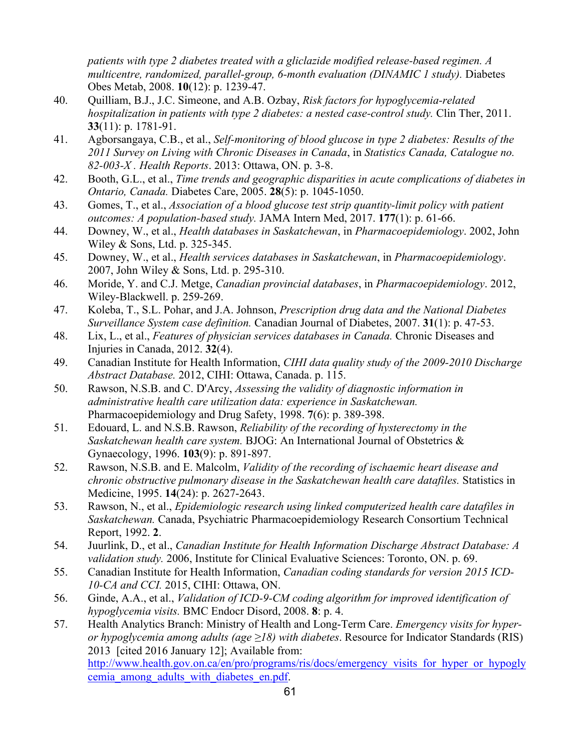*patients with type 2 diabetes treated with a gliclazide modified release-based regimen. A multicentre, randomized, parallel-group, 6-month evaluation (DINAMIC 1 study).* Diabetes Obes Metab, 2008. **10**(12): p. 1239-47.

- 40. Quilliam, B.J., J.C. Simeone, and A.B. Ozbay, *Risk factors for hypoglycemia-related hospitalization in patients with type 2 diabetes: a nested case-control study.* Clin Ther, 2011. **33**(11): p. 1781-91.
- 41. Agborsangaya, C.B., et al., *Self-monitoring of blood glucose in type 2 diabetes: Results of the 2011 Survey on Living with Chronic Diseases in Canada*, in *Statistics Canada, Catalogue no. 82-003-X . Health Reports*. 2013: Ottawa, ON. p. 3-8.
- 42. Booth, G.L., et al., *Time trends and geographic disparities in acute complications of diabetes in Ontario, Canada.* Diabetes Care, 2005. **28**(5): p. 1045-1050.
- 43. Gomes, T., et al., *Association of a blood glucose test strip quantity-limit policy with patient outcomes: A population-based study.* JAMA Intern Med, 2017. **177**(1): p. 61-66.
- 44. Downey, W., et al., *Health databases in Saskatchewan*, in *Pharmacoepidemiology*. 2002, John Wiley & Sons, Ltd. p. 325-345.
- 45. Downey, W., et al., *Health services databases in Saskatchewan*, in *Pharmacoepidemiology*. 2007, John Wiley & Sons, Ltd. p. 295-310.
- 46. Moride, Y. and C.J. Metge, *Canadian provincial databases*, in *Pharmacoepidemiology*. 2012, Wiley-Blackwell. p. 259-269.
- 47. Koleba, T., S.L. Pohar, and J.A. Johnson, *Prescription drug data and the National Diabetes Surveillance System case definition.* Canadian Journal of Diabetes, 2007. **31**(1): p. 47-53.
- 48. Lix, L., et al., *Features of physician services databases in Canada.* Chronic Diseases and Injuries in Canada, 2012. **32**(4).
- 49. Canadian Institute for Health Information, *CIHI data quality study of the 2009-2010 Discharge Abstract Database.* 2012, CIHI: Ottawa, Canada. p. 115.
- 50. Rawson, N.S.B. and C. D'Arcy, *Assessing the validity of diagnostic information in administrative health care utilization data: experience in Saskatchewan.* Pharmacoepidemiology and Drug Safety, 1998. **7**(6): p. 389-398.
- 51. Edouard, L. and N.S.B. Rawson, *Reliability of the recording of hysterectomy in the Saskatchewan health care system.* BJOG: An International Journal of Obstetrics & Gynaecology, 1996. **103**(9): p. 891-897.
- 52. Rawson, N.S.B. and E. Malcolm, *Validity of the recording of ischaemic heart disease and chronic obstructive pulmonary disease in the Saskatchewan health care datafiles.* Statistics in Medicine, 1995. **14**(24): p. 2627-2643.
- 53. Rawson, N., et al., *Epidemiologic research using linked computerized health care datafiles in Saskatchewan.* Canada, Psychiatric Pharmacoepidemiology Research Consortium Technical Report, 1992. **2**.
- 54. Juurlink, D., et al., *Canadian Institute for Health Information Discharge Abstract Database: A validation study.* 2006, Institute for Clinical Evaluative Sciences: Toronto, ON. p. 69.
- 55. Canadian Institute for Health Information, *Canadian coding standards for version 2015 ICD-10-CA and CCI.* 2015, CIHI: Ottawa, ON.
- 56. Ginde, A.A., et al., *Validation of ICD-9-CM coding algorithm for improved identification of hypoglycemia visits.* BMC Endocr Disord, 2008. **8**: p. 4.
- 57. Health Analytics Branch: Ministry of Health and Long-Term Care. *Emergency visits for hyperor hypoglycemia among adults (age ≥18) with diabetes*. Resource for Indicator Standards (RIS) 2013 [cited 2016 January 12]; Available from: http://www.health.gov.on.ca/en/pro/programs/ris/docs/emergency\_visits\_for\_hyper\_or\_hypogly\_ cemia\_among\_adults\_with\_diabetes\_en.pdf.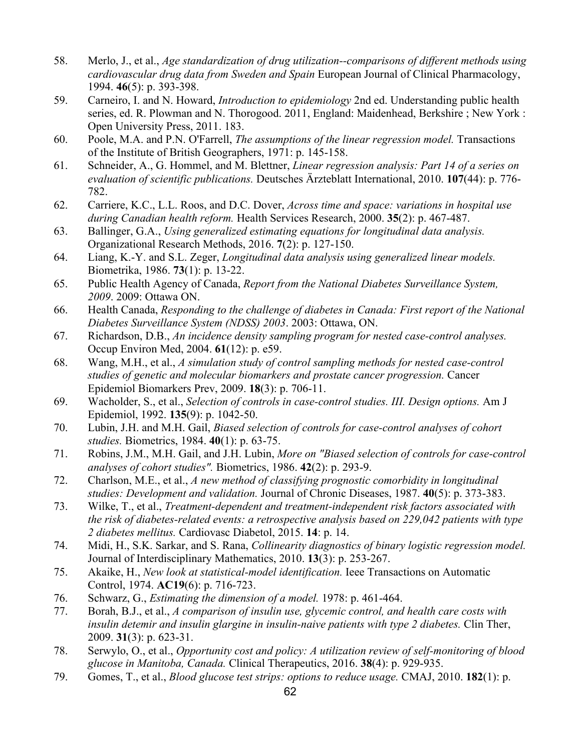- 58. Merlo, J., et al., *Age standardization of drug utilization--comparisons of different methods using cardiovascular drug data from Sweden and Spain* European Journal of Clinical Pharmacology, 1994. **46**(5): p. 393-398.
- 59. Carneiro, I. and N. Howard, *Introduction to epidemiology* 2nd ed. Understanding public health series, ed. R. Plowman and N. Thorogood. 2011, England: Maidenhead, Berkshire ; New York : Open University Press, 2011. 183.
- 60. Poole, M.A. and P.N. O'Farrell, *The assumptions of the linear regression model.* Transactions of the Institute of British Geographers, 1971: p. 145-158.
- 61. Schneider, A., G. Hommel, and M. Blettner, *Linear regression analysis: Part 14 of a series on evaluation of scientific publications.* Deutsches Ärzteblatt International, 2010. **107**(44): p. 776- 782.
- 62. Carriere, K.C., L.L. Roos, and D.C. Dover, *Across time and space: variations in hospital use during Canadian health reform.* Health Services Research, 2000. **35**(2): p. 467-487.
- 63. Ballinger, G.A., *Using generalized estimating equations for longitudinal data analysis.* Organizational Research Methods, 2016. **7**(2): p. 127-150.
- 64. Liang, K.-Y. and S.L. Zeger, *Longitudinal data analysis using generalized linear models.* Biometrika, 1986. **73**(1): p. 13-22.
- 65. Public Health Agency of Canada, *Report from the National Diabetes Surveillance System, 2009*. 2009: Ottawa ON.
- 66. Health Canada, *Responding to the challenge of diabetes in Canada: First report of the National Diabetes Surveillance System (NDSS) 2003*. 2003: Ottawa, ON.
- 67. Richardson, D.B., *An incidence density sampling program for nested case-control analyses.* Occup Environ Med, 2004. **61**(12): p. e59.
- 68. Wang, M.H., et al., *A simulation study of control sampling methods for nested case-control studies of genetic and molecular biomarkers and prostate cancer progression.* Cancer Epidemiol Biomarkers Prev, 2009. **18**(3): p. 706-11.
- 69. Wacholder, S., et al., *Selection of controls in case-control studies. III. Design options.* Am J Epidemiol, 1992. **135**(9): p. 1042-50.
- 70. Lubin, J.H. and M.H. Gail, *Biased selection of controls for case-control analyses of cohort studies.* Biometrics, 1984. **40**(1): p. 63-75.
- 71. Robins, J.M., M.H. Gail, and J.H. Lubin, *More on "Biased selection of controls for case-control analyses of cohort studies".* Biometrics, 1986. **42**(2): p. 293-9.
- 72. Charlson, M.E., et al., *A new method of classifying prognostic comorbidity in longitudinal studies: Development and validation.* Journal of Chronic Diseases, 1987. **40**(5): p. 373-383.
- 73. Wilke, T., et al., *Treatment-dependent and treatment-independent risk factors associated with the risk of diabetes-related events: a retrospective analysis based on 229,042 patients with type 2 diabetes mellitus.* Cardiovasc Diabetol, 2015. **14**: p. 14.
- 74. Midi, H., S.K. Sarkar, and S. Rana, *Collinearity diagnostics of binary logistic regression model.* Journal of Interdisciplinary Mathematics, 2010. **13**(3): p. 253-267.
- 75. Akaike, H., *New look at statistical-model identification.* Ieee Transactions on Automatic Control, 1974. **AC19**(6): p. 716-723.
- 76. Schwarz, G., *Estimating the dimension of a model.* 1978: p. 461-464.
- 77. Borah, B.J., et al., *A comparison of insulin use, glycemic control, and health care costs with insulin detemir and insulin glargine in insulin-naive patients with type 2 diabetes.* Clin Ther, 2009. **31**(3): p. 623-31.
- 78. Serwylo, O., et al., *Opportunity cost and policy: A utilization review of self-monitoring of blood glucose in Manitoba, Canada.* Clinical Therapeutics, 2016. **38**(4): p. 929-935.
- 79. Gomes, T., et al., *Blood glucose test strips: options to reduce usage.* CMAJ, 2010. **182**(1): p.